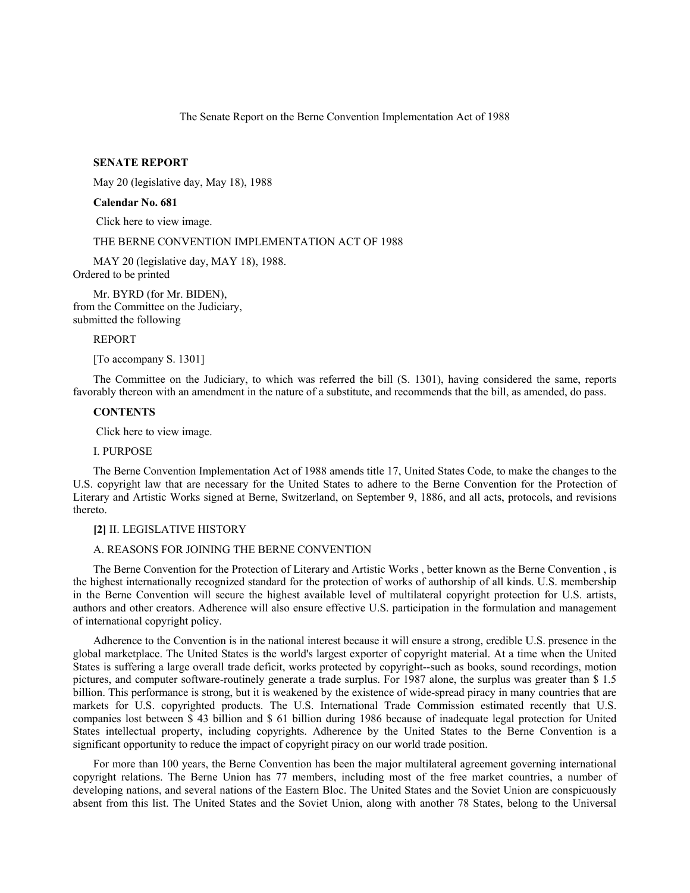The Senate Report on the Berne Convention Implementation Act of 1988

### **SENATE REPORT**

May 20 (legislative day, May 18), 1988

### **Calendar No. 681**

Click here to view image.

### THE BERNE CONVENTION IMPLEMENTATION ACT OF 1988

MAY 20 (legislative day, MAY 18), 1988. Ordered to be printed

Mr. BYRD (for Mr. BIDEN), from the Committee on the Judiciary, submitted the following

REPORT

[To accompany S. 1301]

The Committee on the Judiciary, to which was referred the bill (S. 1301), having considered the same, reports favorably thereon with an amendment in the nature of a substitute, and recommends that the bill, as amended, do pass.

## **CONTENTS**

Click here to view image.

I. PURPOSE

The Berne Convention Implementation Act of 1988 amends title 17, United States Code, to make the changes to the U.S. copyright law that are necessary for the United States to adhere to the Berne Convention for the Protection of Literary and Artistic Works signed at Berne, Switzerland, on September 9, 1886, and all acts, protocols, and revisions thereto.

### **[2]** II. LEGISLATIVE HISTORY

### A. REASONS FOR JOINING THE BERNE CONVENTION

The Berne Convention for the Protection of Literary and Artistic Works , better known as the Berne Convention , is the highest internationally recognized standard for the protection of works of authorship of all kinds. U.S. membership in the Berne Convention will secure the highest available level of multilateral copyright protection for U.S. artists, authors and other creators. Adherence will also ensure effective U.S. participation in the formulation and management of international copyright policy.

Adherence to the Convention is in the national interest because it will ensure a strong, credible U.S. presence in the global marketplace. The United States is the world's largest exporter of copyright material. At a time when the United States is suffering a large overall trade deficit, works protected by copyright--such as books, sound recordings, motion pictures, and computer software-routinely generate a trade surplus. For 1987 alone, the surplus was greater than \$ 1.5 billion. This performance is strong, but it is weakened by the existence of wide-spread piracy in many countries that are markets for U.S. copyrighted products. The U.S. International Trade Commission estimated recently that U.S. companies lost between \$ 43 billion and \$ 61 billion during 1986 because of inadequate legal protection for United States intellectual property, including copyrights. Adherence by the United States to the Berne Convention is a significant opportunity to reduce the impact of copyright piracy on our world trade position.

For more than 100 years, the Berne Convention has been the major multilateral agreement governing international copyright relations. The Berne Union has 77 members, including most of the free market countries, a number of developing nations, and several nations of the Eastern Bloc. The United States and the Soviet Union are conspicuously absent from this list. The United States and the Soviet Union, along with another 78 States, belong to the Universal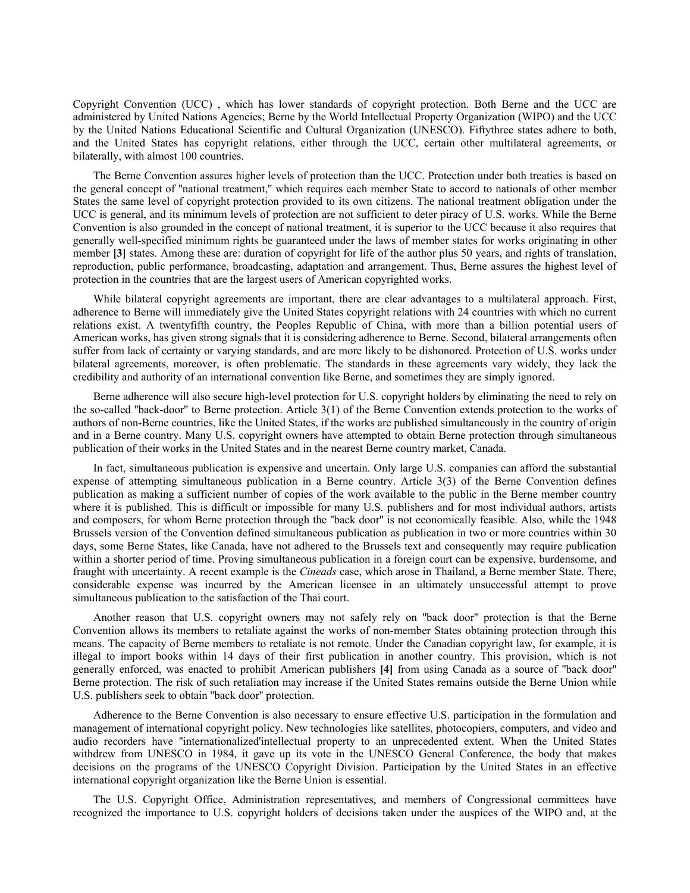Copyright Convention (UCC) , which has lower standards of copyright protection. Both Berne and the UCC are administered by United Nations Agencies; Berne by the World Intellectual Property Organization (WIPO) and the UCC by the United Nations Educational Scientific and Cultural Organization (UNESCO). Fiftythree states adhere to both, and the United States has copyright relations, either through the UCC, certain other multilateral agreements, or bilaterally, with almost 100 countries.

The Berne Convention assures higher levels of protection than the UCC. Protection under both treaties is based on the general concept of ''national treatment,'' which requires each member State to accord to nationals of other member States the same level of copyright protection provided to its own citizens. The national treatment obligation under the UCC is general, and its minimum levels of protection are not sufficient to deter piracy of U.S. works. While the Berne Convention is also grounded in the concept of national treatment, it is superior to the UCC because it also requires that generally well-specified minimum rights be guaranteed under the laws of member states for works originating in other member [3] states. Among these are: duration of copyright for life of the author plus 50 years, and rights of translation, reproduction, public performance, broadcasting, adaptation and arrangement. Thus, Berne assures the highest level of protection in the countries that are the largest users of American copyrighted works.

While bilateral copyright agreements are important, there are clear advantages to a multilateral approach. First, adherence to Berne will immediately give the United States copyright relations with 24 countries with which no current relations exist. A twentyfifth country, the Peoples Republic of China, with more than a billion potential users of American works, has given strong signals that it is considering adherence to Berne. Second, bilateral arrangements often suffer from lack of certainty or varying standards, and are more likely to be dishonored. Protection of U.S. works under bilateral agreements, moreover, is often problematic. The standards in these agreements vary widely, they lack the credibility and authority of an international convention like Berne, and sometimes they are simply ignored.

Berne adherence will also secure high-level protection for U.S. copyright holders by eliminating the need to rely on the so-called ''back-door'' to Berne protection. Article 3(1) of the Berne Convention extends protection to the works of authors of non-Berne countries, like the United States, if the works are published simultaneously in the country of origin and in a Berne country. Many U.S. copyright owners have attempted to obtain Berne protection through simultaneous publication of their works in the United States and in the nearest Berne country market, Canada.

In fact, simultaneous publication is expensive and uncertain. Only large U.S. companies can afford the substantial expense of attempting simultaneous publication in a Berne country. Article 3(3) of the Berne Convention defines publication as making a sufficient number of copies of the work available to the public in the Berne member country where it is published. This is difficult or impossible for many U.S. publishers and for most individual authors, artists and composers, for whom Berne protection through the ''back door'' is not economically feasible. Also, while the 1948 Brussels version of the Convention defined simultaneous publication as publication in two or more countries within 30 days, some Berne States, like Canada, have not adhered to the Brussels text and consequently may require publication within a shorter period of time. Proving simultaneous publication in a foreign court can be expensive, burdensome, and fraught with uncertainty. A recent example is the *Cineads* case, which arose in Thailand, a Berne member State. There, considerable expense was incurred by the American licensee in an ultimately unsuccessful attempt to prove simultaneous publication to the satisfaction of the Thai court.

Another reason that U.S. copyright owners may not safely rely on ''back door'' protection is that the Berne Convention allows its members to retaliate against the works of non-member States obtaining protection through this means. The capacity of Berne members to retaliate is not remote. Under the Canadian copyright law, for example, it is illegal to import books within 14 days of their first publication in another country. This provision, which is not generally enforced, was enacted to prohibit American publishers **[4]** from using Canada as a source of ''back door'' Berne protection. The risk of such retaliation may increase if the United States remains outside the Berne Union while U.S. publishers seek to obtain ''back door'' protection.

Adherence to the Berne Convention is also necessary to ensure effective U.S. participation in the formulation and management of international copyright policy. New technologies like satellites, photocopiers, computers, and video and audio recorders have ''internationalized'intellectual property to an unprecedented extent. When the United States withdrew from UNESCO in 1984, it gave up its vote in the UNESCO General Conference, the body that makes decisions on the programs of the UNESCO Copyright Division. Participation by the United States in an effective international copyright organization like the Berne Union is essential.

The U.S. Copyright Office, Administration representatives, and members of Congressional committees have recognized the importance to U.S. copyright holders of decisions taken under the auspices of the WIPO and, at the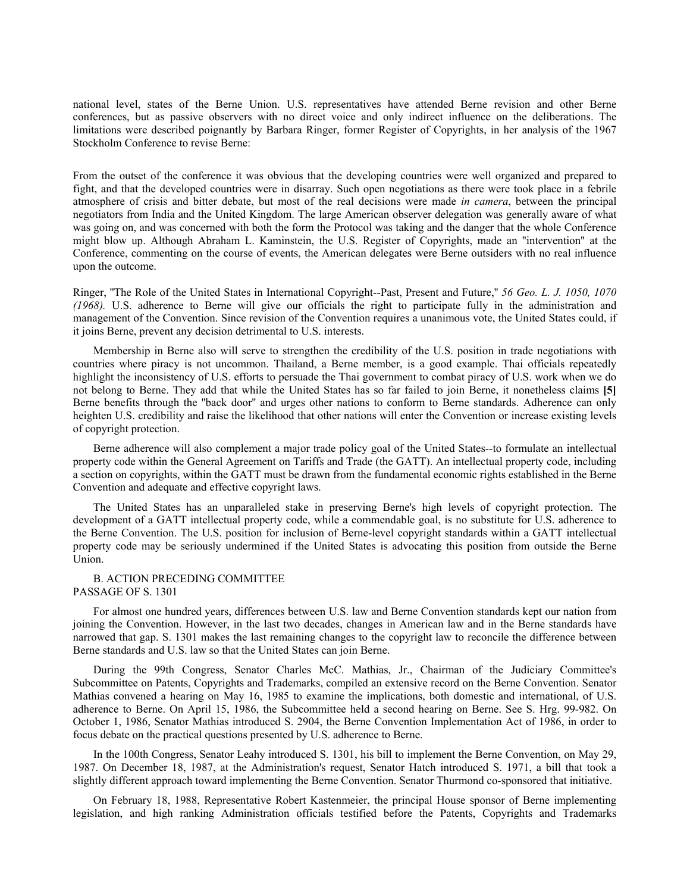national level, states of the Berne Union. U.S. representatives have attended Berne revision and other Berne conferences, but as passive observers with no direct voice and only indirect influence on the deliberations. The limitations were described poignantly by Barbara Ringer, former Register of Copyrights, in her analysis of the 1967 Stockholm Conference to revise Berne:

From the outset of the conference it was obvious that the developing countries were well organized and prepared to fight, and that the developed countries were in disarray. Such open negotiations as there were took place in a febrile atmosphere of crisis and bitter debate, but most of the real decisions were made *in camera*, between the principal negotiators from India and the United Kingdom. The large American observer delegation was generally aware of what was going on, and was concerned with both the form the Protocol was taking and the danger that the whole Conference might blow up. Although Abraham L. Kaminstein, the U.S. Register of Copyrights, made an ''intervention'' at the Conference, commenting on the course of events, the American delegates were Berne outsiders with no real influence upon the outcome.

Ringer, ''The Role of the United States in International Copyright--Past, Present and Future,'' *56 Geo. L. J. 1050, 1070 (1968).* U.S. adherence to Berne will give our officials the right to participate fully in the administration and management of the Convention. Since revision of the Convention requires a unanimous vote, the United States could, if it joins Berne, prevent any decision detrimental to U.S. interests.

Membership in Berne also will serve to strengthen the credibility of the U.S. position in trade negotiations with countries where piracy is not uncommon. Thailand, a Berne member, is a good example. Thai officials repeatedly highlight the inconsistency of U.S. efforts to persuade the Thai government to combat piracy of U.S. work when we do not belong to Berne. They add that while the United States has so far failed to join Berne, it nonetheless claims **[5]** Berne benefits through the ''back door'' and urges other nations to conform to Berne standards. Adherence can only heighten U.S. credibility and raise the likelihood that other nations will enter the Convention or increase existing levels of copyright protection.

Berne adherence will also complement a major trade policy goal of the United States--to formulate an intellectual property code within the General Agreement on Tariffs and Trade (the GATT). An intellectual property code, including a section on copyrights, within the GATT must be drawn from the fundamental economic rights established in the Berne Convention and adequate and effective copyright laws.

The United States has an unparalleled stake in preserving Berne's high levels of copyright protection. The development of a GATT intellectual property code, while a commendable goal, is no substitute for U.S. adherence to the Berne Convention. The U.S. position for inclusion of Berne-level copyright standards within a GATT intellectual property code may be seriously undermined if the United States is advocating this position from outside the Berne Union.

### B. ACTION PRECEDING COMMITTEE PASSAGE OF S. 1301

For almost one hundred years, differences between U.S. law and Berne Convention standards kept our nation from joining the Convention. However, in the last two decades, changes in American law and in the Berne standards have narrowed that gap. S. 1301 makes the last remaining changes to the copyright law to reconcile the difference between Berne standards and U.S. law so that the United States can join Berne.

During the 99th Congress, Senator Charles McC. Mathias, Jr., Chairman of the Judiciary Committee's Subcommittee on Patents, Copyrights and Trademarks, compiled an extensive record on the Berne Convention. Senator Mathias convened a hearing on May 16, 1985 to examine the implications, both domestic and international, of U.S. adherence to Berne. On April 15, 1986, the Subcommittee held a second hearing on Berne. See S. Hrg. 99-982. On October 1, 1986, Senator Mathias introduced S. 2904, the Berne Convention Implementation Act of 1986, in order to focus debate on the practical questions presented by U.S. adherence to Berne.

In the 100th Congress, Senator Leahy introduced S. 1301, his bill to implement the Berne Convention, on May 29, 1987. On December 18, 1987, at the Administration's request, Senator Hatch introduced S. 1971, a bill that took a slightly different approach toward implementing the Berne Convention. Senator Thurmond co-sponsored that initiative.

On February 18, 1988, Representative Robert Kastenmeier, the principal House sponsor of Berne implementing legislation, and high ranking Administration officials testified before the Patents, Copyrights and Trademarks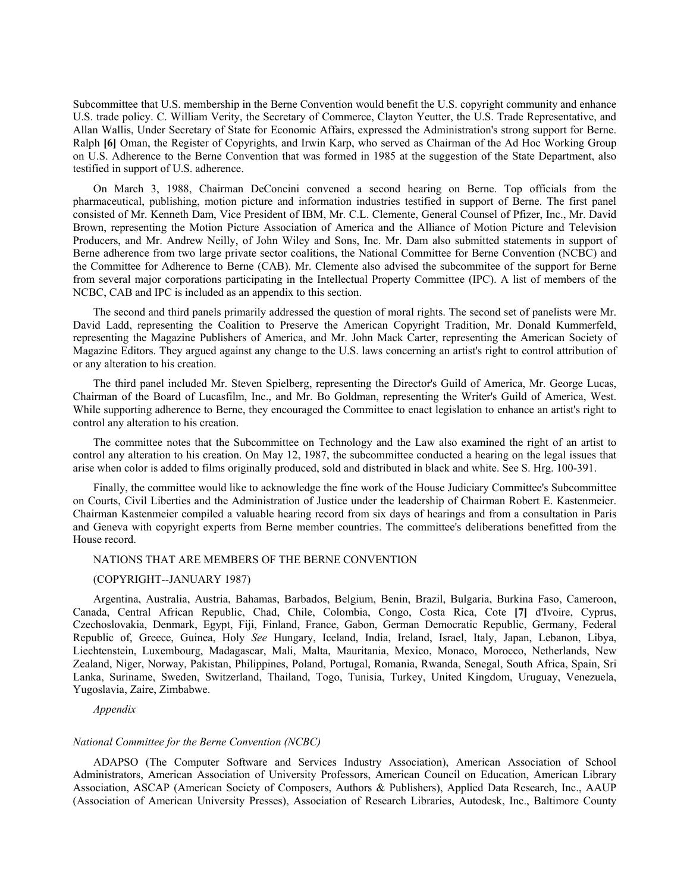Subcommittee that U.S. membership in the Berne Convention would benefit the U.S. copyright community and enhance U.S. trade policy. C. William Verity, the Secretary of Commerce, Clayton Yeutter, the U.S. Trade Representative, and Allan Wallis, Under Secretary of State for Economic Affairs, expressed the Administration's strong support for Berne. Ralph **[6]** Oman, the Register of Copyrights, and Irwin Karp, who served as Chairman of the Ad Hoc Working Group on U.S. Adherence to the Berne Convention that was formed in 1985 at the suggestion of the State Department, also testified in support of U.S. adherence.

On March 3, 1988, Chairman DeConcini convened a second hearing on Berne. Top officials from the pharmaceutical, publishing, motion picture and information industries testified in support of Berne. The first panel consisted of Mr. Kenneth Dam, Vice President of IBM, Mr. C.L. Clemente, General Counsel of Pfizer, Inc., Mr. David Brown, representing the Motion Picture Association of America and the Alliance of Motion Picture and Television Producers, and Mr. Andrew Neilly, of John Wiley and Sons, Inc. Mr. Dam also submitted statements in support of Berne adherence from two large private sector coalitions, the National Committee for Berne Convention (NCBC) and the Committee for Adherence to Berne (CAB). Mr. Clemente also advised the subcommitee of the support for Berne from several major corporations participating in the Intellectual Property Committee (IPC). A list of members of the NCBC, CAB and IPC is included as an appendix to this section.

The second and third panels primarily addressed the question of moral rights. The second set of panelists were Mr. David Ladd, representing the Coalition to Preserve the American Copyright Tradition, Mr. Donald Kummerfeld, representing the Magazine Publishers of America, and Mr. John Mack Carter, representing the American Society of Magazine Editors. They argued against any change to the U.S. laws concerning an artist's right to control attribution of or any alteration to his creation.

The third panel included Mr. Steven Spielberg, representing the Director's Guild of America, Mr. George Lucas, Chairman of the Board of Lucasfilm, Inc., and Mr. Bo Goldman, representing the Writer's Guild of America, West. While supporting adherence to Berne, they encouraged the Committee to enact legislation to enhance an artist's right to control any alteration to his creation.

The committee notes that the Subcommittee on Technology and the Law also examined the right of an artist to control any alteration to his creation. On May 12, 1987, the subcommittee conducted a hearing on the legal issues that arise when color is added to films originally produced, sold and distributed in black and white. See S. Hrg. 100-391.

Finally, the committee would like to acknowledge the fine work of the House Judiciary Committee's Subcommittee on Courts, Civil Liberties and the Administration of Justice under the leadership of Chairman Robert E. Kastenmeier. Chairman Kastenmeier compiled a valuable hearing record from six days of hearings and from a consultation in Paris and Geneva with copyright experts from Berne member countries. The committee's deliberations benefitted from the House record.

### NATIONS THAT ARE MEMBERS OF THE BERNE CONVENTION

## (COPYRIGHT--JANUARY 1987)

Argentina, Australia, Austria, Bahamas, Barbados, Belgium, Benin, Brazil, Bulgaria, Burkina Faso, Cameroon, Canada, Central African Republic, Chad, Chile, Colombia, Congo, Costa Rica, Cote **[7]** d'Ivoire, Cyprus, Czechoslovakia, Denmark, Egypt, Fiji, Finland, France, Gabon, German Democratic Republic, Germany, Federal Republic of, Greece, Guinea, Holy *See* Hungary, Iceland, India, Ireland, Israel, Italy, Japan, Lebanon, Libya, Liechtenstein, Luxembourg, Madagascar, Mali, Malta, Mauritania, Mexico, Monaco, Morocco, Netherlands, New Zealand, Niger, Norway, Pakistan, Philippines, Poland, Portugal, Romania, Rwanda, Senegal, South Africa, Spain, Sri Lanka, Suriname, Sweden, Switzerland, Thailand, Togo, Tunisia, Turkey, United Kingdom, Uruguay, Venezuela, Yugoslavia, Zaire, Zimbabwe.

*Appendix*

#### *National Committee for the Berne Convention (NCBC)*

ADAPSO (The Computer Software and Services Industry Association), American Association of School Administrators, American Association of University Professors, American Council on Education, American Library Association, ASCAP (American Society of Composers, Authors & Publishers), Applied Data Research, Inc., AAUP (Association of American University Presses), Association of Research Libraries, Autodesk, Inc., Baltimore County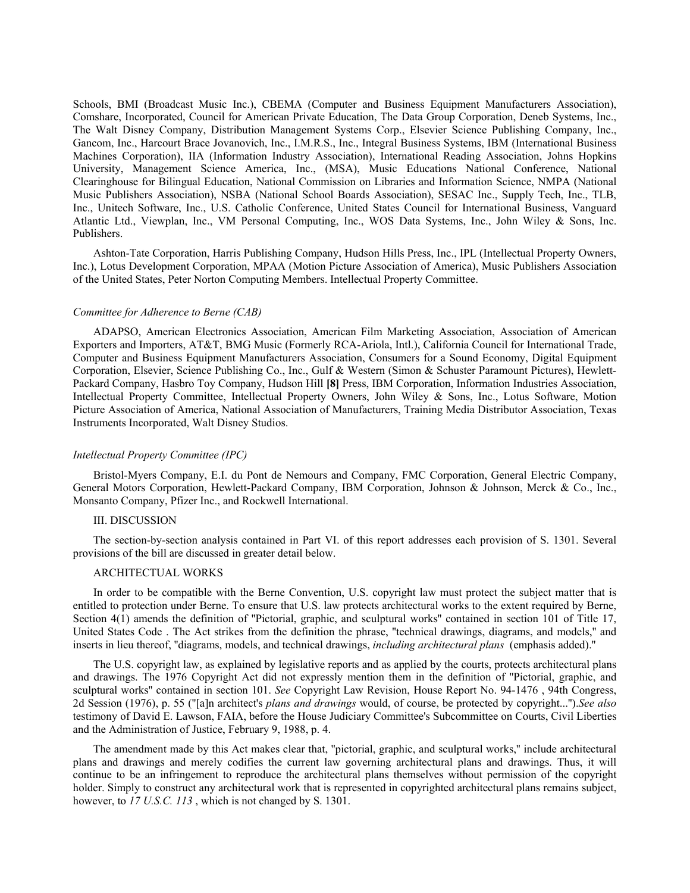Schools, BMI (Broadcast Music Inc.), CBEMA (Computer and Business Equipment Manufacturers Association), Comshare, Incorporated, Council for American Private Education, The Data Group Corporation, Deneb Systems, Inc., The Walt Disney Company, Distribution Management Systems Corp., Elsevier Science Publishing Company, Inc., Gancom, Inc., Harcourt Brace Jovanovich, Inc., I.M.R.S., Inc., Integral Business Systems, IBM (International Business Machines Corporation), IIA (Information Industry Association), International Reading Association, Johns Hopkins University, Management Science America, Inc., (MSA), Music Educations National Conference, National Clearinghouse for Bilingual Education, National Commission on Libraries and Information Science, NMPA (National Music Publishers Association), NSBA (National School Boards Association), SESAC Inc., Supply Tech, Inc., TLB, Inc., Unitech Software, Inc., U.S. Catholic Conference, United States Council for International Business, Vanguard Atlantic Ltd., Viewplan, Inc., VM Personal Computing, Inc., WOS Data Systems, Inc., John Wiley & Sons, Inc. Publishers.

Ashton-Tate Corporation, Harris Publishing Company, Hudson Hills Press, Inc., IPL (Intellectual Property Owners, Inc.), Lotus Development Corporation, MPAA (Motion Picture Association of America), Music Publishers Association of the United States, Peter Norton Computing Members. Intellectual Property Committee.

#### *Committee for Adherence to Berne (CAB)*

ADAPSO, American Electronics Association, American Film Marketing Association, Association of American Exporters and Importers, AT&T, BMG Music (Formerly RCA-Ariola, Intl.), California Council for International Trade, Computer and Business Equipment Manufacturers Association, Consumers for a Sound Economy, Digital Equipment Corporation, Elsevier, Science Publishing Co., Inc., Gulf & Western (Simon & Schuster Paramount Pictures), Hewlett-Packard Company, Hasbro Toy Company, Hudson Hill **[8]** Press, IBM Corporation, Information Industries Association, Intellectual Property Committee, Intellectual Property Owners, John Wiley & Sons, Inc., Lotus Software, Motion Picture Association of America, National Association of Manufacturers, Training Media Distributor Association, Texas Instruments Incorporated, Walt Disney Studios.

### *Intellectual Property Committee (IPC)*

Bristol-Myers Company, E.I. du Pont de Nemours and Company, FMC Corporation, General Electric Company, General Motors Corporation, Hewlett-Packard Company, IBM Corporation, Johnson & Johnson, Merck & Co., Inc., Monsanto Company, Pfizer Inc., and Rockwell International.

#### III. DISCUSSION

The section-by-section analysis contained in Part VI. of this report addresses each provision of S. 1301. Several provisions of the bill are discussed in greater detail below.

## ARCHITECTUAL WORKS

In order to be compatible with the Berne Convention, U.S. copyright law must protect the subject matter that is entitled to protection under Berne. To ensure that U.S. law protects architectural works to the extent required by Berne, Section 4(1) amends the definition of ''Pictorial, graphic, and sculptural works'' contained in section 101 of Title 17, United States Code . The Act strikes from the definition the phrase, ''technical drawings, diagrams, and models,'' and inserts in lieu thereof, ''diagrams, models, and technical drawings, *including architectural plans* (emphasis added).''

The U.S. copyright law, as explained by legislative reports and as applied by the courts, protects architectural plans and drawings. The 1976 Copyright Act did not expressly mention them in the definition of ''Pictorial, graphic, and sculptural works'' contained in section 101. *See* Copyright Law Revision, House Report No. 94-1476 , 94th Congress, 2d Session (1976), p. 55 (''[a]n architect's *plans and drawings* would, of course, be protected by copyright...'').*See also* testimony of David E. Lawson, FAIA, before the House Judiciary Committee's Subcommittee on Courts, Civil Liberties and the Administration of Justice, February 9, 1988, p. 4.

The amendment made by this Act makes clear that, ''pictorial, graphic, and sculptural works,'' include architectural plans and drawings and merely codifies the current law governing architectural plans and drawings. Thus, it will continue to be an infringement to reproduce the architectural plans themselves without permission of the copyright holder. Simply to construct any architectural work that is represented in copyrighted architectural plans remains subject, however, to *17 U.S.C. 113*, which is not changed by S. 1301.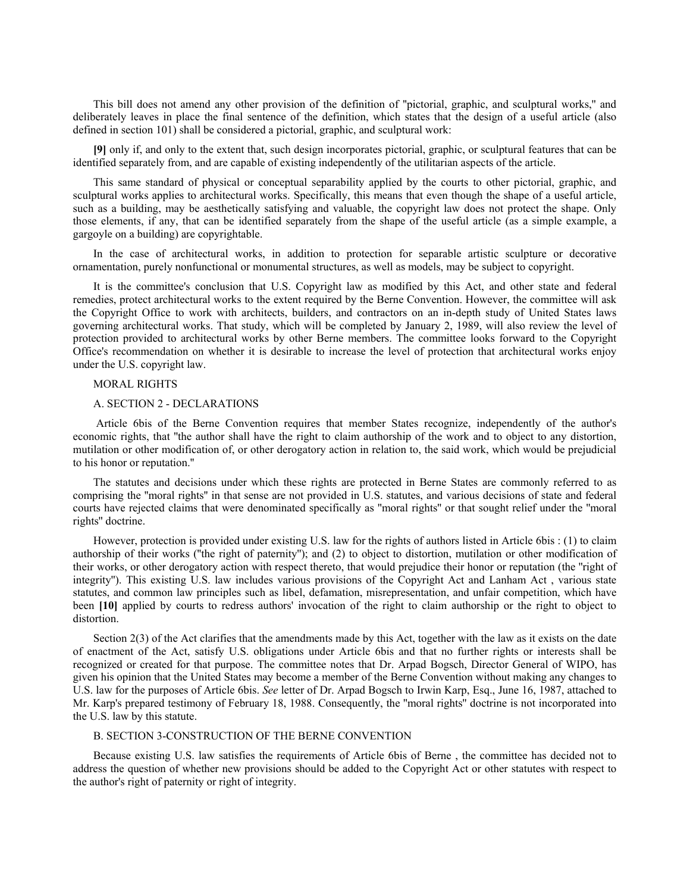This bill does not amend any other provision of the definition of ''pictorial, graphic, and sculptural works,'' and deliberately leaves in place the final sentence of the definition, which states that the design of a useful article (also defined in section 101) shall be considered a pictorial, graphic, and sculptural work:

**[9]** only if, and only to the extent that, such design incorporates pictorial, graphic, or sculptural features that can be identified separately from, and are capable of existing independently of the utilitarian aspects of the article.

This same standard of physical or conceptual separability applied by the courts to other pictorial, graphic, and sculptural works applies to architectural works. Specifically, this means that even though the shape of a useful article, such as a building, may be aesthetically satisfying and valuable, the copyright law does not protect the shape. Only those elements, if any, that can be identified separately from the shape of the useful article (as a simple example, a gargoyle on a building) are copyrightable.

In the case of architectural works, in addition to protection for separable artistic sculpture or decorative ornamentation, purely nonfunctional or monumental structures, as well as models, may be subject to copyright.

It is the committee's conclusion that U.S. Copyright law as modified by this Act, and other state and federal remedies, protect architectural works to the extent required by the Berne Convention. However, the committee will ask the Copyright Office to work with architects, builders, and contractors on an in-depth study of United States laws governing architectural works. That study, which will be completed by January 2, 1989, will also review the level of protection provided to architectural works by other Berne members. The committee looks forward to the Copyright Office's recommendation on whether it is desirable to increase the level of protection that architectural works enjoy under the U.S. copyright law.

# MORAL RIGHTS

## A. SECTION 2 - DECLARATIONS

 Article 6bis of the Berne Convention requires that member States recognize, independently of the author's economic rights, that ''the author shall have the right to claim authorship of the work and to object to any distortion, mutilation or other modification of, or other derogatory action in relation to, the said work, which would be prejudicial to his honor or reputation.''

The statutes and decisions under which these rights are protected in Berne States are commonly referred to as comprising the ''moral rights'' in that sense are not provided in U.S. statutes, and various decisions of state and federal courts have rejected claims that were denominated specifically as ''moral rights'' or that sought relief under the ''moral rights'' doctrine.

However, protection is provided under existing U.S. law for the rights of authors listed in Article 6bis : (1) to claim authorship of their works (''the right of paternity''); and (2) to object to distortion, mutilation or other modification of their works, or other derogatory action with respect thereto, that would prejudice their honor or reputation (the ''right of integrity''). This existing U.S. law includes various provisions of the Copyright Act and Lanham Act , various state statutes, and common law principles such as libel, defamation, misrepresentation, and unfair competition, which have been **[10]** applied by courts to redress authors' invocation of the right to claim authorship or the right to object to distortion.

Section 2(3) of the Act clarifies that the amendments made by this Act, together with the law as it exists on the date of enactment of the Act, satisfy U.S. obligations under Article 6bis and that no further rights or interests shall be recognized or created for that purpose. The committee notes that Dr. Arpad Bogsch, Director General of WIPO, has given his opinion that the United States may become a member of the Berne Convention without making any changes to U.S. law for the purposes of Article 6bis. *See* letter of Dr. Arpad Bogsch to Irwin Karp, Esq., June 16, 1987, attached to Mr. Karp's prepared testimony of February 18, 1988. Consequently, the ''moral rights'' doctrine is not incorporated into the U.S. law by this statute.

### B. SECTION 3-CONSTRUCTION OF THE BERNE CONVENTION

Because existing U.S. law satisfies the requirements of Article 6bis of Berne , the committee has decided not to address the question of whether new provisions should be added to the Copyright Act or other statutes with respect to the author's right of paternity or right of integrity.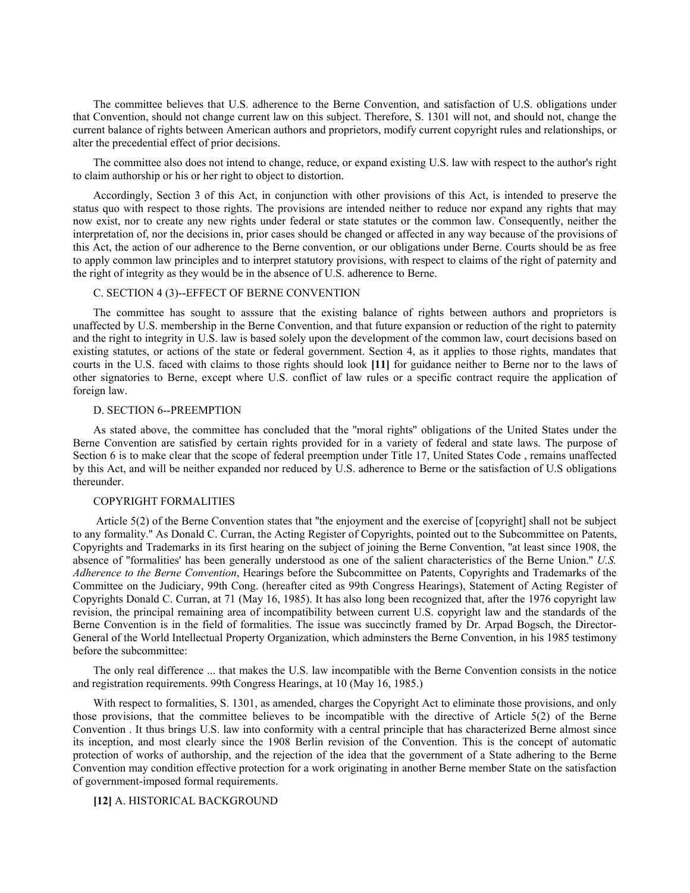The committee believes that U.S. adherence to the Berne Convention, and satisfaction of U.S. obligations under that Convention, should not change current law on this subject. Therefore, S. 1301 will not, and should not, change the current balance of rights between American authors and proprietors, modify current copyright rules and relationships, or alter the precedential effect of prior decisions.

The committee also does not intend to change, reduce, or expand existing U.S. law with respect to the author's right to claim authorship or his or her right to object to distortion.

Accordingly, Section 3 of this Act, in conjunction with other provisions of this Act, is intended to preserve the status quo with respect to those rights. The provisions are intended neither to reduce nor expand any rights that may now exist, nor to create any new rights under federal or state statutes or the common law. Consequently, neither the interpretation of, nor the decisions in, prior cases should be changed or affected in any way because of the provisions of this Act, the action of our adherence to the Berne convention, or our obligations under Berne. Courts should be as free to apply common law principles and to interpret statutory provisions, with respect to claims of the right of paternity and the right of integrity as they would be in the absence of U.S. adherence to Berne.

## C. SECTION 4 (3)--EFFECT OF BERNE CONVENTION

The committee has sought to asssure that the existing balance of rights between authors and proprietors is unaffected by U.S. membership in the Berne Convention, and that future expansion or reduction of the right to paternity and the right to integrity in U.S. law is based solely upon the development of the common law, court decisions based on existing statutes, or actions of the state or federal government. Section 4, as it applies to those rights, mandates that courts in the U.S. faced with claims to those rights should look **[11]** for guidance neither to Berne nor to the laws of other signatories to Berne, except where U.S. conflict of law rules or a specific contract require the application of foreign law.

### D. SECTION 6--PREEMPTION

As stated above, the committee has concluded that the ''moral rights'' obligations of the United States under the Berne Convention are satisfied by certain rights provided for in a variety of federal and state laws. The purpose of Section 6 is to make clear that the scope of federal preemption under Title 17, United States Code , remains unaffected by this Act, and will be neither expanded nor reduced by U.S. adherence to Berne or the satisfaction of U.S obligations thereunder.

## COPYRIGHT FORMALITIES

 Article 5(2) of the Berne Convention states that ''the enjoyment and the exercise of [copyright] shall not be subject to any formality.'' As Donald C. Curran, the Acting Register of Copyrights, pointed out to the Subcommittee on Patents, Copyrights and Trademarks in its first hearing on the subject of joining the Berne Convention, ''at least since 1908, the absence of ''formalities' has been generally understood as one of the salient characteristics of the Berne Union.'' *U.S. Adherence to the Berne Convention*, Hearings before the Subcommittee on Patents, Copyrights and Trademarks of the Committee on the Judiciary, 99th Cong. (hereafter cited as 99th Congress Hearings), Statement of Acting Register of Copyrights Donald C. Curran, at 71 (May 16, 1985). It has also long been recognized that, after the 1976 copyright law revision, the principal remaining area of incompatibility between current U.S. copyright law and the standards of the Berne Convention is in the field of formalities. The issue was succinctly framed by Dr. Arpad Bogsch, the Director-General of the World Intellectual Property Organization, which adminsters the Berne Convention, in his 1985 testimony before the subcommittee:

The only real difference ... that makes the U.S. law incompatible with the Berne Convention consists in the notice and registration requirements. 99th Congress Hearings, at 10 (May 16, 1985.)

With respect to formalities, S. 1301, as amended, charges the Copyright Act to eliminate those provisions, and only those provisions, that the committee believes to be incompatible with the directive of Article 5(2) of the Berne Convention . It thus brings U.S. law into conformity with a central principle that has characterized Berne almost since its inception, and most clearly since the 1908 Berlin revision of the Convention. This is the concept of automatic protection of works of authorship, and the rejection of the idea that the government of a State adhering to the Berne Convention may condition effective protection for a work originating in another Berne member State on the satisfaction of government-imposed formal requirements.

**[12]** A. HISTORICAL BACKGROUND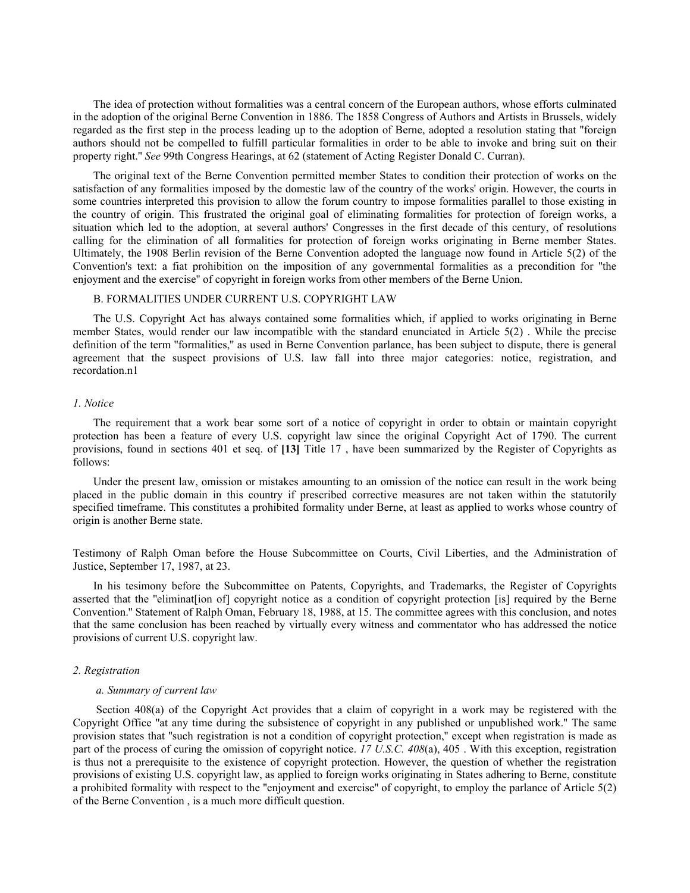The idea of protection without formalities was a central concern of the European authors, whose efforts culminated in the adoption of the original Berne Convention in 1886. The 1858 Congress of Authors and Artists in Brussels, widely regarded as the first step in the process leading up to the adoption of Berne, adopted a resolution stating that ''foreign authors should not be compelled to fulfill particular formalities in order to be able to invoke and bring suit on their property right.'' *See* 99th Congress Hearings, at 62 (statement of Acting Register Donald C. Curran).

The original text of the Berne Convention permitted member States to condition their protection of works on the satisfaction of any formalities imposed by the domestic law of the country of the works' origin. However, the courts in some countries interpreted this provision to allow the forum country to impose formalities parallel to those existing in the country of origin. This frustrated the original goal of eliminating formalities for protection of foreign works, a situation which led to the adoption, at several authors' Congresses in the first decade of this century, of resolutions calling for the elimination of all formalities for protection of foreign works originating in Berne member States. Ultimately, the 1908 Berlin revision of the Berne Convention adopted the language now found in Article 5(2) of the Convention's text: a fiat prohibition on the imposition of any governmental formalities as a precondition for ''the enjoyment and the exercise'' of copyright in foreign works from other members of the Berne Union.

# B. FORMALITIES UNDER CURRENT U.S. COPYRIGHT LAW

The U.S. Copyright Act has always contained some formalities which, if applied to works originating in Berne member States, would render our law incompatible with the standard enunciated in Article 5(2) . While the precise definition of the term ''formalities,'' as used in Berne Convention parlance, has been subject to dispute, there is general agreement that the suspect provisions of U.S. law fall into three major categories: notice, registration, and recordation.n1

## *1. Notice*

The requirement that a work bear some sort of a notice of copyright in order to obtain or maintain copyright protection has been a feature of every U.S. copyright law since the original Copyright Act of 1790. The current provisions, found in sections 401 et seq. of **[13]** Title 17 , have been summarized by the Register of Copyrights as follows:

Under the present law, omission or mistakes amounting to an omission of the notice can result in the work being placed in the public domain in this country if prescribed corrective measures are not taken within the statutorily specified timeframe. This constitutes a prohibited formality under Berne, at least as applied to works whose country of origin is another Berne state.

Testimony of Ralph Oman before the House Subcommittee on Courts, Civil Liberties, and the Administration of Justice, September 17, 1987, at 23.

In his tesimony before the Subcommittee on Patents, Copyrights, and Trademarks, the Register of Copyrights asserted that the "eliminat [ion of] copyright notice as a condition of copyright protection [is] required by the Berne Convention.'' Statement of Ralph Oman, February 18, 1988, at 15. The committee agrees with this conclusion, and notes that the same conclusion has been reached by virtually every witness and commentator who has addressed the notice provisions of current U.S. copyright law.

### *2. Registration*

#### *a. Summary of current law*

 Section 408(a) of the Copyright Act provides that a claim of copyright in a work may be registered with the Copyright Office ''at any time during the subsistence of copyright in any published or unpublished work.'' The same provision states that ''such registration is not a condition of copyright protection,'' except when registration is made as part of the process of curing the omission of copyright notice. *17 U.S.C. 408*(a), 405 . With this exception, registration is thus not a prerequisite to the existence of copyright protection. However, the question of whether the registration provisions of existing U.S. copyright law, as applied to foreign works originating in States adhering to Berne, constitute a prohibited formality with respect to the ''enjoyment and exercise'' of copyright, to employ the parlance of Article 5(2) of the Berne Convention , is a much more difficult question.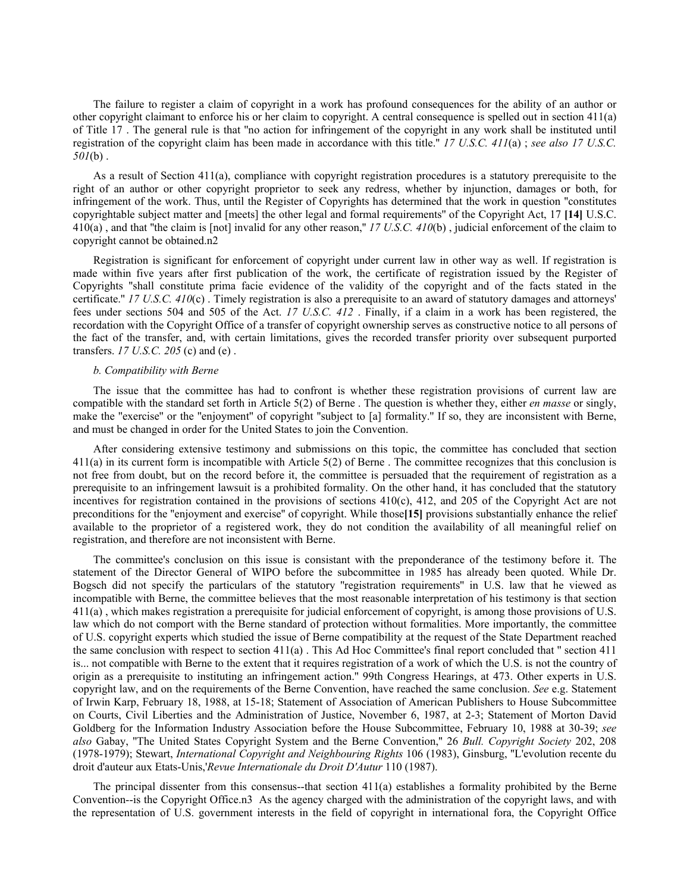The failure to register a claim of copyright in a work has profound consequences for the ability of an author or other copyright claimant to enforce his or her claim to copyright. A central consequence is spelled out in section 411(a) of Title 17 . The general rule is that ''no action for infringement of the copyright in any work shall be instituted until registration of the copyright claim has been made in accordance with this title.'' *17 U.S.C. 411*(a) ; *see also 17 U.S.C. 501*(b) .

As a result of Section 411(a), compliance with copyright registration procedures is a statutory prerequisite to the right of an author or other copyright proprietor to seek any redress, whether by injunction, damages or both, for infringement of the work. Thus, until the Register of Copyrights has determined that the work in question ''constitutes copyrightable subject matter and [meets] the other legal and formal requirements'' of the Copyright Act, 17 **[14]** U.S.C. 410(a) , and that ''the claim is [not] invalid for any other reason,'' *17 U.S.C. 410*(b) , judicial enforcement of the claim to copyright cannot be obtained.n2

Registration is significant for enforcement of copyright under current law in other way as well. If registration is made within five years after first publication of the work, the certificate of registration issued by the Register of Copyrights ''shall constitute prima facie evidence of the validity of the copyright and of the facts stated in the certificate.'' *17 U.S.C. 410*(c) . Timely registration is also a prerequisite to an award of statutory damages and attorneys' fees under sections 504 and 505 of the Act. *17 U.S.C. 412* . Finally, if a claim in a work has been registered, the recordation with the Copyright Office of a transfer of copyright ownership serves as constructive notice to all persons of the fact of the transfer, and, with certain limitations, gives the recorded transfer priority over subsequent purported transfers. *17 U.S.C. 205* (c) and (e) .

## *b. Compatibility with Berne*

The issue that the committee has had to confront is whether these registration provisions of current law are compatible with the standard set forth in Article 5(2) of Berne . The question is whether they, either *en masse* or singly, make the "exercise" or the "enjoyment" of copyright "subject to [a] formality." If so, they are inconsistent with Berne, and must be changed in order for the United States to join the Convention.

After considering extensive testimony and submissions on this topic, the committee has concluded that section 411(a) in its current form is incompatible with Article 5(2) of Berne . The committee recognizes that this conclusion is not free from doubt, but on the record before it, the committee is persuaded that the requirement of registration as a prerequisite to an infringement lawsuit is a prohibited formality. On the other hand, it has concluded that the statutory incentives for registration contained in the provisions of sections 410(c), 412, and 205 of the Copyright Act are not preconditions for the ''enjoyment and exercise'' of copyright. While those**[15]** provisions substantially enhance the relief available to the proprietor of a registered work, they do not condition the availability of all meaningful relief on registration, and therefore are not inconsistent with Berne.

The committee's conclusion on this issue is consistant with the preponderance of the testimony before it. The statement of the Director General of WIPO before the subcommittee in 1985 has already been quoted. While Dr. Bogsch did not specify the particulars of the statutory ''registration requirements'' in U.S. law that he viewed as incompatible with Berne, the committee believes that the most reasonable interpretation of his testimony is that section 411(a) , which makes registration a prerequisite for judicial enforcement of copyright, is among those provisions of U.S. law which do not comport with the Berne standard of protection without formalities. More importantly, the committee of U.S. copyright experts which studied the issue of Berne compatibility at the request of the State Department reached the same conclusion with respect to section 411(a) . This Ad Hoc Committee's final report concluded that '' section 411 is... not compatible with Berne to the extent that it requires registration of a work of which the U.S. is not the country of origin as a prerequisite to instituting an infringement action.'' 99th Congress Hearings, at 473. Other experts in U.S. copyright law, and on the requirements of the Berne Convention, have reached the same conclusion. *See* e.g. Statement of Irwin Karp, February 18, 1988, at 15-18; Statement of Association of American Publishers to House Subcommittee on Courts, Civil Liberties and the Administration of Justice, November 6, 1987, at 2-3; Statement of Morton David Goldberg for the Information Industry Association before the House Subcommittee, February 10, 1988 at 30-39; *see also* Gabay, ''The United States Copyright System and the Berne Convention,'' 26 *Bull. Copyright Society* 202, 208 (1978-1979); Stewart, *International Copyright and Neighbouring Rights* 106 (1983), Ginsburg, ''L'evolution recente du droit d'auteur aux Etats-Unis,'*Revue Internationale du Droit D'Autur* 110 (1987).

The principal dissenter from this consensus--that section 411(a) establishes a formality prohibited by the Berne Convention--is the Copyright Office.n3 As the agency charged with the administration of the copyright laws, and with the representation of U.S. government interests in the field of copyright in international fora, the Copyright Office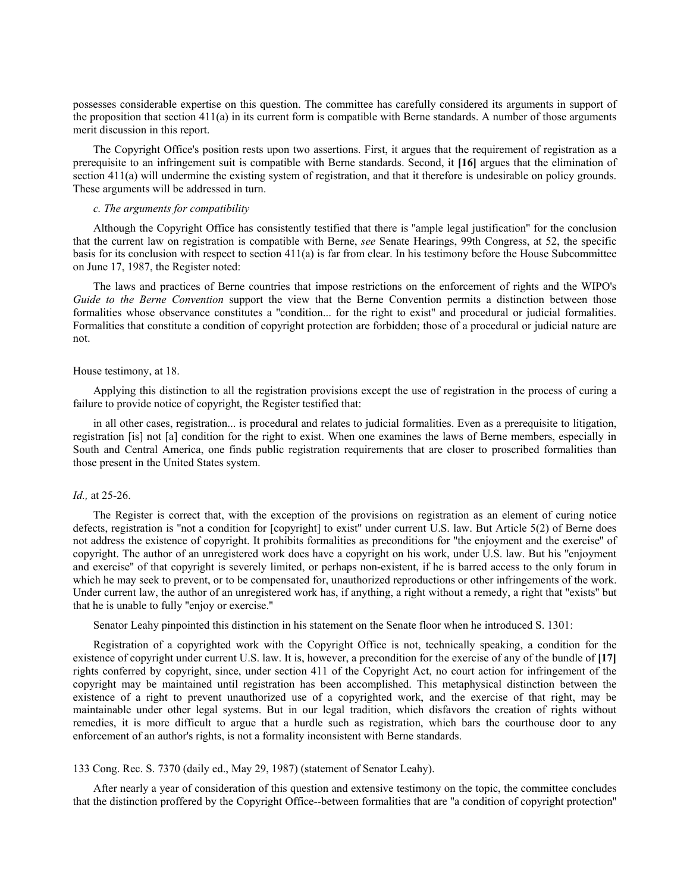possesses considerable expertise on this question. The committee has carefully considered its arguments in support of the proposition that section  $411(a)$  in its current form is compatible with Berne standards. A number of those arguments merit discussion in this report.

The Copyright Office's position rests upon two assertions. First, it argues that the requirement of registration as a prerequisite to an infringement suit is compatible with Berne standards. Second, it **[16]** argues that the elimination of section 411(a) will undermine the existing system of registration, and that it therefore is undesirable on policy grounds. These arguments will be addressed in turn.

### *c. The arguments for compatibility*

Although the Copyright Office has consistently testified that there is ''ample legal justification'' for the conclusion that the current law on registration is compatible with Berne, *see* Senate Hearings, 99th Congress, at 52, the specific basis for its conclusion with respect to section 411(a) is far from clear. In his testimony before the House Subcommittee on June 17, 1987, the Register noted:

The laws and practices of Berne countries that impose restrictions on the enforcement of rights and the WIPO's *Guide to the Berne Convention* support the view that the Berne Convention permits a distinction between those formalities whose observance constitutes a ''condition... for the right to exist'' and procedural or judicial formalities. Formalities that constitute a condition of copyright protection are forbidden; those of a procedural or judicial nature are not.

#### House testimony, at 18.

Applying this distinction to all the registration provisions except the use of registration in the process of curing a failure to provide notice of copyright, the Register testified that:

in all other cases, registration... is procedural and relates to judicial formalities. Even as a prerequisite to litigation, registration [is] not [a] condition for the right to exist. When one examines the laws of Berne members, especially in South and Central America, one finds public registration requirements that are closer to proscribed formalities than those present in the United States system.

## *Id.,* at 25-26.

The Register is correct that, with the exception of the provisions on registration as an element of curing notice defects, registration is "not a condition for [copyright] to exist" under current U.S. law. But Article 5(2) of Berne does not address the existence of copyright. It prohibits formalities as preconditions for ''the enjoyment and the exercise'' of copyright. The author of an unregistered work does have a copyright on his work, under U.S. law. But his ''enjoyment and exercise'' of that copyright is severely limited, or perhaps non-existent, if he is barred access to the only forum in which he may seek to prevent, or to be compensated for, unauthorized reproductions or other infringements of the work. Under current law, the author of an unregistered work has, if anything, a right without a remedy, a right that ''exists'' but that he is unable to fully ''enjoy or exercise.''

Senator Leahy pinpointed this distinction in his statement on the Senate floor when he introduced S. 1301:

Registration of a copyrighted work with the Copyright Office is not, technically speaking, a condition for the existence of copyright under current U.S. law. It is, however, a precondition for the exercise of any of the bundle of **[17]** rights conferred by copyright, since, under section 411 of the Copyright Act, no court action for infringement of the copyright may be maintained until registration has been accomplished. This metaphysical distinction between the existence of a right to prevent unauthorized use of a copyrighted work, and the exercise of that right, may be maintainable under other legal systems. But in our legal tradition, which disfavors the creation of rights without remedies, it is more difficult to argue that a hurdle such as registration, which bars the courthouse door to any enforcement of an author's rights, is not a formality inconsistent with Berne standards.

133 Cong. Rec. S. 7370 (daily ed., May 29, 1987) (statement of Senator Leahy).

After nearly a year of consideration of this question and extensive testimony on the topic, the committee concludes that the distinction proffered by the Copyright Office--between formalities that are ''a condition of copyright protection''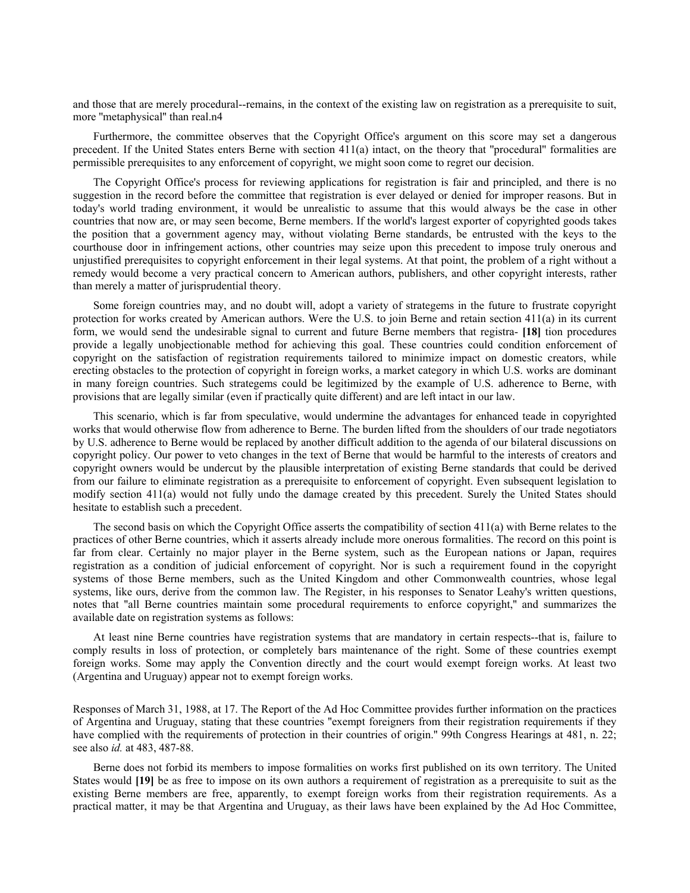and those that are merely procedural--remains, in the context of the existing law on registration as a prerequisite to suit, more ''metaphysical'' than real.n4

Furthermore, the committee observes that the Copyright Office's argument on this score may set a dangerous precedent. If the United States enters Berne with section 411(a) intact, on the theory that ''procedural'' formalities are permissible prerequisites to any enforcement of copyright, we might soon come to regret our decision.

The Copyright Office's process for reviewing applications for registration is fair and principled, and there is no suggestion in the record before the committee that registration is ever delayed or denied for improper reasons. But in today's world trading environment, it would be unrealistic to assume that this would always be the case in other countries that now are, or may seen become, Berne members. If the world's largest exporter of copyrighted goods takes the position that a government agency may, without violating Berne standards, be entrusted with the keys to the courthouse door in infringement actions, other countries may seize upon this precedent to impose truly onerous and unjustified prerequisites to copyright enforcement in their legal systems. At that point, the problem of a right without a remedy would become a very practical concern to American authors, publishers, and other copyright interests, rather than merely a matter of jurisprudential theory.

Some foreign countries may, and no doubt will, adopt a variety of strategems in the future to frustrate copyright protection for works created by American authors. Were the U.S. to join Berne and retain section 411(a) in its current form, we would send the undesirable signal to current and future Berne members that registra- **[18]** tion procedures provide a legally unobjectionable method for achieving this goal. These countries could condition enforcement of copyright on the satisfaction of registration requirements tailored to minimize impact on domestic creators, while erecting obstacles to the protection of copyright in foreign works, a market category in which U.S. works are dominant in many foreign countries. Such strategems could be legitimized by the example of U.S. adherence to Berne, with provisions that are legally similar (even if practically quite different) and are left intact in our law.

This scenario, which is far from speculative, would undermine the advantages for enhanced teade in copyrighted works that would otherwise flow from adherence to Berne. The burden lifted from the shoulders of our trade negotiators by U.S. adherence to Berne would be replaced by another difficult addition to the agenda of our bilateral discussions on copyright policy. Our power to veto changes in the text of Berne that would be harmful to the interests of creators and copyright owners would be undercut by the plausible interpretation of existing Berne standards that could be derived from our failure to eliminate registration as a prerequisite to enforcement of copyright. Even subsequent legislation to modify section 411(a) would not fully undo the damage created by this precedent. Surely the United States should hesitate to establish such a precedent.

The second basis on which the Copyright Office asserts the compatibility of section 411(a) with Berne relates to the practices of other Berne countries, which it asserts already include more onerous formalities. The record on this point is far from clear. Certainly no major player in the Berne system, such as the European nations or Japan, requires registration as a condition of judicial enforcement of copyright. Nor is such a requirement found in the copyright systems of those Berne members, such as the United Kingdom and other Commonwealth countries, whose legal systems, like ours, derive from the common law. The Register, in his responses to Senator Leahy's written questions, notes that ''all Berne countries maintain some procedural requirements to enforce copyright,'' and summarizes the available date on registration systems as follows:

At least nine Berne countries have registration systems that are mandatory in certain respects--that is, failure to comply results in loss of protection, or completely bars maintenance of the right. Some of these countries exempt foreign works. Some may apply the Convention directly and the court would exempt foreign works. At least two (Argentina and Uruguay) appear not to exempt foreign works.

Responses of March 31, 1988, at 17. The Report of the Ad Hoc Committee provides further information on the practices of Argentina and Uruguay, stating that these countries ''exempt foreigners from their registration requirements if they have complied with the requirements of protection in their countries of origin." 99th Congress Hearings at 481, n. 22; see also *id.* at 483, 487-88.

Berne does not forbid its members to impose formalities on works first published on its own territory. The United States would **[19]** be as free to impose on its own authors a requirement of registration as a prerequisite to suit as the existing Berne members are free, apparently, to exempt foreign works from their registration requirements. As a practical matter, it may be that Argentina and Uruguay, as their laws have been explained by the Ad Hoc Committee,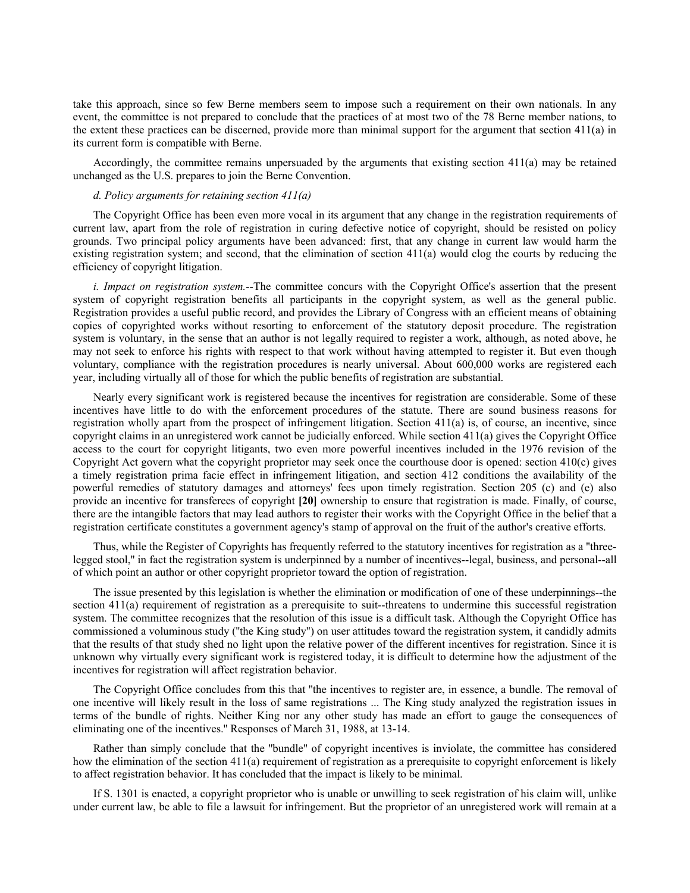take this approach, since so few Berne members seem to impose such a requirement on their own nationals. In any event, the committee is not prepared to conclude that the practices of at most two of the 78 Berne member nations, to the extent these practices can be discerned, provide more than minimal support for the argument that section 411(a) in its current form is compatible with Berne.

Accordingly, the committee remains unpersuaded by the arguments that existing section 411(a) may be retained unchanged as the U.S. prepares to join the Berne Convention.

### *d. Policy arguments for retaining section 411(a)*

The Copyright Office has been even more vocal in its argument that any change in the registration requirements of current law, apart from the role of registration in curing defective notice of copyright, should be resisted on policy grounds. Two principal policy arguments have been advanced: first, that any change in current law would harm the existing registration system; and second, that the elimination of section 411(a) would clog the courts by reducing the efficiency of copyright litigation.

*i. Impact on registration system.*--The committee concurs with the Copyright Office's assertion that the present system of copyright registration benefits all participants in the copyright system, as well as the general public. Registration provides a useful public record, and provides the Library of Congress with an efficient means of obtaining copies of copyrighted works without resorting to enforcement of the statutory deposit procedure. The registration system is voluntary, in the sense that an author is not legally required to register a work, although, as noted above, he may not seek to enforce his rights with respect to that work without having attempted to register it. But even though voluntary, compliance with the registration procedures is nearly universal. About 600,000 works are registered each year, including virtually all of those for which the public benefits of registration are substantial.

Nearly every significant work is registered because the incentives for registration are considerable. Some of these incentives have little to do with the enforcement procedures of the statute. There are sound business reasons for registration wholly apart from the prospect of infringement litigation. Section 411(a) is, of course, an incentive, since copyright claims in an unregistered work cannot be judicially enforced. While section 411(a) gives the Copyright Office access to the court for copyright litigants, two even more powerful incentives included in the 1976 revision of the Copyright Act govern what the copyright proprietor may seek once the courthouse door is opened: section 410(c) gives a timely registration prima facie effect in infringement litigation, and section 412 conditions the availability of the powerful remedies of statutory damages and attorneys' fees upon timely registration. Section 205 (c) and (e) also provide an incentive for transferees of copyright **[20]** ownership to ensure that registration is made. Finally, of course, there are the intangible factors that may lead authors to register their works with the Copyright Office in the belief that a registration certificate constitutes a government agency's stamp of approval on the fruit of the author's creative efforts.

Thus, while the Register of Copyrights has frequently referred to the statutory incentives for registration as a ''threelegged stool,'' in fact the registration system is underpinned by a number of incentives--legal, business, and personal--all of which point an author or other copyright proprietor toward the option of registration.

The issue presented by this legislation is whether the elimination or modification of one of these underpinnings--the section 411(a) requirement of registration as a prerequisite to suit--threatens to undermine this successful registration system. The committee recognizes that the resolution of this issue is a difficult task. Although the Copyright Office has commissioned a voluminous study (''the King study'') on user attitudes toward the registration system, it candidly admits that the results of that study shed no light upon the relative power of the different incentives for registration. Since it is unknown why virtually every significant work is registered today, it is difficult to determine how the adjustment of the incentives for registration will affect registration behavior.

The Copyright Office concludes from this that ''the incentives to register are, in essence, a bundle. The removal of one incentive will likely result in the loss of same registrations ... The King study analyzed the registration issues in terms of the bundle of rights. Neither King nor any other study has made an effort to gauge the consequences of eliminating one of the incentives.'' Responses of March 31, 1988, at 13-14.

Rather than simply conclude that the ''bundle'' of copyright incentives is inviolate, the committee has considered how the elimination of the section 411(a) requirement of registration as a prerequisite to copyright enforcement is likely to affect registration behavior. It has concluded that the impact is likely to be minimal.

If S. 1301 is enacted, a copyright proprietor who is unable or unwilling to seek registration of his claim will, unlike under current law, be able to file a lawsuit for infringement. But the proprietor of an unregistered work will remain at a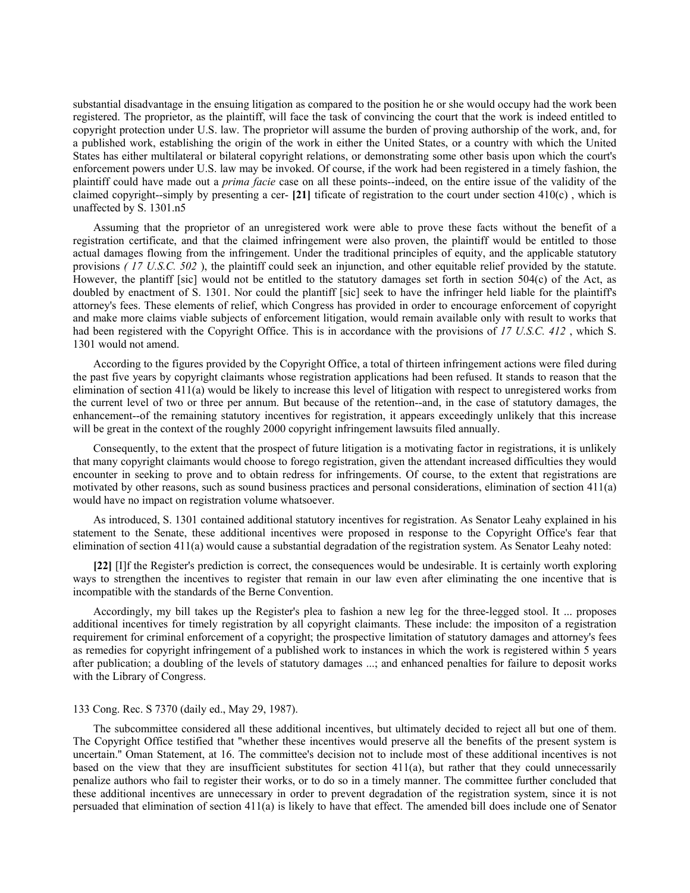substantial disadvantage in the ensuing litigation as compared to the position he or she would occupy had the work been registered. The proprietor, as the plaintiff, will face the task of convincing the court that the work is indeed entitled to copyright protection under U.S. law. The proprietor will assume the burden of proving authorship of the work, and, for a published work, establishing the origin of the work in either the United States, or a country with which the United States has either multilateral or bilateral copyright relations, or demonstrating some other basis upon which the court's enforcement powers under U.S. law may be invoked. Of course, if the work had been registered in a timely fashion, the plaintiff could have made out a *prima facie* case on all these points--indeed, on the entire issue of the validity of the claimed copyright--simply by presenting a cer- **[21]** tificate of registration to the court under section 410(c) , which is unaffected by S. 1301.n5

Assuming that the proprietor of an unregistered work were able to prove these facts without the benefit of a registration certificate, and that the claimed infringement were also proven, the plaintiff would be entitled to those actual damages flowing from the infringement. Under the traditional principles of equity, and the applicable statutory provisions *( 17 U.S.C. 502* ), the plaintiff could seek an injunction, and other equitable relief provided by the statute. However, the plantiff [sic] would not be entitled to the statutory damages set forth in section 504(c) of the Act, as doubled by enactment of S. 1301. Nor could the plantiff [sic] seek to have the infringer held liable for the plaintiff's attorney's fees. These elements of relief, which Congress has provided in order to encourage enforcement of copyright and make more claims viable subjects of enforcement litigation, would remain available only with result to works that had been registered with the Copyright Office. This is in accordance with the provisions of *17 U.S.C. 412* , which S. 1301 would not amend.

According to the figures provided by the Copyright Office, a total of thirteen infringement actions were filed during the past five years by copyright claimants whose registration applications had been refused. It stands to reason that the elimination of section 411(a) would be likely to increase this level of litigation with respect to unregistered works from the current level of two or three per annum. But because of the retention--and, in the case of statutory damages, the enhancement--of the remaining statutory incentives for registration, it appears exceedingly unlikely that this increase will be great in the context of the roughly 2000 copyright infringement lawsuits filed annually.

Consequently, to the extent that the prospect of future litigation is a motivating factor in registrations, it is unlikely that many copyright claimants would choose to forego registration, given the attendant increased difficulties they would encounter in seeking to prove and to obtain redress for infringements. Of course, to the extent that registrations are motivated by other reasons, such as sound business practices and personal considerations, elimination of section 411(a) would have no impact on registration volume whatsoever.

As introduced, S. 1301 contained additional statutory incentives for registration. As Senator Leahy explained in his statement to the Senate, these additional incentives were proposed in response to the Copyright Office's fear that elimination of section 411(a) would cause a substantial degradation of the registration system. As Senator Leahy noted:

**[22]** [I]f the Register's prediction is correct, the consequences would be undesirable. It is certainly worth exploring ways to strengthen the incentives to register that remain in our law even after eliminating the one incentive that is incompatible with the standards of the Berne Convention.

Accordingly, my bill takes up the Register's plea to fashion a new leg for the three-legged stool. It ... proposes additional incentives for timely registration by all copyright claimants. These include: the impositon of a registration requirement for criminal enforcement of a copyright; the prospective limitation of statutory damages and attorney's fees as remedies for copyright infringement of a published work to instances in which the work is registered within 5 years after publication; a doubling of the levels of statutory damages ...; and enhanced penalties for failure to deposit works with the Library of Congress.

### 133 Cong. Rec. S 7370 (daily ed., May 29, 1987).

The subcommittee considered all these additional incentives, but ultimately decided to reject all but one of them. The Copyright Office testified that ''whether these incentives would preserve all the benefits of the present system is uncertain.'' Oman Statement, at 16. The committee's decision not to include most of these additional incentives is not based on the view that they are insufficient substitutes for section 411(a), but rather that they could unnecessarily penalize authors who fail to register their works, or to do so in a timely manner. The committee further concluded that these additional incentives are unnecessary in order to prevent degradation of the registration system, since it is not persuaded that elimination of section 411(a) is likely to have that effect. The amended bill does include one of Senator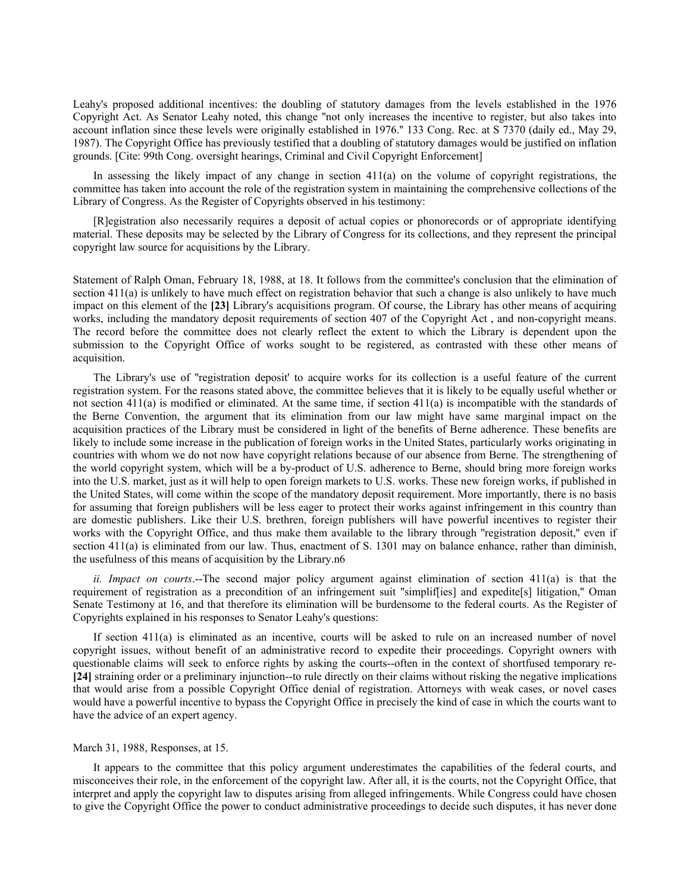Leahy's proposed additional incentives: the doubling of statutory damages from the levels established in the 1976 Copyright Act. As Senator Leahy noted, this change ''not only increases the incentive to register, but also takes into account inflation since these levels were originally established in 1976.'' 133 Cong. Rec. at S 7370 (daily ed., May 29, 1987). The Copyright Office has previously testified that a doubling of statutory damages would be justified on inflation grounds. [Cite: 99th Cong. oversight hearings, Criminal and Civil Copyright Enforcement]

In assessing the likely impact of any change in section 411(a) on the volume of copyright registrations, the committee has taken into account the role of the registration system in maintaining the comprehensive collections of the Library of Congress. As the Register of Copyrights observed in his testimony:

[R]egistration also necessarily requires a deposit of actual copies or phonorecords or of appropriate identifying material. These deposits may be selected by the Library of Congress for its collections, and they represent the principal copyright law source for acquisitions by the Library.

Statement of Ralph Oman, February 18, 1988, at 18. It follows from the committee's conclusion that the elimination of section 411(a) is unlikely to have much effect on registration behavior that such a change is also unlikely to have much impact on this element of the **[23]** Library's acquisitions program. Of course, the Library has other means of acquiring works, including the mandatory deposit requirements of section 407 of the Copyright Act , and non-copyright means. The record before the committee does not clearly reflect the extent to which the Library is dependent upon the submission to the Copyright Office of works sought to be registered, as contrasted with these other means of acquisition.

The Library's use of ''registration deposit' to acquire works for its collection is a useful feature of the current registration system. For the reasons stated above, the committee believes that it is likely to be equally useful whether or not section 411(a) is modified or eliminated. At the same time, if section 411(a) is incompatible with the standards of the Berne Convention, the argument that its elimination from our law might have same marginal impact on the acquisition practices of the Library must be considered in light of the benefits of Berne adherence. These benefits are likely to include some increase in the publication of foreign works in the United States, particularly works originating in countries with whom we do not now have copyright relations because of our absence from Berne. The strengthening of the world copyright system, which will be a by-product of U.S. adherence to Berne, should bring more foreign works into the U.S. market, just as it will help to open foreign markets to U.S. works. These new foreign works, if published in the United States, will come within the scope of the mandatory deposit requirement. More importantly, there is no basis for assuming that foreign publishers will be less eager to protect their works against infringement in this country than are domestic publishers. Like their U.S. brethren, foreign publishers will have powerful incentives to register their works with the Copyright Office, and thus make them available to the library through "registration deposit," even if section 411(a) is eliminated from our law. Thus, enactment of S. 1301 may on balance enhance, rather than diminish, the usefulness of this means of acquisition by the Library.n6

*ii. Impact on courts*.--The second major policy argument against elimination of section 411(a) is that the requirement of registration as a precondition of an infringement suit ''simplif[ies] and expedite[s] litigation,'' Oman Senate Testimony at 16, and that therefore its elimination will be burdensome to the federal courts. As the Register of Copyrights explained in his responses to Senator Leahy's questions:

If section 411(a) is eliminated as an incentive, courts will be asked to rule on an increased number of novel copyright issues, without benefit of an administrative record to expedite their proceedings. Copyright owners with questionable claims will seek to enforce rights by asking the courts--often in the context of shortfused temporary re- **[24]** straining order or a preliminary injunction--to rule directly on their claims without risking the negative implications that would arise from a possible Copyright Office denial of registration. Attorneys with weak cases, or novel cases would have a powerful incentive to bypass the Copyright Office in precisely the kind of case in which the courts want to have the advice of an expert agency.

### March 31, 1988, Responses, at 15.

It appears to the committee that this policy argument underestimates the capabilities of the federal courts, and misconceives their role, in the enforcement of the copyright law. After all, it is the courts, not the Copyright Office, that interpret and apply the copyright law to disputes arising from alleged infringements. While Congress could have chosen to give the Copyright Office the power to conduct administrative proceedings to decide such disputes, it has never done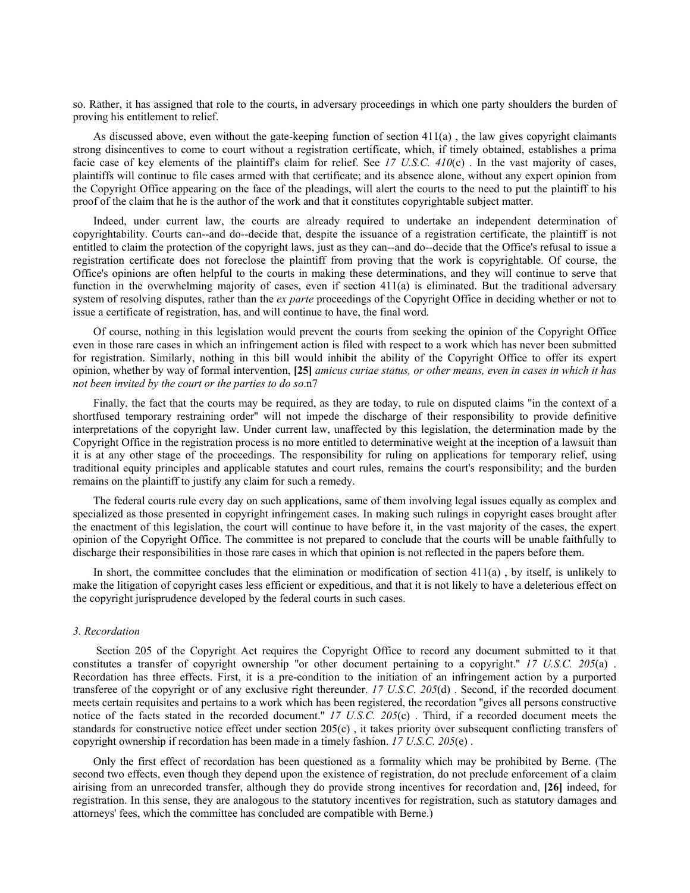so. Rather, it has assigned that role to the courts, in adversary proceedings in which one party shoulders the burden of proving his entitlement to relief.

As discussed above, even without the gate-keeping function of section 411(a) , the law gives copyright claimants strong disincentives to come to court without a registration certificate, which, if timely obtained, establishes a prima facie case of key elements of the plaintiff's claim for relief. See 17 U.S.C. 410(c). In the vast majority of cases, plaintiffs will continue to file cases armed with that certificate; and its absence alone, without any expert opinion from the Copyright Office appearing on the face of the pleadings, will alert the courts to the need to put the plaintiff to his proof of the claim that he is the author of the work and that it constitutes copyrightable subject matter.

Indeed, under current law, the courts are already required to undertake an independent determination of copyrightability. Courts can--and do--decide that, despite the issuance of a registration certificate, the plaintiff is not entitled to claim the protection of the copyright laws, just as they can--and do--decide that the Office's refusal to issue a registration certificate does not foreclose the plaintiff from proving that the work is copyrightable. Of course, the Office's opinions are often helpful to the courts in making these determinations, and they will continue to serve that function in the overwhelming majority of cases, even if section 411(a) is eliminated. But the traditional adversary system of resolving disputes, rather than the *ex parte* proceedings of the Copyright Office in deciding whether or not to issue a certificate of registration, has, and will continue to have, the final word.

Of course, nothing in this legislation would prevent the courts from seeking the opinion of the Copyright Office even in those rare cases in which an infringement action is filed with respect to a work which has never been submitted for registration. Similarly, nothing in this bill would inhibit the ability of the Copyright Office to offer its expert opinion, whether by way of formal intervention, **[25]** *amicus curiae status, or other means, even in cases in which it has not been invited by the court or the parties to do so*.n7

Finally, the fact that the courts may be required, as they are today, to rule on disputed claims "in the context of a shortfused temporary restraining order'' will not impede the discharge of their responsibility to provide definitive interpretations of the copyright law. Under current law, unaffected by this legislation, the determination made by the Copyright Office in the registration process is no more entitled to determinative weight at the inception of a lawsuit than it is at any other stage of the proceedings. The responsibility for ruling on applications for temporary relief, using traditional equity principles and applicable statutes and court rules, remains the court's responsibility; and the burden remains on the plaintiff to justify any claim for such a remedy.

The federal courts rule every day on such applications, same of them involving legal issues equally as complex and specialized as those presented in copyright infringement cases. In making such rulings in copyright cases brought after the enactment of this legislation, the court will continue to have before it, in the vast majority of the cases, the expert opinion of the Copyright Office. The committee is not prepared to conclude that the courts will be unable faithfully to discharge their responsibilities in those rare cases in which that opinion is not reflected in the papers before them.

In short, the committee concludes that the elimination or modification of section 411(a) , by itself, is unlikely to make the litigation of copyright cases less efficient or expeditious, and that it is not likely to have a deleterious effect on the copyright jurisprudence developed by the federal courts in such cases.

# *3. Recordation*

 Section 205 of the Copyright Act requires the Copyright Office to record any document submitted to it that constitutes a transfer of copyright ownership ''or other document pertaining to a copyright.'' *17 U.S.C. 205*(a) . Recordation has three effects. First, it is a pre-condition to the initiation of an infringement action by a purported transferee of the copyright or of any exclusive right thereunder. *17 U.S.C. 205*(d) . Second, if the recorded document meets certain requisites and pertains to a work which has been registered, the recordation ''gives all persons constructive notice of the facts stated in the recorded document.'' *17 U.S.C. 205*(c) . Third, if a recorded document meets the standards for constructive notice effect under section 205(c) , it takes priority over subsequent conflicting transfers of copyright ownership if recordation has been made in a timely fashion. *17 U.S.C. 205*(e) .

Only the first effect of recordation has been questioned as a formality which may be prohibited by Berne. (The second two effects, even though they depend upon the existence of registration, do not preclude enforcement of a claim airising from an unrecorded transfer, although they do provide strong incentives for recordation and, **[26]** indeed, for registration. In this sense, they are analogous to the statutory incentives for registration, such as statutory damages and attorneys' fees, which the committee has concluded are compatible with Berne.)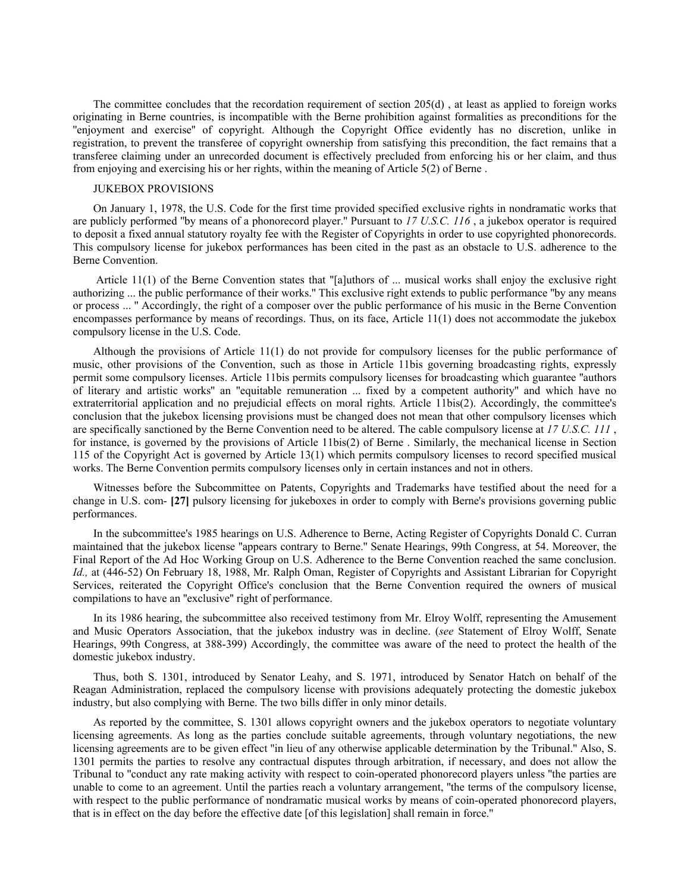The committee concludes that the recordation requirement of section 205(d) , at least as applied to foreign works originating in Berne countries, is incompatible with the Berne prohibition against formalities as preconditions for the ''enjoyment and exercise'' of copyright. Although the Copyright Office evidently has no discretion, unlike in registration, to prevent the transferee of copyright ownership from satisfying this precondition, the fact remains that a transferee claiming under an unrecorded document is effectively precluded from enforcing his or her claim, and thus from enjoying and exercising his or her rights, within the meaning of Article 5(2) of Berne .

## JUKEBOX PROVISIONS

On January 1, 1978, the U.S. Code for the first time provided specified exclusive rights in nondramatic works that are publicly performed ''by means of a phonorecord player.'' Pursuant to *17 U.S.C. 116* , a jukebox operator is required to deposit a fixed annual statutory royalty fee with the Register of Copyrights in order to use copyrighted phonorecords. This compulsory license for jukebox performances has been cited in the past as an obstacle to U.S. adherence to the Berne Convention.

 Article 11(1) of the Berne Convention states that ''[a]uthors of ... musical works shall enjoy the exclusive right authorizing ... the public performance of their works." This exclusive right extends to public performance "by any means or process ... '' Accordingly, the right of a composer over the public performance of his music in the Berne Convention encompasses performance by means of recordings. Thus, on its face, Article 11(1) does not accommodate the jukebox compulsory license in the U.S. Code.

Although the provisions of Article 11(1) do not provide for compulsory licenses for the public performance of music, other provisions of the Convention, such as those in Article 11bis governing broadcasting rights, expressly permit some compulsory licenses. Article 11bis permits compulsory licenses for broadcasting which guarantee ''authors of literary and artistic works'' an ''equitable remuneration ... fixed by a competent authority'' and which have no extraterritorial application and no prejudicial effects on moral rights. Article 11bis(2). Accordingly, the committee's conclusion that the jukebox licensing provisions must be changed does not mean that other compulsory licenses which are specifically sanctioned by the Berne Convention need to be altered. The cable compulsory license at *17 U.S.C. 111* , for instance, is governed by the provisions of Article 11bis(2) of Berne . Similarly, the mechanical license in Section 115 of the Copyright Act is governed by Article 13(1) which permits compulsory licenses to record specified musical works. The Berne Convention permits compulsory licenses only in certain instances and not in others.

Witnesses before the Subcommittee on Patents, Copyrights and Trademarks have testified about the need for a change in U.S. com- **[27]** pulsory licensing for jukeboxes in order to comply with Berne's provisions governing public performances.

In the subcommittee's 1985 hearings on U.S. Adherence to Berne, Acting Register of Copyrights Donald C. Curran maintained that the jukebox license ''appears contrary to Berne.'' Senate Hearings, 99th Congress, at 54. Moreover, the Final Report of the Ad Hoc Working Group on U.S. Adherence to the Berne Convention reached the same conclusion. *Id.,* at (446-52) On February 18, 1988, Mr. Ralph Oman, Register of Copyrights and Assistant Librarian for Copyright Services, reiterated the Copyright Office's conclusion that the Berne Convention required the owners of musical compilations to have an ''exclusive'' right of performance.

In its 1986 hearing, the subcommittee also received testimony from Mr. Elroy Wolff, representing the Amusement and Music Operators Association, that the jukebox industry was in decline. (*see* Statement of Elroy Wolff, Senate Hearings, 99th Congress, at 388-399) Accordingly, the committee was aware of the need to protect the health of the domestic jukebox industry.

Thus, both S. 1301, introduced by Senator Leahy, and S. 1971, introduced by Senator Hatch on behalf of the Reagan Administration, replaced the compulsory license with provisions adequately protecting the domestic jukebox industry, but also complying with Berne. The two bills differ in only minor details.

As reported by the committee, S. 1301 allows copyright owners and the jukebox operators to negotiate voluntary licensing agreements. As long as the parties conclude suitable agreements, through voluntary negotiations, the new licensing agreements are to be given effect ''in lieu of any otherwise applicable determination by the Tribunal.'' Also, S. 1301 permits the parties to resolve any contractual disputes through arbitration, if necessary, and does not allow the Tribunal to ''conduct any rate making activity with respect to coin-operated phonorecord players unless ''the parties are unable to come to an agreement. Until the parties reach a voluntary arrangement, ''the terms of the compulsory license, with respect to the public performance of nondramatic musical works by means of coin-operated phonorecord players, that is in effect on the day before the effective date [of this legislation] shall remain in force.''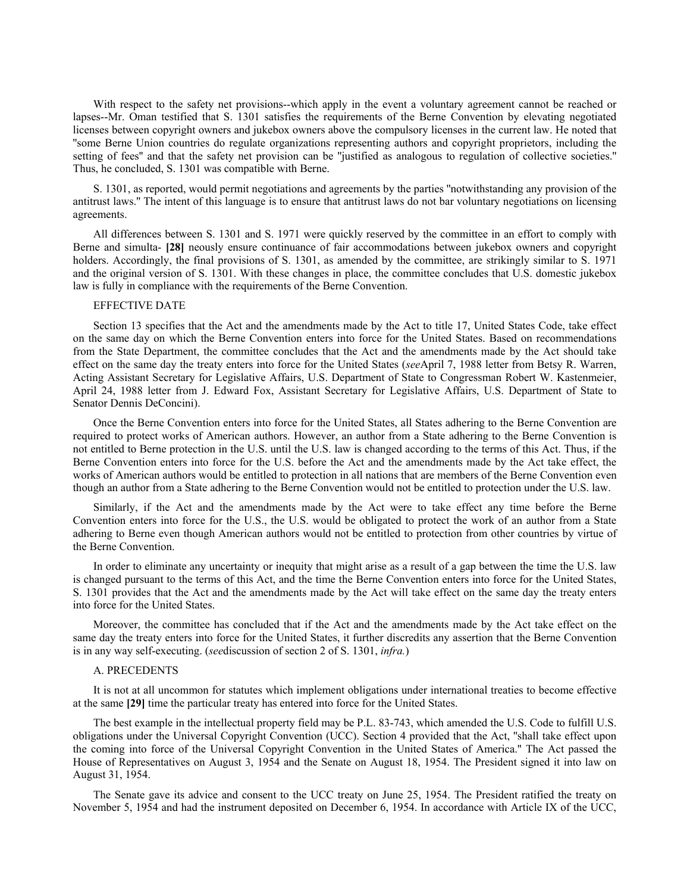With respect to the safety net provisions--which apply in the event a voluntary agreement cannot be reached or lapses--Mr. Oman testified that S. 1301 satisfies the requirements of the Berne Convention by elevating negotiated licenses between copyright owners and jukebox owners above the compulsory licenses in the current law. He noted that ''some Berne Union countries do regulate organizations representing authors and copyright proprietors, including the setting of fees'' and that the safety net provision can be ''justified as analogous to regulation of collective societies.'' Thus, he concluded, S. 1301 was compatible with Berne.

S. 1301, as reported, would permit negotiations and agreements by the parties ''notwithstanding any provision of the antitrust laws.'' The intent of this language is to ensure that antitrust laws do not bar voluntary negotiations on licensing agreements.

All differences between S. 1301 and S. 1971 were quickly reserved by the committee in an effort to comply with Berne and simulta- **[28]** neously ensure continuance of fair accommodations between jukebox owners and copyright holders. Accordingly, the final provisions of S. 1301, as amended by the committee, are strikingly similar to S. 1971 and the original version of S. 1301. With these changes in place, the committee concludes that U.S. domestic jukebox law is fully in compliance with the requirements of the Berne Convention.

## EFFECTIVE DATE

Section 13 specifies that the Act and the amendments made by the Act to title 17, United States Code, take effect on the same day on which the Berne Convention enters into force for the United States. Based on recommendations from the State Department, the committee concludes that the Act and the amendments made by the Act should take effect on the same day the treaty enters into force for the United States (*see*April 7, 1988 letter from Betsy R. Warren, Acting Assistant Secretary for Legislative Affairs, U.S. Department of State to Congressman Robert W. Kastenmeier, April 24, 1988 letter from J. Edward Fox, Assistant Secretary for Legislative Affairs, U.S. Department of State to Senator Dennis DeConcini).

Once the Berne Convention enters into force for the United States, all States adhering to the Berne Convention are required to protect works of American authors. However, an author from a State adhering to the Berne Convention is not entitled to Berne protection in the U.S. until the U.S. law is changed according to the terms of this Act. Thus, if the Berne Convention enters into force for the U.S. before the Act and the amendments made by the Act take effect, the works of American authors would be entitled to protection in all nations that are members of the Berne Convention even though an author from a State adhering to the Berne Convention would not be entitled to protection under the U.S. law.

Similarly, if the Act and the amendments made by the Act were to take effect any time before the Berne Convention enters into force for the U.S., the U.S. would be obligated to protect the work of an author from a State adhering to Berne even though American authors would not be entitled to protection from other countries by virtue of the Berne Convention.

In order to eliminate any uncertainty or inequity that might arise as a result of a gap between the time the U.S. law is changed pursuant to the terms of this Act, and the time the Berne Convention enters into force for the United States, S. 1301 provides that the Act and the amendments made by the Act will take effect on the same day the treaty enters into force for the United States.

Moreover, the committee has concluded that if the Act and the amendments made by the Act take effect on the same day the treaty enters into force for the United States, it further discredits any assertion that the Berne Convention is in any way self-executing. (*see*discussion of section 2 of S. 1301, *infra.*)

## A. PRECEDENTS

It is not at all uncommon for statutes which implement obligations under international treaties to become effective at the same **[29]** time the particular treaty has entered into force for the United States.

The best example in the intellectual property field may be P.L. 83-743, which amended the U.S. Code to fulfill U.S. obligations under the Universal Copyright Convention (UCC). Section 4 provided that the Act, ''shall take effect upon the coming into force of the Universal Copyright Convention in the United States of America.'' The Act passed the House of Representatives on August 3, 1954 and the Senate on August 18, 1954. The President signed it into law on August 31, 1954.

The Senate gave its advice and consent to the UCC treaty on June 25, 1954. The President ratified the treaty on November 5, 1954 and had the instrument deposited on December 6, 1954. In accordance with Article IX of the UCC,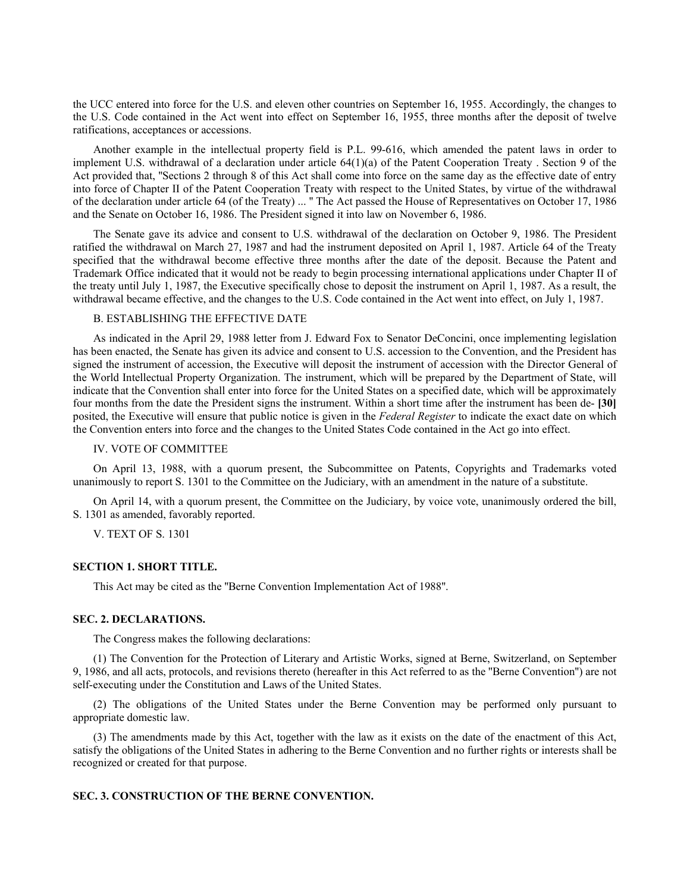the UCC entered into force for the U.S. and eleven other countries on September 16, 1955. Accordingly, the changes to the U.S. Code contained in the Act went into effect on September 16, 1955, three months after the deposit of twelve ratifications, acceptances or accessions.

Another example in the intellectual property field is P.L. 99-616, which amended the patent laws in order to implement U.S. withdrawal of a declaration under article 64(1)(a) of the Patent Cooperation Treaty . Section 9 of the Act provided that, ''Sections 2 through 8 of this Act shall come into force on the same day as the effective date of entry into force of Chapter II of the Patent Cooperation Treaty with respect to the United States, by virtue of the withdrawal of the declaration under article 64 (of the Treaty) ... '' The Act passed the House of Representatives on October 17, 1986 and the Senate on October 16, 1986. The President signed it into law on November 6, 1986.

The Senate gave its advice and consent to U.S. withdrawal of the declaration on October 9, 1986. The President ratified the withdrawal on March 27, 1987 and had the instrument deposited on April 1, 1987. Article 64 of the Treaty specified that the withdrawal become effective three months after the date of the deposit. Because the Patent and Trademark Office indicated that it would not be ready to begin processing international applications under Chapter II of the treaty until July 1, 1987, the Executive specifically chose to deposit the instrument on April 1, 1987. As a result, the withdrawal became effective, and the changes to the U.S. Code contained in the Act went into effect, on July 1, 1987.

#### B. ESTABLISHING THE EFFECTIVE DATE

As indicated in the April 29, 1988 letter from J. Edward Fox to Senator DeConcini, once implementing legislation has been enacted, the Senate has given its advice and consent to U.S. accession to the Convention, and the President has signed the instrument of accession, the Executive will deposit the instrument of accession with the Director General of the World Intellectual Property Organization. The instrument, which will be prepared by the Department of State, will indicate that the Convention shall enter into force for the United States on a specified date, which will be approximately four months from the date the President signs the instrument. Within a short time after the instrument has been de- **[30]** posited, the Executive will ensure that public notice is given in the *Federal Register* to indicate the exact date on which the Convention enters into force and the changes to the United States Code contained in the Act go into effect.

# IV. VOTE OF COMMITTEE

On April 13, 1988, with a quorum present, the Subcommittee on Patents, Copyrights and Trademarks voted unanimously to report S. 1301 to the Committee on the Judiciary, with an amendment in the nature of a substitute.

On April 14, with a quorum present, the Committee on the Judiciary, by voice vote, unanimously ordered the bill, S. 1301 as amended, favorably reported.

V. TEXT OF S. 1301

## **SECTION 1. SHORT TITLE.**

This Act may be cited as the ''Berne Convention Implementation Act of 1988''.

## **SEC. 2. DECLARATIONS.**

The Congress makes the following declarations:

(1) The Convention for the Protection of Literary and Artistic Works, signed at Berne, Switzerland, on September 9, 1986, and all acts, protocols, and revisions thereto (hereafter in this Act referred to as the ''Berne Convention'') are not self-executing under the Constitution and Laws of the United States.

(2) The obligations of the United States under the Berne Convention may be performed only pursuant to appropriate domestic law.

(3) The amendments made by this Act, together with the law as it exists on the date of the enactment of this Act, satisfy the obligations of the United States in adhering to the Berne Convention and no further rights or interests shall be recognized or created for that purpose.

## **SEC. 3. CONSTRUCTION OF THE BERNE CONVENTION.**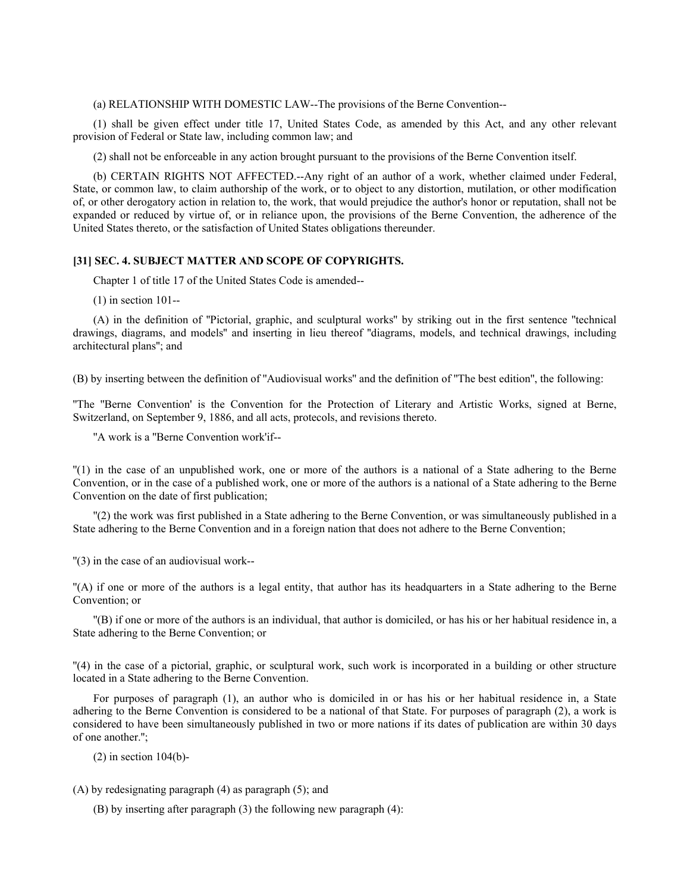(a) RELATIONSHIP WITH DOMESTIC LAW--The provisions of the Berne Convention--

(1) shall be given effect under title 17, United States Code, as amended by this Act, and any other relevant provision of Federal or State law, including common law; and

(2) shall not be enforceable in any action brought pursuant to the provisions of the Berne Convention itself.

(b) CERTAIN RIGHTS NOT AFFECTED.--Any right of an author of a work, whether claimed under Federal, State, or common law, to claim authorship of the work, or to object to any distortion, mutilation, or other modification of, or other derogatory action in relation to, the work, that would prejudice the author's honor or reputation, shall not be expanded or reduced by virtue of, or in reliance upon, the provisions of the Berne Convention, the adherence of the United States thereto, or the satisfaction of United States obligations thereunder.

## **[31] SEC. 4. SUBJECT MATTER AND SCOPE OF COPYRIGHTS.**

Chapter 1 of title 17 of the United States Code is amended--

(1) in section 101--

(A) in the definition of ''Pictorial, graphic, and sculptural works'' by striking out in the first sentence ''technical drawings, diagrams, and models'' and inserting in lieu thereof ''diagrams, models, and technical drawings, including architectural plans''; and

(B) by inserting between the definition of ''Audiovisual works'' and the definition of ''The best edition'', the following:

''The ''Berne Convention' is the Convention for the Protection of Literary and Artistic Works, signed at Berne, Switzerland, on September 9, 1886, and all acts, protecols, and revisions thereto.

''A work is a ''Berne Convention work'if--

''(1) in the case of an unpublished work, one or more of the authors is a national of a State adhering to the Berne Convention, or in the case of a published work, one or more of the authors is a national of a State adhering to the Berne Convention on the date of first publication;

''(2) the work was first published in a State adhering to the Berne Convention, or was simultaneously published in a State adhering to the Berne Convention and in a foreign nation that does not adhere to the Berne Convention;

''(3) in the case of an audiovisual work--

''(A) if one or more of the authors is a legal entity, that author has its headquarters in a State adhering to the Berne Convention; or

''(B) if one or more of the authors is an individual, that author is domiciled, or has his or her habitual residence in, a State adhering to the Berne Convention; or

''(4) in the case of a pictorial, graphic, or sculptural work, such work is incorporated in a building or other structure located in a State adhering to the Berne Convention.

For purposes of paragraph (1), an author who is domiciled in or has his or her habitual residence in, a State adhering to the Berne Convention is considered to be a national of that State. For purposes of paragraph (2), a work is considered to have been simultaneously published in two or more nations if its dates of publication are within 30 days of one another.'';

(2) in section 104(b)-

(A) by redesignating paragraph (4) as paragraph (5); and

(B) by inserting after paragraph (3) the following new paragraph (4):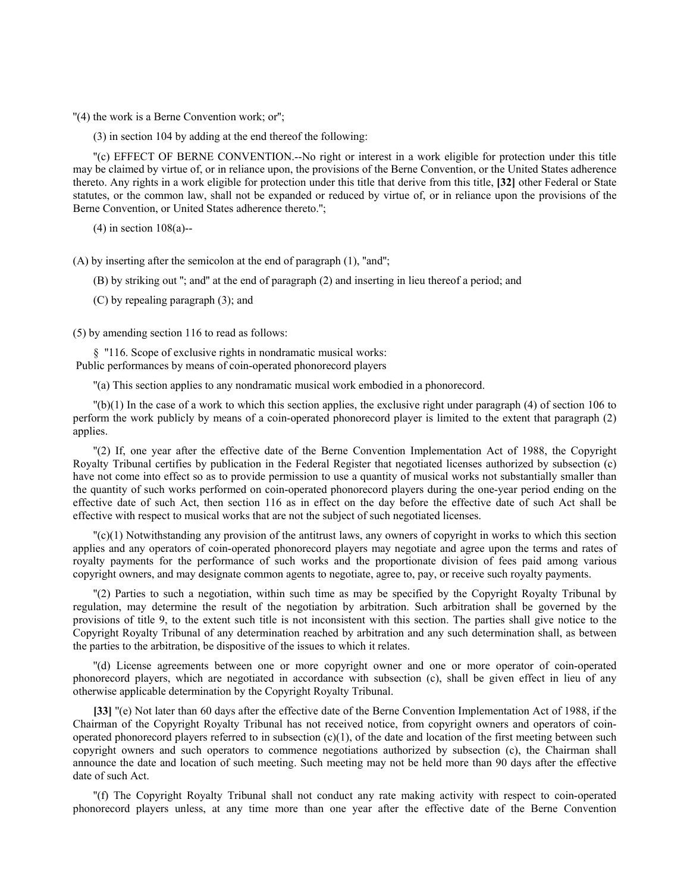"(4) the work is a Berne Convention work; or";

(3) in section 104 by adding at the end thereof the following:

''(c) EFFECT OF BERNE CONVENTION.--No right or interest in a work eligible for protection under this title may be claimed by virtue of, or in reliance upon, the provisions of the Berne Convention, or the United States adherence thereto. Any rights in a work eligible for protection under this title that derive from this title, **[32]** other Federal or State statutes, or the common law, shall not be expanded or reduced by virtue of, or in reliance upon the provisions of the Berne Convention, or United States adherence thereto.'';

 $(4)$  in section 108 $(a)$ --

(A) by inserting after the semicolon at the end of paragraph (1), ''and'';

(B) by striking out ''; and'' at the end of paragraph (2) and inserting in lieu thereof a period; and

(C) by repealing paragraph (3); and

(5) by amending section 116 to read as follows:

§ ''116. Scope of exclusive rights in nondramatic musical works: Public performances by means of coin-operated phonorecord players

''(a) This section applies to any nondramatic musical work embodied in a phonorecord.

 $\binom{n}{k}$  In the case of a work to which this section applies, the exclusive right under paragraph (4) of section 106 to perform the work publicly by means of a coin-operated phonorecord player is limited to the extent that paragraph (2) applies.

''(2) If, one year after the effective date of the Berne Convention Implementation Act of 1988, the Copyright Royalty Tribunal certifies by publication in the Federal Register that negotiated licenses authorized by subsection (c) have not come into effect so as to provide permission to use a quantity of musical works not substantially smaller than the quantity of such works performed on coin-operated phonorecord players during the one-year period ending on the effective date of such Act, then section 116 as in effect on the day before the effective date of such Act shall be effective with respect to musical works that are not the subject of such negotiated licenses.

''(c)(1) Notwithstanding any provision of the antitrust laws, any owners of copyright in works to which this section applies and any operators of coin-operated phonorecord players may negotiate and agree upon the terms and rates of royalty payments for the performance of such works and the proportionate division of fees paid among various copyright owners, and may designate common agents to negotiate, agree to, pay, or receive such royalty payments.

''(2) Parties to such a negotiation, within such time as may be specified by the Copyright Royalty Tribunal by regulation, may determine the result of the negotiation by arbitration. Such arbitration shall be governed by the provisions of title 9, to the extent such title is not inconsistent with this section. The parties shall give notice to the Copyright Royalty Tribunal of any determination reached by arbitration and any such determination shall, as between the parties to the arbitration, be dispositive of the issues to which it relates.

''(d) License agreements between one or more copyright owner and one or more operator of coin-operated phonorecord players, which are negotiated in accordance with subsection (c), shall be given effect in lieu of any otherwise applicable determination by the Copyright Royalty Tribunal.

**[33]** ''(e) Not later than 60 days after the effective date of the Berne Convention Implementation Act of 1988, if the Chairman of the Copyright Royalty Tribunal has not received notice, from copyright owners and operators of coinoperated phonorecord players referred to in subsection  $(c)(1)$ , of the date and location of the first meeting between such copyright owners and such operators to commence negotiations authorized by subsection (c), the Chairman shall announce the date and location of such meeting. Such meeting may not be held more than 90 days after the effective date of such Act.

''(f) The Copyright Royalty Tribunal shall not conduct any rate making activity with respect to coin-operated phonorecord players unless, at any time more than one year after the effective date of the Berne Convention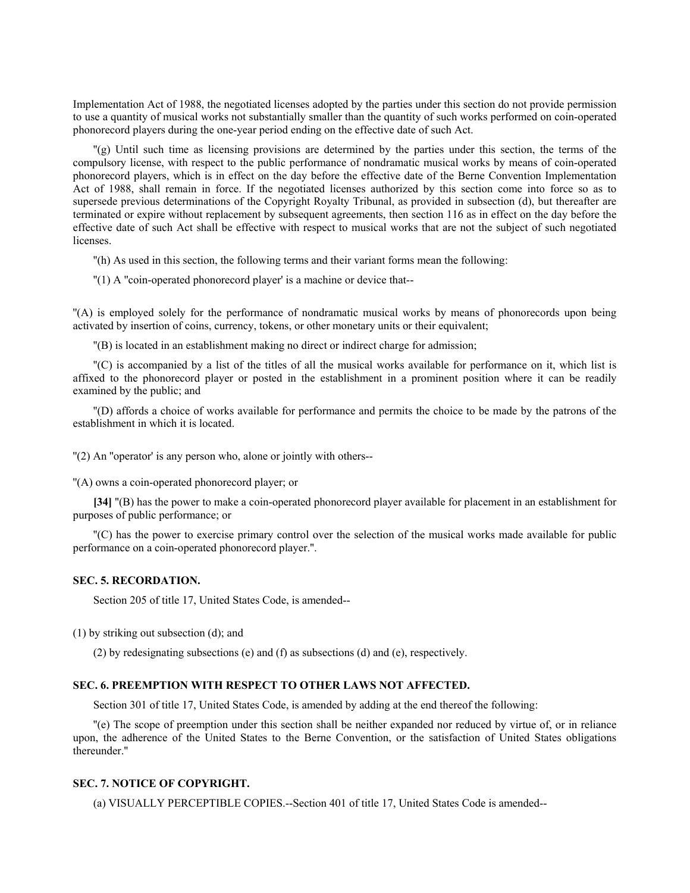Implementation Act of 1988, the negotiated licenses adopted by the parties under this section do not provide permission to use a quantity of musical works not substantially smaller than the quantity of such works performed on coin-operated phonorecord players during the one-year period ending on the effective date of such Act.

''(g) Until such time as licensing provisions are determined by the parties under this section, the terms of the compulsory license, with respect to the public performance of nondramatic musical works by means of coin-operated phonorecord players, which is in effect on the day before the effective date of the Berne Convention Implementation Act of 1988, shall remain in force. If the negotiated licenses authorized by this section come into force so as to supersede previous determinations of the Copyright Royalty Tribunal, as provided in subsection (d), but thereafter are terminated or expire without replacement by subsequent agreements, then section 116 as in effect on the day before the effective date of such Act shall be effective with respect to musical works that are not the subject of such negotiated licenses.

''(h) As used in this section, the following terms and their variant forms mean the following:

''(1) A ''coin-operated phonorecord player' is a machine or device that--

''(A) is employed solely for the performance of nondramatic musical works by means of phonorecords upon being activated by insertion of coins, currency, tokens, or other monetary units or their equivalent;

''(B) is located in an establishment making no direct or indirect charge for admission;

''(C) is accompanied by a list of the titles of all the musical works available for performance on it, which list is affixed to the phonorecord player or posted in the establishment in a prominent position where it can be readily examined by the public; and

''(D) affords a choice of works available for performance and permits the choice to be made by the patrons of the establishment in which it is located.

''(2) An ''operator' is any person who, alone or jointly with others--

''(A) owns a coin-operated phonorecord player; or

**[34]** ''(B) has the power to make a coin-operated phonorecord player available for placement in an establishment for purposes of public performance; or

''(C) has the power to exercise primary control over the selection of the musical works made available for public performance on a coin-operated phonorecord player.''.

#### **SEC. 5. RECORDATION.**

Section 205 of title 17, United States Code, is amended--

(1) by striking out subsection (d); and

(2) by redesignating subsections (e) and (f) as subsections (d) and (e), respectively.

# **SEC. 6. PREEMPTION WITH RESPECT TO OTHER LAWS NOT AFFECTED.**

Section 301 of title 17, United States Code, is amended by adding at the end thereof the following:

''(e) The scope of preemption under this section shall be neither expanded nor reduced by virtue of, or in reliance upon, the adherence of the United States to the Berne Convention, or the satisfaction of United States obligations thereunder.''

## **SEC. 7. NOTICE OF COPYRIGHT.**

(a) VISUALLY PERCEPTIBLE COPIES.--Section 401 of title 17, United States Code is amended--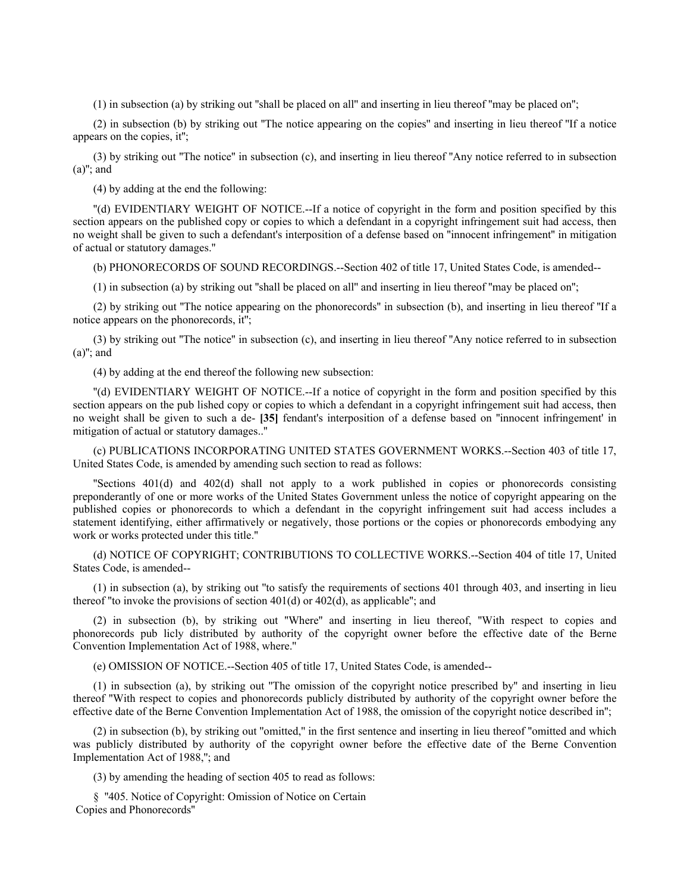(1) in subsection (a) by striking out ''shall be placed on all'' and inserting in lieu thereof ''may be placed on'';

(2) in subsection (b) by striking out ''The notice appearing on the copies'' and inserting in lieu thereof ''If a notice appears on the copies, it'';

(3) by striking out ''The notice'' in subsection (c), and inserting in lieu thereof ''Any notice referred to in subsection (a)''; and

(4) by adding at the end the following:

''(d) EVIDENTIARY WEIGHT OF NOTICE.--If a notice of copyright in the form and position specified by this section appears on the published copy or copies to which a defendant in a copyright infringement suit had access, then no weight shall be given to such a defendant's interposition of a defense based on ''innocent infringement'' in mitigation of actual or statutory damages.''

(b) PHONORECORDS OF SOUND RECORDINGS.--Section 402 of title 17, United States Code, is amended--

(1) in subsection (a) by striking out ''shall be placed on all'' and inserting in lieu thereof ''may be placed on'';

(2) by striking out ''The notice appearing on the phonorecords'' in subsection (b), and inserting in lieu thereof ''If a notice appears on the phonorecords, it'';

(3) by striking out ''The notice'' in subsection (c), and inserting in lieu thereof ''Any notice referred to in subsection  $(a)$ "; and

(4) by adding at the end thereof the following new subsection:

''(d) EVIDENTIARY WEIGHT OF NOTICE.--If a notice of copyright in the form and position specified by this section appears on the pub lished copy or copies to which a defendant in a copyright infringement suit had access, then no weight shall be given to such a de- **[35]** fendant's interposition of a defense based on ''innocent infringement' in mitigation of actual or statutory damages..''

(c) PUBLICATIONS INCORPORATING UNITED STATES GOVERNMENT WORKS.--Section 403 of title 17, United States Code, is amended by amending such section to read as follows:

''Sections 401(d) and 402(d) shall not apply to a work published in copies or phonorecords consisting preponderantly of one or more works of the United States Government unless the notice of copyright appearing on the published copies or phonorecords to which a defendant in the copyright infringement suit had access includes a statement identifying, either affirmatively or negatively, those portions or the copies or phonorecords embodying any work or works protected under this title.''

(d) NOTICE OF COPYRIGHT; CONTRIBUTIONS TO COLLECTIVE WORKS.--Section 404 of title 17, United States Code, is amended--

(1) in subsection (a), by striking out ''to satisfy the requirements of sections 401 through 403, and inserting in lieu thereof ''to invoke the provisions of section 401(d) or 402(d), as applicable''; and

(2) in subsection (b), by striking out ''Where'' and inserting in lieu thereof, ''With respect to copies and phonorecords pub licly distributed by authority of the copyright owner before the effective date of the Berne Convention Implementation Act of 1988, where.''

(e) OMISSION OF NOTICE.--Section 405 of title 17, United States Code, is amended--

(1) in subsection (a), by striking out ''The omission of the copyright notice prescribed by'' and inserting in lieu thereof ''With respect to copies and phonorecords publicly distributed by authority of the copyright owner before the effective date of the Berne Convention Implementation Act of 1988, the omission of the copyright notice described in'';

(2) in subsection (b), by striking out ''omitted,'' in the first sentence and inserting in lieu thereof ''omitted and which was publicly distributed by authority of the copyright owner before the effective date of the Berne Convention Implementation Act of 1988,''; and

(3) by amending the heading of section 405 to read as follows:

§ ''405. Notice of Copyright: Omission of Notice on Certain Copies and Phonorecords''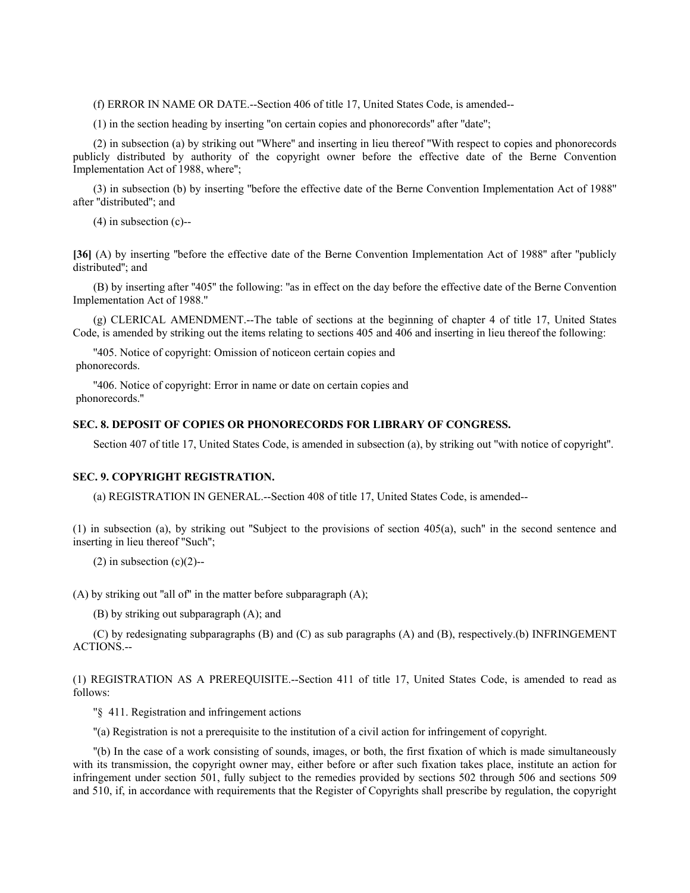(f) ERROR IN NAME OR DATE.--Section 406 of title 17, United States Code, is amended--

(1) in the section heading by inserting ''on certain copies and phonorecords'' after ''date'';

(2) in subsection (a) by striking out ''Where'' and inserting in lieu thereof ''With respect to copies and phonorecords publicly distributed by authority of the copyright owner before the effective date of the Berne Convention Implementation Act of 1988, where'';

(3) in subsection (b) by inserting ''before the effective date of the Berne Convention Implementation Act of 1988'' after ''distributed''; and

(4) in subsection (c)--

**[36]** (A) by inserting ''before the effective date of the Berne Convention Implementation Act of 1988'' after ''publicly distributed''; and

(B) by inserting after ''405'' the following: ''as in effect on the day before the effective date of the Berne Convention Implementation Act of 1988.''

(g) CLERICAL AMENDMENT.--The table of sections at the beginning of chapter 4 of title 17, United States Code, is amended by striking out the items relating to sections 405 and 406 and inserting in lieu thereof the following:

''405. Notice of copyright: Omission of noticeon certain copies and phonorecords.

"406. Notice of copyright: Error in name or date on certain copies and phonorecords.''

## **SEC. 8. DEPOSIT OF COPIES OR PHONORECORDS FOR LIBRARY OF CONGRESS.**

Section 407 of title 17, United States Code, is amended in subsection (a), by striking out ''with notice of copyright''.

## **SEC. 9. COPYRIGHT REGISTRATION.**

(a) REGISTRATION IN GENERAL.--Section 408 of title 17, United States Code, is amended--

(1) in subsection (a), by striking out ''Subject to the provisions of section 405(a), such'' in the second sentence and inserting in lieu thereof ''Such'';

 $(2)$  in subsection  $(c)(2)$ --

(A) by striking out "all of" in the matter before subparagraph  $(A)$ ;

(B) by striking out subparagraph (A); and

(C) by redesignating subparagraphs (B) and (C) as sub paragraphs (A) and (B), respectively.(b) INFRINGEMENT ACTIONS.--

(1) REGISTRATION AS A PREREQUISITE.--Section 411 of title 17, United States Code, is amended to read as follows:

''§ 411. Registration and infringement actions

''(a) Registration is not a prerequisite to the institution of a civil action for infringement of copyright.

''(b) In the case of a work consisting of sounds, images, or both, the first fixation of which is made simultaneously with its transmission, the copyright owner may, either before or after such fixation takes place, institute an action for infringement under section 501, fully subject to the remedies provided by sections 502 through 506 and sections 509 and 510, if, in accordance with requirements that the Register of Copyrights shall prescribe by regulation, the copyright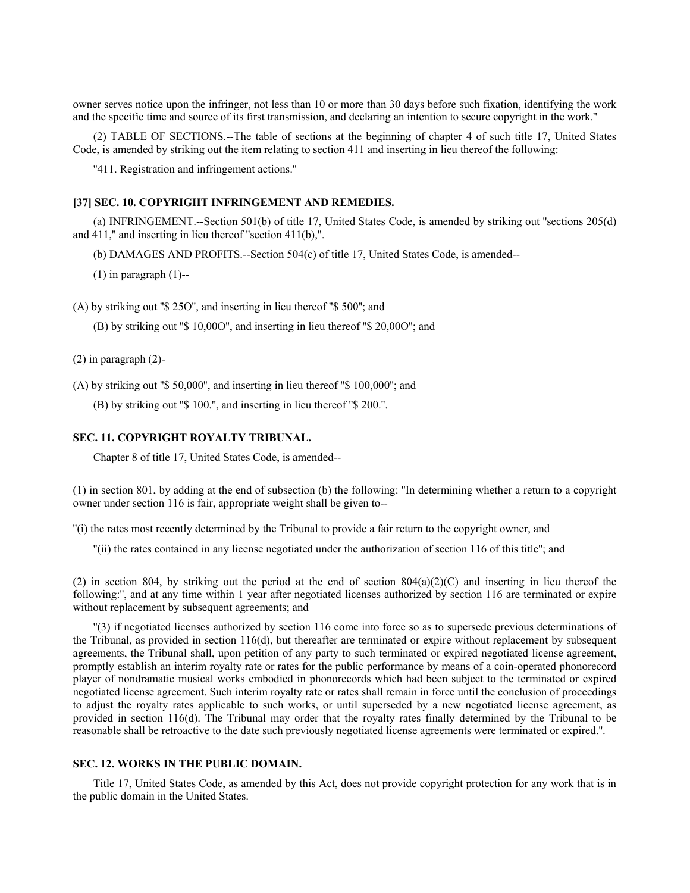owner serves notice upon the infringer, not less than 10 or more than 30 days before such fixation, identifying the work and the specific time and source of its first transmission, and declaring an intention to secure copyright in the work.''

(2) TABLE OF SECTIONS.--The table of sections at the beginning of chapter 4 of such title 17, United States Code, is amended by striking out the item relating to section 411 and inserting in lieu thereof the following:

''411. Registration and infringement actions.''

### **[37] SEC. 10. COPYRIGHT INFRINGEMENT AND REMEDIES.**

(a) INFRINGEMENT.--Section 501(b) of title 17, United States Code, is amended by striking out ''sections 205(d) and 411,'' and inserting in lieu thereof ''section 411(b),''.

(b) DAMAGES AND PROFITS.--Section 504(c) of title 17, United States Code, is amended--

 $(1)$  in paragraph  $(1)$ --

(A) by striking out ''\$ 25O'', and inserting in lieu thereof ''\$ 500''; and

(B) by striking out ''\$ 10,00O'', and inserting in lieu thereof ''\$ 20,00O''; and

(2) in paragraph (2)-

(A) by striking out ''\$ 50,000'', and inserting in lieu thereof ''\$ 100,000''; and

(B) by striking out ''\$ 100.'', and inserting in lieu thereof ''\$ 200.''.

## **SEC. 11. COPYRIGHT ROYALTY TRIBUNAL.**

Chapter 8 of title 17, United States Code, is amended--

(1) in section 801, by adding at the end of subsection (b) the following: ''In determining whether a return to a copyright owner under section 116 is fair, appropriate weight shall be given to--

''(i) the rates most recently determined by the Tribunal to provide a fair return to the copyright owner, and

''(ii) the rates contained in any license negotiated under the authorization of section 116 of this title''; and

(2) in section 804, by striking out the period at the end of section  $804(a)(2)(C)$  and inserting in lieu thereof the following:'', and at any time within 1 year after negotiated licenses authorized by section 116 are terminated or expire without replacement by subsequent agreements; and

''(3) if negotiated licenses authorized by section 116 come into force so as to supersede previous determinations of the Tribunal, as provided in section 116(d), but thereafter are terminated or expire without replacement by subsequent agreements, the Tribunal shall, upon petition of any party to such terminated or expired negotiated license agreement, promptly establish an interim royalty rate or rates for the public performance by means of a coin-operated phonorecord player of nondramatic musical works embodied in phonorecords which had been subject to the terminated or expired negotiated license agreement. Such interim royalty rate or rates shall remain in force until the conclusion of proceedings to adjust the royalty rates applicable to such works, or until superseded by a new negotiated license agreement, as provided in section 116(d). The Tribunal may order that the royalty rates finally determined by the Tribunal to be reasonable shall be retroactive to the date such previously negotiated license agreements were terminated or expired.''.

# **SEC. 12. WORKS IN THE PUBLIC DOMAIN.**

Title 17, United States Code, as amended by this Act, does not provide copyright protection for any work that is in the public domain in the United States.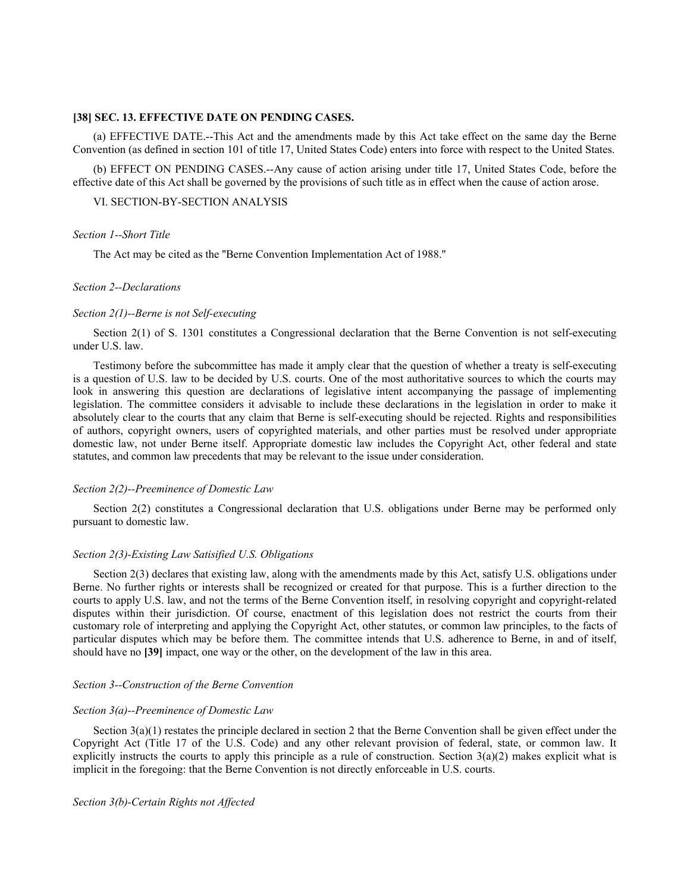# **[38] SEC. 13. EFFECTIVE DATE ON PENDING CASES.**

(a) EFFECTIVE DATE.--This Act and the amendments made by this Act take effect on the same day the Berne Convention (as defined in section 101 of title 17, United States Code) enters into force with respect to the United States.

(b) EFFECT ON PENDING CASES.--Any cause of action arising under title 17, United States Code, before the effective date of this Act shall be governed by the provisions of such title as in effect when the cause of action arose.

### VI. SECTION-BY-SECTION ANALYSIS

#### *Section 1--Short Title*

The Act may be cited as the ''Berne Convention Implementation Act of 1988.''

#### *Section 2--Declarations*

## *Section 2(1)--Berne is not Self-executing*

Section 2(1) of S. 1301 constitutes a Congressional declaration that the Berne Convention is not self-executing under U.S. law.

Testimony before the subcommittee has made it amply clear that the question of whether a treaty is self-executing is a question of U.S. law to be decided by U.S. courts. One of the most authoritative sources to which the courts may look in answering this question are declarations of legislative intent accompanying the passage of implementing legislation. The committee considers it advisable to include these declarations in the legislation in order to make it absolutely clear to the courts that any claim that Berne is self-executing should be rejected. Rights and responsibilities of authors, copyright owners, users of copyrighted materials, and other parties must be resolved under appropriate domestic law, not under Berne itself. Appropriate domestic law includes the Copyright Act, other federal and state statutes, and common law precedents that may be relevant to the issue under consideration.

## *Section 2(2)--Preeminence of Domestic Law*

Section 2(2) constitutes a Congressional declaration that U.S. obligations under Berne may be performed only pursuant to domestic law.

#### *Section 2(3)-Existing Law Satisified U.S. Obligations*

Section 2(3) declares that existing law, along with the amendments made by this Act, satisfy U.S. obligations under Berne. No further rights or interests shall be recognized or created for that purpose. This is a further direction to the courts to apply U.S. law, and not the terms of the Berne Convention itself, in resolving copyright and copyright-related disputes within their jurisdiction. Of course, enactment of this legislation does not restrict the courts from their customary role of interpreting and applying the Copyright Act, other statutes, or common law principles, to the facts of particular disputes which may be before them. The committee intends that U.S. adherence to Berne, in and of itself, should have no **[39]** impact, one way or the other, on the development of the law in this area.

#### *Section 3--Construction of the Berne Convention*

#### *Section 3(a)--Preeminence of Domestic Law*

Section 3(a)(1) restates the principle declared in section 2 that the Berne Convention shall be given effect under the Copyright Act (Title 17 of the U.S. Code) and any other relevant provision of federal, state, or common law. It explicitly instructs the courts to apply this principle as a rule of construction. Section  $3(a)(2)$  makes explicit what is implicit in the foregoing: that the Berne Convention is not directly enforceable in U.S. courts.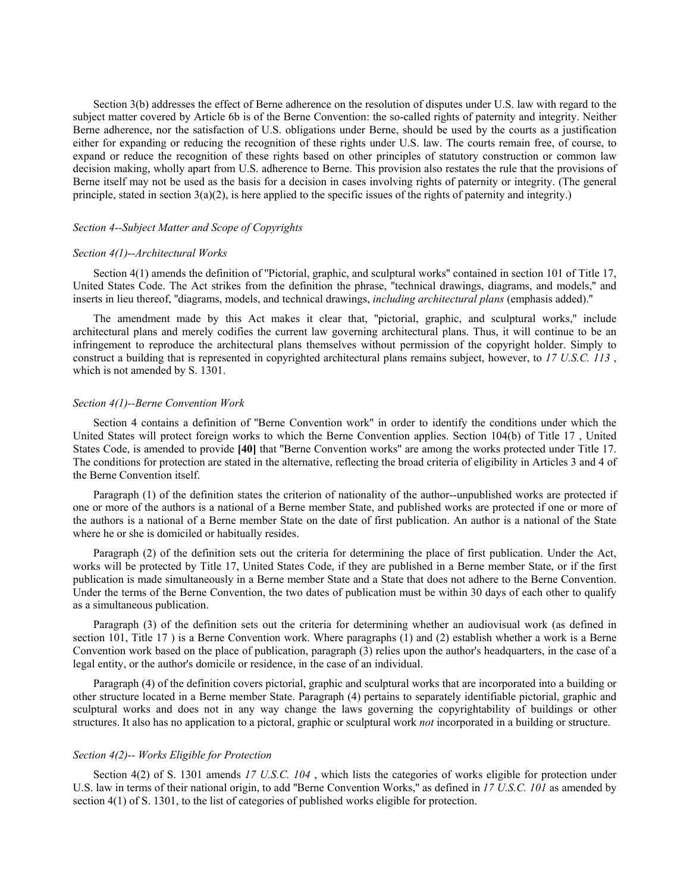Section 3(b) addresses the effect of Berne adherence on the resolution of disputes under U.S. law with regard to the subject matter covered by Article 6b is of the Berne Convention: the so-called rights of paternity and integrity. Neither Berne adherence, nor the satisfaction of U.S. obligations under Berne, should be used by the courts as a justification either for expanding or reducing the recognition of these rights under U.S. law. The courts remain free, of course, to expand or reduce the recognition of these rights based on other principles of statutory construction or common law decision making, wholly apart from U.S. adherence to Berne. This provision also restates the rule that the provisions of Berne itself may not be used as the basis for a decision in cases involving rights of paternity or integrity. (The general principle, stated in section  $3(a)(2)$ , is here applied to the specific issues of the rights of paternity and integrity.)

### *Section 4--Subject Matter and Scope of Copyrights*

## *Section 4(1)--Architectural Works*

Section 4(1) amends the definition of ''Pictorial, graphic, and sculptural works'' contained in section 101 of Title 17, United States Code. The Act strikes from the definition the phrase, ''technical drawings, diagrams, and models,'' and inserts in lieu thereof, ''diagrams, models, and technical drawings, *including architectural plans* (emphasis added).''

The amendment made by this Act makes it clear that, ''pictorial, graphic, and sculptural works,'' include architectural plans and merely codifies the current law governing architectural plans. Thus, it will continue to be an infringement to reproduce the architectural plans themselves without permission of the copyright holder. Simply to construct a building that is represented in copyrighted architectural plans remains subject, however, to *17 U.S.C. 113* , which is not amended by S. 1301.

## *Section 4(1)--Berne Convention Work*

Section 4 contains a definition of ''Berne Convention work'' in order to identify the conditions under which the United States will protect foreign works to which the Berne Convention applies. Section 104(b) of Title 17 , United States Code, is amended to provide **[40]** that ''Berne Convention works'' are among the works protected under Title 17. The conditions for protection are stated in the alternative, reflecting the broad criteria of eligibility in Articles 3 and 4 of the Berne Convention itself.

Paragraph (1) of the definition states the criterion of nationality of the author--unpublished works are protected if one or more of the authors is a national of a Berne member State, and published works are protected if one or more of the authors is a national of a Berne member State on the date of first publication. An author is a national of the State where he or she is domiciled or habitually resides.

Paragraph (2) of the definition sets out the criteria for determining the place of first publication. Under the Act, works will be protected by Title 17, United States Code, if they are published in a Berne member State, or if the first publication is made simultaneously in a Berne member State and a State that does not adhere to the Berne Convention. Under the terms of the Berne Convention, the two dates of publication must be within 30 days of each other to qualify as a simultaneous publication.

Paragraph (3) of the definition sets out the criteria for determining whether an audiovisual work (as defined in section 101, Title 17 ) is a Berne Convention work. Where paragraphs (1) and (2) establish whether a work is a Berne Convention work based on the place of publication, paragraph (3) relies upon the author's headquarters, in the case of a legal entity, or the author's domicile or residence, in the case of an individual.

Paragraph (4) of the definition covers pictorial, graphic and sculptural works that are incorporated into a building or other structure located in a Berne member State. Paragraph (4) pertains to separately identifiable pictorial, graphic and sculptural works and does not in any way change the laws governing the copyrightability of buildings or other structures. It also has no application to a pictoral, graphic or sculptural work *not* incorporated in a building or structure.

#### *Section 4(2)-- Works Eligible for Protection*

Section 4(2) of S. 1301 amends *17 U.S.C. 104* , which lists the categories of works eligible for protection under U.S. law in terms of their national origin, to add ''Berne Convention Works,'' as defined in *17 U.S.C. 101* as amended by section 4(1) of S. 1301, to the list of categories of published works eligible for protection.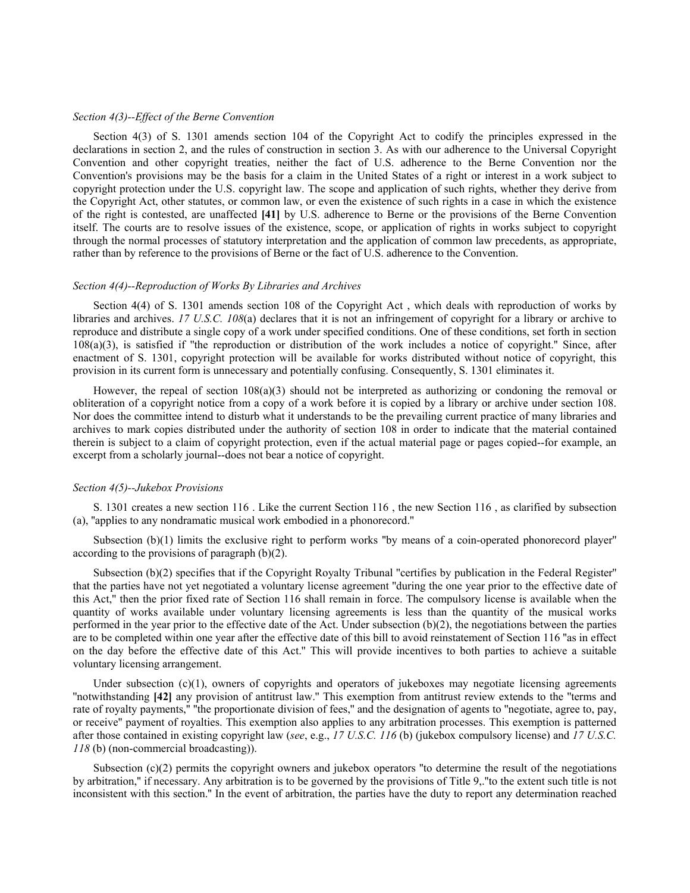## *Section 4(3)--Effect of the Berne Convention*

Section 4(3) of S. 1301 amends section 104 of the Copyright Act to codify the principles expressed in the declarations in section 2, and the rules of construction in section 3. As with our adherence to the Universal Copyright Convention and other copyright treaties, neither the fact of U.S. adherence to the Berne Convention nor the Convention's provisions may be the basis for a claim in the United States of a right or interest in a work subject to copyright protection under the U.S. copyright law. The scope and application of such rights, whether they derive from the Copyright Act, other statutes, or common law, or even the existence of such rights in a case in which the existence of the right is contested, are unaffected **[41]** by U.S. adherence to Berne or the provisions of the Berne Convention itself. The courts are to resolve issues of the existence, scope, or application of rights in works subject to copyright through the normal processes of statutory interpretation and the application of common law precedents, as appropriate, rather than by reference to the provisions of Berne or the fact of U.S. adherence to the Convention.

## *Section 4(4)--Reproduction of Works By Libraries and Archives*

Section 4(4) of S. 1301 amends section 108 of the Copyright Act , which deals with reproduction of works by libraries and archives. *17 U.S.C. 108*(a) declares that it is not an infringement of copyright for a library or archive to reproduce and distribute a single copy of a work under specified conditions. One of these conditions, set forth in section 108(a)(3), is satisfied if ''the reproduction or distribution of the work includes a notice of copyright.'' Since, after enactment of S. 1301, copyright protection will be available for works distributed without notice of copyright, this provision in its current form is unnecessary and potentially confusing. Consequently, S. 1301 eliminates it.

However, the repeal of section 108(a)(3) should not be interpreted as authorizing or condoning the removal or obliteration of a copyright notice from a copy of a work before it is copied by a library or archive under section 108. Nor does the committee intend to disturb what it understands to be the prevailing current practice of many libraries and archives to mark copies distributed under the authority of section 108 in order to indicate that the material contained therein is subject to a claim of copyright protection, even if the actual material page or pages copied--for example, an excerpt from a scholarly journal--does not bear a notice of copyright.

#### *Section 4(5)--Jukebox Provisions*

S. 1301 creates a new section 116 . Like the current Section 116 , the new Section 116 , as clarified by subsection (a), ''applies to any nondramatic musical work embodied in a phonorecord.''

Subsection (b)(1) limits the exclusive right to perform works "by means of a coin-operated phonorecord player" according to the provisions of paragraph (b)(2).

Subsection (b)(2) specifies that if the Copyright Royalty Tribunal "certifies by publication in the Federal Register" that the parties have not yet negotiated a voluntary license agreement ''during the one year prior to the effective date of this Act,'' then the prior fixed rate of Section 116 shall remain in force. The compulsory license is available when the quantity of works available under voluntary licensing agreements is less than the quantity of the musical works performed in the year prior to the effective date of the Act. Under subsection (b)(2), the negotiations between the parties are to be completed within one year after the effective date of this bill to avoid reinstatement of Section 116 "as in effect on the day before the effective date of this Act.'' This will provide incentives to both parties to achieve a suitable voluntary licensing arrangement.

Under subsection  $(c)(1)$ , owners of copyrights and operators of jukeboxes may negotiate licensing agreements ''notwithstanding **[42]** any provision of antitrust law.'' This exemption from antitrust review extends to the ''terms and rate of royalty payments,'' ''the proportionate division of fees,'' and the designation of agents to ''negotiate, agree to, pay, or receive'' payment of royalties. This exemption also applies to any arbitration processes. This exemption is patterned after those contained in existing copyright law (*see*, e.g., *17 U.S.C. 116* (b) (jukebox compulsory license) and *17 U.S.C. 118* (b) (non-commercial broadcasting)).

Subsection  $(c)(2)$  permits the copyright owners and jukebox operators "to determine the result of the negotiations by arbitration,'' if necessary. Any arbitration is to be governed by the provisions of Title 9,.''to the extent such title is not inconsistent with this section.'' In the event of arbitration, the parties have the duty to report any determination reached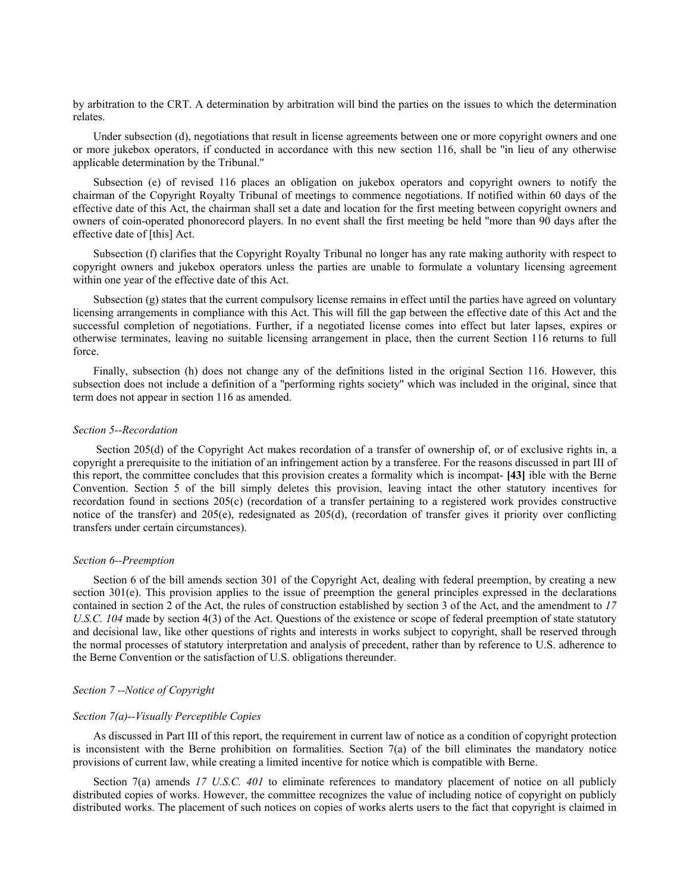by arbitration to the CRT. A determination by arbitration will bind the parties on the issues to which the determination relates.

Under subsection (d), negotiations that result in license agreements between one or more copyright owners and one or more jukebox operators, if conducted in accordance with this new section 116, shall be ''in lieu of any otherwise applicable determination by the Tribunal.''

Subsection (e) of revised 116 places an obligation on jukebox operators and copyright owners to notify the chairman of the Copyright Royalty Tribunal of meetings to commence negotiations. If notified within 60 days of the effective date of this Act, the chairman shall set a date and location for the first meeting between copyright owners and owners of coin-operated phonorecord players. In no event shall the first meeting be held ''more than 90 days after the effective date of [this] Act.

Subsection (f) clarifies that the Copyright Royalty Tribunal no longer has any rate making authority with respect to copyright owners and jukebox operators unless the parties are unable to formulate a voluntary licensing agreement within one year of the effective date of this Act.

Subsection (g) states that the current compulsory license remains in effect until the parties have agreed on voluntary licensing arrangements in compliance with this Act. This will fill the gap between the effective date of this Act and the successful completion of negotiations. Further, if a negotiated license comes into effect but later lapses, expires or otherwise terminates, leaving no suitable licensing arrangement in place, then the current Section 116 returns to full force.

Finally, subsection (h) does not change any of the definitions listed in the original Section 116. However, this subsection does not include a definition of a ''performing rights society'' which was included in the original, since that term does not appear in section 116 as amended.

### *Section 5--Recordation*

 Section 205(d) of the Copyright Act makes recordation of a transfer of ownership of, or of exclusive rights in, a copyright a prerequisite to the initiation of an infringement action by a transferee. For the reasons discussed in part III of this report, the committee concludes that this provision creates a formality which is incompat- **[43]** ible with the Berne Convention. Section 5 of the bill simply deletes this provision, leaving intact the other statutory incentives for recordation found in sections 205(c) (recordation of a transfer pertaining to a registered work provides constructive notice of the transfer) and 205(e), redesignated as 205(d), (recordation of transfer gives it priority over conflicting transfers under certain circumstances).

#### *Section 6--Preemption*

Section 6 of the bill amends section 301 of the Copyright Act, dealing with federal preemption, by creating a new section 301(e). This provision applies to the issue of preemption the general principles expressed in the declarations contained in section 2 of the Act, the rules of construction established by section 3 of the Act, and the amendment to *17 U.S.C. 104* made by section 4(3) of the Act. Questions of the existence or scope of federal preemption of state statutory and decisional law, like other questions of rights and interests in works subject to copyright, shall be reserved through the normal processes of statutory interpretation and analysis of precedent, rather than by reference to U.S. adherence to the Berne Convention or the satisfaction of U.S. obligations thereunder.

### *Section 7 --Notice of Copyright*

### *Section 7(a)--Visually Perceptible Copies*

As discussed in Part III of this report, the requirement in current law of notice as a condition of copyright protection is inconsistent with the Berne prohibition on formalities. Section 7(a) of the bill eliminates the mandatory notice provisions of current law, while creating a limited incentive for notice which is compatible with Berne.

Section 7(a) amends *17 U.S.C. 401* to eliminate references to mandatory placement of notice on all publicly distributed copies of works. However, the committee recognizes the value of including notice of copyright on publicly distributed works. The placement of such notices on copies of works alerts users to the fact that copyright is claimed in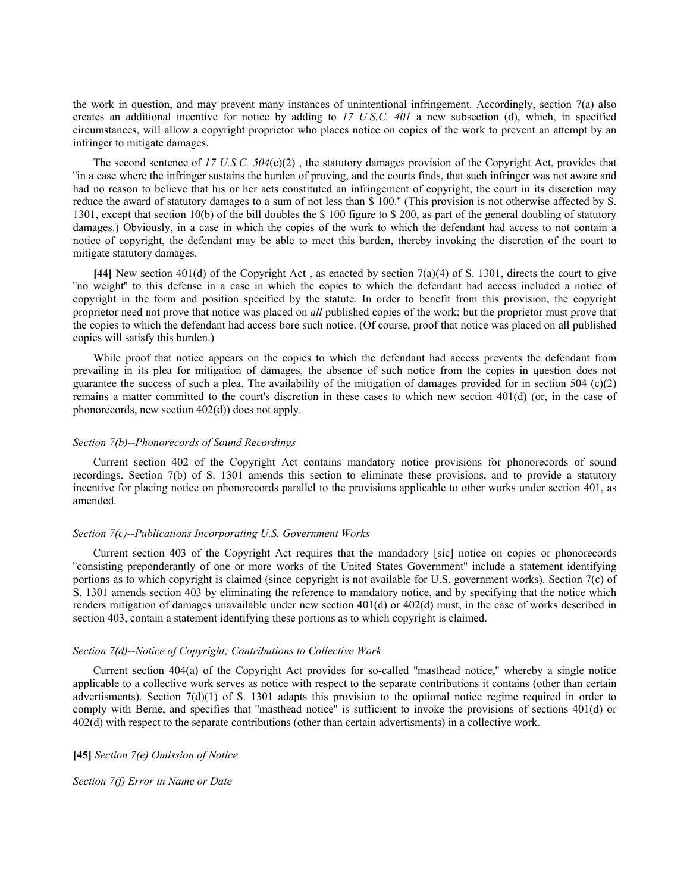the work in question, and may prevent many instances of unintentional infringement. Accordingly, section 7(a) also creates an additional incentive for notice by adding to *17 U.S.C. 401* a new subsection (d), which, in specified circumstances, will allow a copyright proprietor who places notice on copies of the work to prevent an attempt by an infringer to mitigate damages.

The second sentence of *17 U.S.C. 504*(c)(2) , the statutory damages provision of the Copyright Act, provides that ''in a case where the infringer sustains the burden of proving, and the courts finds, that such infringer was not aware and had no reason to believe that his or her acts constituted an infringement of copyright, the court in its discretion may reduce the award of statutory damages to a sum of not less than \$ 100." (This provision is not otherwise affected by S. 1301, except that section 10(b) of the bill doubles the \$ 100 figure to \$ 200, as part of the general doubling of statutory damages.) Obviously, in a case in which the copies of the work to which the defendant had access to not contain a notice of copyright, the defendant may be able to meet this burden, thereby invoking the discretion of the court to mitigate statutory damages.

**[44]** New section 401(d) of the Copyright Act , as enacted by section 7(a)(4) of S. 1301, directs the court to give ''no weight'' to this defense in a case in which the copies to which the defendant had access included a notice of copyright in the form and position specified by the statute. In order to benefit from this provision, the copyright proprietor need not prove that notice was placed on *all* published copies of the work; but the proprietor must prove that the copies to which the defendant had access bore such notice. (Of course, proof that notice was placed on all published copies will satisfy this burden.)

While proof that notice appears on the copies to which the defendant had access prevents the defendant from prevailing in its plea for mitigation of damages, the absence of such notice from the copies in question does not guarantee the success of such a plea. The availability of the mitigation of damages provided for in section 504 (c)(2) remains a matter committed to the court's discretion in these cases to which new section 401(d) (or, in the case of phonorecords, new section 402(d)) does not apply.

#### *Section 7(b)--Phonorecords of Sound Recordings*

Current section 402 of the Copyright Act contains mandatory notice provisions for phonorecords of sound recordings. Section 7(b) of S. 1301 amends this section to eliminate these provisions, and to provide a statutory incentive for placing notice on phonorecords parallel to the provisions applicable to other works under section 401, as amended.

### *Section 7(c)--Publications Incorporating U.S. Government Works*

Current section 403 of the Copyright Act requires that the mandadory [sic] notice on copies or phonorecords ''consisting preponderantly of one or more works of the United States Government'' include a statement identifying portions as to which copyright is claimed (since copyright is not available for U.S. government works). Section 7(c) of S. 1301 amends section 403 by eliminating the reference to mandatory notice, and by specifying that the notice which renders mitigation of damages unavailable under new section 401(d) or 402(d) must, in the case of works described in section 403, contain a statement identifying these portions as to which copyright is claimed.

### *Section 7(d)--Notice of Copyright; Contributions to Collective Work*

Current section 404(a) of the Copyright Act provides for so-called ''masthead notice,'' whereby a single notice applicable to a collective work serves as notice with respect to the separate contributions it contains (other than certain advertisments). Section 7(d)(1) of S. 1301 adapts this provision to the optional notice regime required in order to comply with Berne, and specifies that ''masthead notice'' is sufficient to invoke the provisions of sections 401(d) or 402(d) with respect to the separate contributions (other than certain advertisments) in a collective work.

**[45]** *Section 7(e) Omission of Notice*

*Section 7(f) Error in Name or Date*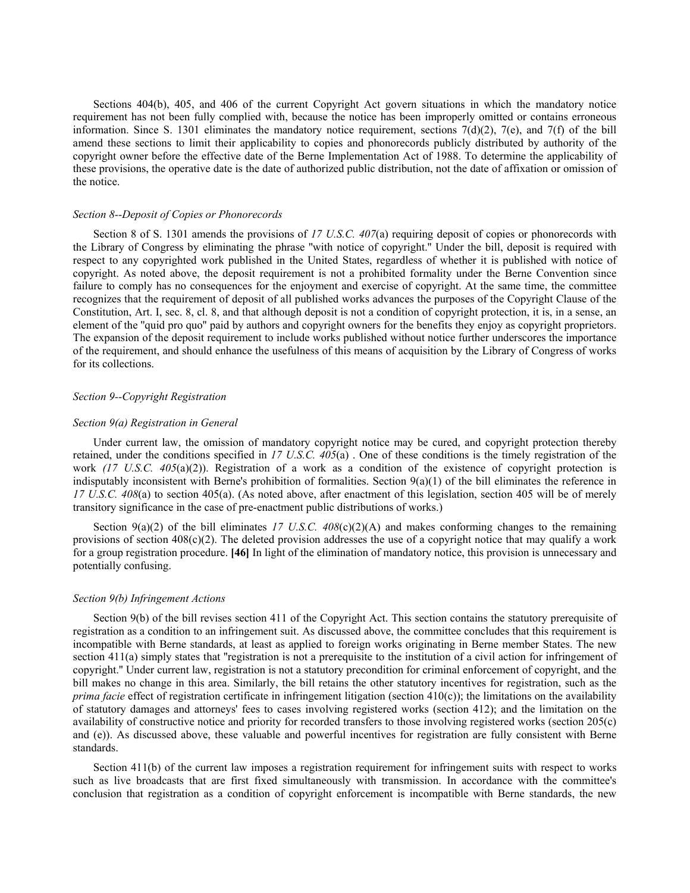Sections 404(b), 405, and 406 of the current Copyright Act govern situations in which the mandatory notice requirement has not been fully complied with, because the notice has been improperly omitted or contains erroneous information. Since S. 1301 eliminates the mandatory notice requirement, sections 7(d)(2), 7(e), and 7(f) of the bill amend these sections to limit their applicability to copies and phonorecords publicly distributed by authority of the copyright owner before the effective date of the Berne Implementation Act of 1988. To determine the applicability of these provisions, the operative date is the date of authorized public distribution, not the date of affixation or omission of the notice.

#### *Section 8--Deposit of Copies or Phonorecords*

Section 8 of S. 1301 amends the provisions of *17 U.S.C. 407*(a) requiring deposit of copies or phonorecords with the Library of Congress by eliminating the phrase ''with notice of copyright.'' Under the bill, deposit is required with respect to any copyrighted work published in the United States, regardless of whether it is published with notice of copyright. As noted above, the deposit requirement is not a prohibited formality under the Berne Convention since failure to comply has no consequences for the enjoyment and exercise of copyright. At the same time, the committee recognizes that the requirement of deposit of all published works advances the purposes of the Copyright Clause of the Constitution, Art. I, sec. 8, cl. 8, and that although deposit is not a condition of copyright protection, it is, in a sense, an element of the ''quid pro quo'' paid by authors and copyright owners for the benefits they enjoy as copyright proprietors. The expansion of the deposit requirement to include works published without notice further underscores the importance of the requirement, and should enhance the usefulness of this means of acquisition by the Library of Congress of works for its collections.

# *Section 9--Copyright Registration*

#### *Section 9(a) Registration in General*

Under current law, the omission of mandatory copyright notice may be cured, and copyright protection thereby retained, under the conditions specified in *17 U.S.C. 405*(a) . One of these conditions is the timely registration of the work (17 U.S.C. 405(a)(2)). Registration of a work as a condition of the existence of copyright protection is indisputably inconsistent with Berne's prohibition of formalities. Section  $9(a)(1)$  of the bill eliminates the reference in *17 U.S.C. 408*(a) to section 405(a). (As noted above, after enactment of this legislation, section 405 will be of merely transitory significance in the case of pre-enactment public distributions of works.)

Section 9(a)(2) of the bill eliminates *17 U.S.C. 408*(c)(2)(A) and makes conforming changes to the remaining provisions of section  $408(c)(2)$ . The deleted provision addresses the use of a copyright notice that may qualify a work for a group registration procedure. **[46]** In light of the elimination of mandatory notice, this provision is unnecessary and potentially confusing.

### *Section 9(b) Infringement Actions*

Section 9(b) of the bill revises section 411 of the Copyright Act. This section contains the statutory prerequisite of registration as a condition to an infringement suit. As discussed above, the committee concludes that this requirement is incompatible with Berne standards, at least as applied to foreign works originating in Berne member States. The new section 411(a) simply states that "registration is not a prerequisite to the institution of a civil action for infringement of copyright.'' Under current law, registration is not a statutory precondition for criminal enforcement of copyright, and the bill makes no change in this area. Similarly, the bill retains the other statutory incentives for registration, such as the *prima facie* effect of registration certificate in infringement litigation (section 410(c)); the limitations on the availability of statutory damages and attorneys' fees to cases involving registered works (section 412); and the limitation on the availability of constructive notice and priority for recorded transfers to those involving registered works (section 205(c) and (e)). As discussed above, these valuable and powerful incentives for registration are fully consistent with Berne standards.

Section 411(b) of the current law imposes a registration requirement for infringement suits with respect to works such as live broadcasts that are first fixed simultaneously with transmission. In accordance with the committee's conclusion that registration as a condition of copyright enforcement is incompatible with Berne standards, the new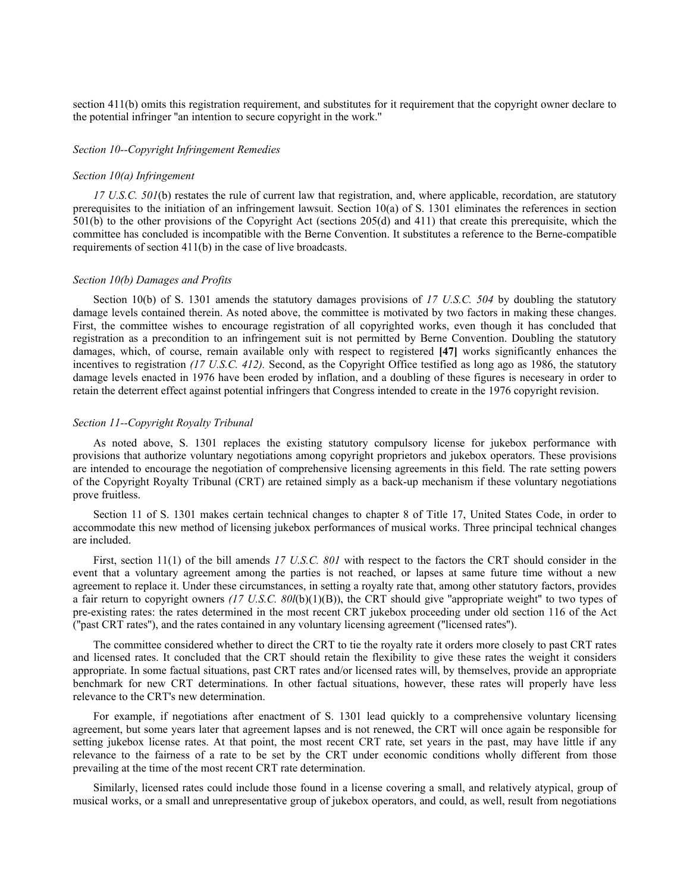section 411(b) omits this registration requirement, and substitutes for it requirement that the copyright owner declare to the potential infringer ''an intention to secure copyright in the work.''

## *Section 10--Copyright Infringement Remedies*

#### *Section 10(a) Infringement*

*17 U.S.C. 501*(b) restates the rule of current law that registration, and, where applicable, recordation, are statutory prerequisites to the initiation of an infringement lawsuit. Section 10(a) of S. 1301 eliminates the references in section 501(b) to the other provisions of the Copyright Act (sections 205(d) and 411) that create this prerequisite, which the committee has concluded is incompatible with the Berne Convention. It substitutes a reference to the Berne-compatible requirements of section 411(b) in the case of live broadcasts.

## *Section 10(b) Damages and Profits*

Section 10(b) of S. 1301 amends the statutory damages provisions of *17 U.S.C. 504* by doubling the statutory damage levels contained therein. As noted above, the committee is motivated by two factors in making these changes. First, the committee wishes to encourage registration of all copyrighted works, even though it has concluded that registration as a precondition to an infringement suit is not permitted by Berne Convention. Doubling the statutory damages, which, of course, remain available only with respect to registered **[47]** works significantly enhances the incentives to registration *(17 U.S.C. 412).* Second, as the Copyright Office testified as long ago as 1986, the statutory damage levels enacted in 1976 have been eroded by inflation, and a doubling of these figures is neceseary in order to retain the deterrent effect against potential infringers that Congress intended to create in the 1976 copyright revision.

### *Section 11--Copyright Royalty Tribunal*

As noted above, S. 1301 replaces the existing statutory compulsory license for jukebox performance with provisions that authorize voluntary negotiations among copyright proprietors and jukebox operators. These provisions are intended to encourage the negotiation of comprehensive licensing agreements in this field. The rate setting powers of the Copyright Royalty Tribunal (CRT) are retained simply as a back-up mechanism if these voluntary negotiations prove fruitless.

Section 11 of S. 1301 makes certain technical changes to chapter 8 of Title 17, United States Code, in order to accommodate this new method of licensing jukebox performances of musical works. Three principal technical changes are included.

First, section 11(1) of the bill amends *17 U.S.C. 801* with respect to the factors the CRT should consider in the event that a voluntary agreement among the parties is not reached, or lapses at same future time without a new agreement to replace it. Under these circumstances, in setting a royalty rate that, among other statutory factors, provides a fair return to copyright owners *(17 U.S.C. 80l*(b)(1)(B)), the CRT should give ''appropriate weight'' to two types of pre-existing rates: the rates determined in the most recent CRT jukebox proceeding under old section 116 of the Act (''past CRT rates''), and the rates contained in any voluntary licensing agreement (''licensed rates'').

The committee considered whether to direct the CRT to tie the royalty rate it orders more closely to past CRT rates and licensed rates. It concluded that the CRT should retain the flexibility to give these rates the weight it considers appropriate. In some factual situations, past CRT rates and/or licensed rates will, by themselves, provide an appropriate benchmark for new CRT determinations. In other factual situations, however, these rates will properly have less relevance to the CRT's new determination.

For example, if negotiations after enactment of S. 1301 lead quickly to a comprehensive voluntary licensing agreement, but some years later that agreement lapses and is not renewed, the CRT will once again be responsible for setting jukebox license rates. At that point, the most recent CRT rate, set years in the past, may have little if any relevance to the fairness of a rate to be set by the CRT under economic conditions wholly different from those prevailing at the time of the most recent CRT rate determination.

Similarly, licensed rates could include those found in a license covering a small, and relatively atypical, group of musical works, or a small and unrepresentative group of jukebox operators, and could, as well, result from negotiations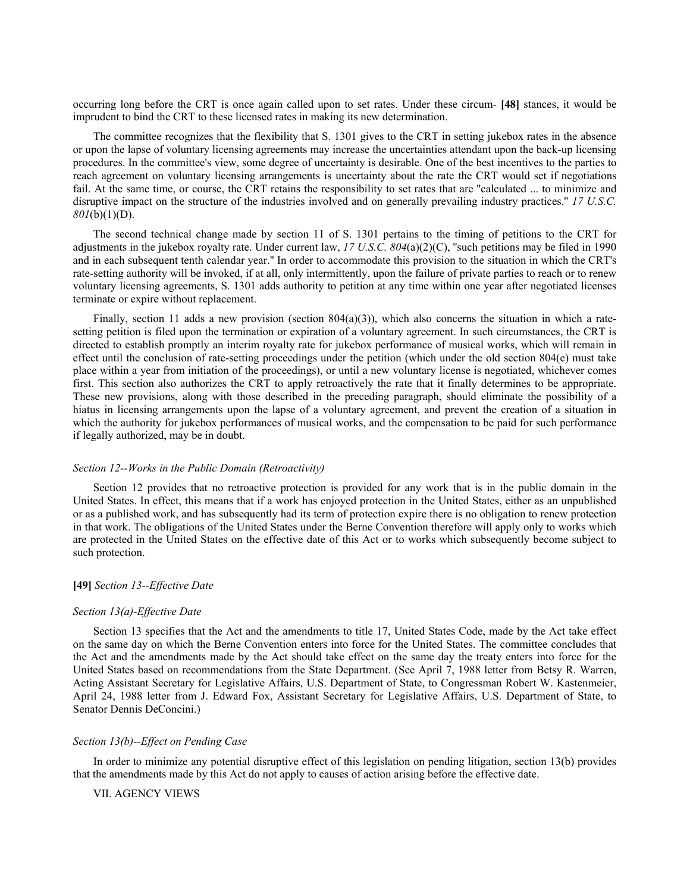occurring long before the CRT is once again called upon to set rates. Under these circum- **[48]** stances, it would be imprudent to bind the CRT to these licensed rates in making its new determination.

The committee recognizes that the flexibility that S. 1301 gives to the CRT in setting jukebox rates in the absence or upon the lapse of voluntary licensing agreements may increase the uncertainties attendant upon the back-up licensing procedures. In the committee's view, some degree of uncertainty is desirable. One of the best incentives to the parties to reach agreement on voluntary licensing arrangements is uncertainty about the rate the CRT would set if negotiations fail. At the same time, or course, the CRT retains the responsibility to set rates that are "calculated ... to minimize and disruptive impact on the structure of the industries involved and on generally prevailing industry practices.'' *17 U.S.C. 801*(b)(1)(D).

The second technical change made by section 11 of S. 1301 pertains to the timing of petitions to the CRT for adjustments in the jukebox royalty rate. Under current law, *17 U.S.C. 804*(a)(2)(C), ''such petitions may be filed in 1990 and in each subsequent tenth calendar year.'' In order to accommodate this provision to the situation in which the CRT's rate-setting authority will be invoked, if at all, only intermittently, upon the failure of private parties to reach or to renew voluntary licensing agreements, S. 1301 adds authority to petition at any time within one year after negotiated licenses terminate or expire without replacement.

Finally, section 11 adds a new provision (section  $804(a)(3)$ ), which also concerns the situation in which a ratesetting petition is filed upon the termination or expiration of a voluntary agreement. In such circumstances, the CRT is directed to establish promptly an interim royalty rate for jukebox performance of musical works, which will remain in effect until the conclusion of rate-setting proceedings under the petition (which under the old section 804(e) must take place within a year from initiation of the proceedings), or until a new voluntary license is negotiated, whichever comes first. This section also authorizes the CRT to apply retroactively the rate that it finally determines to be appropriate. These new provisions, along with those described in the preceding paragraph, should eliminate the possibility of a hiatus in licensing arrangements upon the lapse of a voluntary agreement, and prevent the creation of a situation in which the authority for jukebox performances of musical works, and the compensation to be paid for such performance if legally authorized, may be in doubt.

### *Section 12--Works in the Public Domain (Retroactivity)*

Section 12 provides that no retroactive protection is provided for any work that is in the public domain in the United States. In effect, this means that if a work has enjoyed protection in the United States, either as an unpublished or as a published work, and has subsequently had its term of protection expire there is no obligation to renew protection in that work. The obligations of the United States under the Berne Convention therefore will apply only to works which are protected in the United States on the effective date of this Act or to works which subsequently become subject to such protection.

### **[49]** *Section 13--Effective Date*

#### *Section 13(a)-Effective Date*

Section 13 specifies that the Act and the amendments to title 17, United States Code, made by the Act take effect on the same day on which the Berne Convention enters into force for the United States. The committee concludes that the Act and the amendments made by the Act should take effect on the same day the treaty enters into force for the United States based on recommendations from the State Department. (See April 7, 1988 letter from Betsy R. Warren, Acting Assistant Secretary for Legislative Affairs, U.S. Department of State, to Congressman Robert W. Kastenmeier, April 24, 1988 letter from J. Edward Fox, Assistant Secretary for Legislative Affairs, U.S. Department of State, to Senator Dennis DeConcini.)

#### *Section 13(b)--Effect on Pending Case*

In order to minimize any potential disruptive effect of this legislation on pending litigation, section 13(b) provides that the amendments made by this Act do not apply to causes of action arising before the effective date.

## VII. AGENCY VIEWS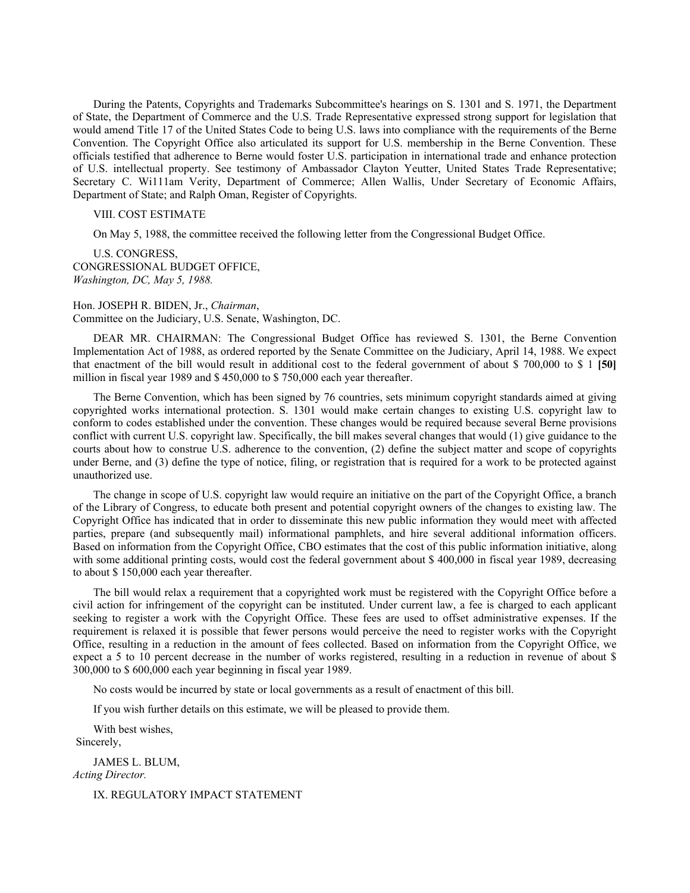During the Patents, Copyrights and Trademarks Subcommittee's hearings on S. 1301 and S. 1971, the Department of State, the Department of Commerce and the U.S. Trade Representative expressed strong support for legislation that would amend Title 17 of the United States Code to being U.S. laws into compliance with the requirements of the Berne Convention. The Copyright Office also articulated its support for U.S. membership in the Berne Convention. These officials testified that adherence to Berne would foster U.S. participation in international trade and enhance protection of U.S. intellectual property. See testimony of Ambassador Clayton Yeutter, United States Trade Representative; Secretary C. Wi111am Verity, Department of Commerce; Allen Wallis, Under Secretary of Economic Affairs, Department of State; and Ralph Oman, Register of Copyrights.

### VIII. COST ESTIMATE

On May 5, 1988, the committee received the following letter from the Congressional Budget Office.

U.S. CONGRESS, CONGRESSIONAL BUDGET OFFICE, *Washington, DC, May 5, 1988.*

Hon. JOSEPH R. BIDEN, Jr., *Chairman*, Committee on the Judiciary, U.S. Senate, Washington, DC.

DEAR MR. CHAIRMAN: The Congressional Budget Office has reviewed S. 1301, the Berne Convention Implementation Act of 1988, as ordered reported by the Senate Committee on the Judiciary, April 14, 1988. We expect that enactment of the bill would result in additional cost to the federal government of about \$ 700,000 to \$ 1 **[50]** million in fiscal year 1989 and \$ 450,000 to \$ 750,000 each year thereafter.

The Berne Convention, which has been signed by 76 countries, sets minimum copyright standards aimed at giving copyrighted works international protection. S. 1301 would make certain changes to existing U.S. copyright law to conform to codes established under the convention. These changes would be required because several Berne provisions conflict with current U.S. copyright law. Specifically, the bill makes several changes that would (1) give guidance to the courts about how to construe U.S. adherence to the convention, (2) define the subject matter and scope of copyrights under Berne, and (3) define the type of notice, filing, or registration that is required for a work to be protected against unauthorized use.

The change in scope of U.S. copyright law would require an initiative on the part of the Copyright Office, a branch of the Library of Congress, to educate both present and potential copyright owners of the changes to existing law. The Copyright Office has indicated that in order to disseminate this new public information they would meet with affected parties, prepare (and subsequently mail) informational pamphlets, and hire several additional information officers. Based on information from the Copyright Office, CBO estimates that the cost of this public information initiative, along with some additional printing costs, would cost the federal government about \$400,000 in fiscal year 1989, decreasing to about \$ 150,000 each year thereafter.

The bill would relax a requirement that a copyrighted work must be registered with the Copyright Office before a civil action for infringement of the copyright can be instituted. Under current law, a fee is charged to each applicant seeking to register a work with the Copyright Office. These fees are used to offset administrative expenses. If the requirement is relaxed it is possible that fewer persons would perceive the need to register works with the Copyright Office, resulting in a reduction in the amount of fees collected. Based on information from the Copyright Office, we expect a 5 to 10 percent decrease in the number of works registered, resulting in a reduction in revenue of about \$ 300,000 to \$ 600,000 each year beginning in fiscal year 1989.

No costs would be incurred by state or local governments as a result of enactment of this bill.

If you wish further details on this estimate, we will be pleased to provide them.

With best wishes, Sincerely,

JAMES L. BLUM, *Acting Director.*

IX. REGULATORY IMPACT STATEMENT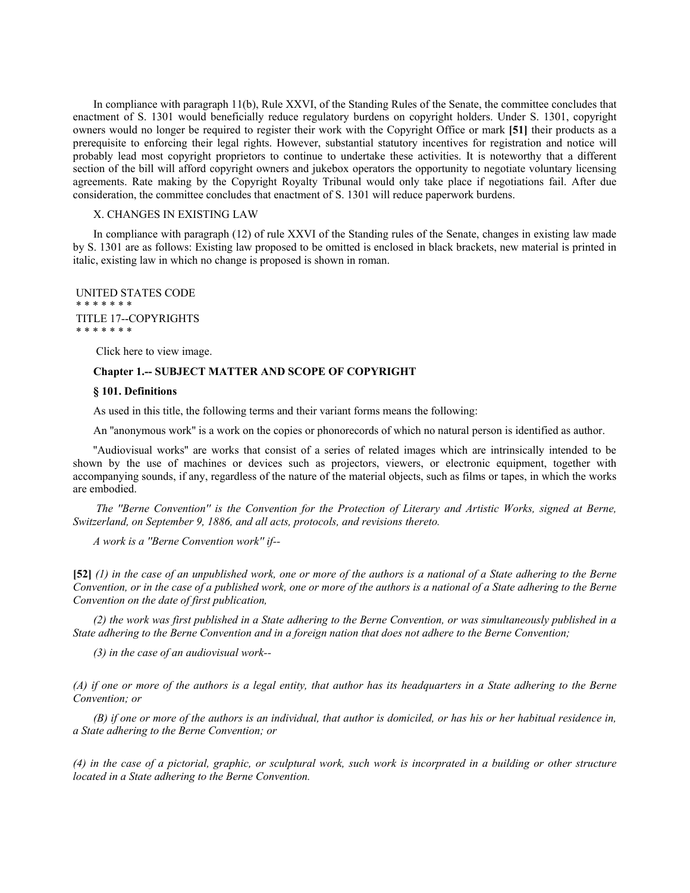In compliance with paragraph 11(b), Rule XXVI, of the Standing Rules of the Senate, the committee concludes that enactment of S. 1301 would beneficially reduce regulatory burdens on copyright holders. Under S. 1301, copyright owners would no longer be required to register their work with the Copyright Office or mark **[51]** their products as a prerequisite to enforcing their legal rights. However, substantial statutory incentives for registration and notice will probably lead most copyright proprietors to continue to undertake these activities. It is noteworthy that a different section of the bill will afford copyright owners and jukebox operators the opportunity to negotiate voluntary licensing agreements. Rate making by the Copyright Royalty Tribunal would only take place if negotiations fail. After due consideration, the committee concludes that enactment of S. 1301 will reduce paperwork burdens.

### X. CHANGES IN EXISTING LAW

In compliance with paragraph (12) of rule XXVI of the Standing rules of the Senate, changes in existing law made by S. 1301 are as follows: Existing law proposed to be omitted is enclosed in black brackets, new material is printed in italic, existing law in which no change is proposed is shown in roman.

### UNITED STATES CODE \* \* \* \* \* \* \* TITLE 17--COPYRIGHTS \* \* \* \* \* \*

Click here to view image.

## **Chapter 1.-- SUBJECT MATTER AND SCOPE OF COPYRIGHT**

### **§ 101. Definitions**

As used in this title, the following terms and their variant forms means the following:

An ''anonymous work'' is a work on the copies or phonorecords of which no natural person is identified as author.

''Audiovisual works'' are works that consist of a series of related images which are intrinsically intended to be shown by the use of machines or devices such as projectors, viewers, or electronic equipment, together with accompanying sounds, if any, regardless of the nature of the material objects, such as films or tapes, in which the works are embodied.

 *The ''Berne Convention'' is the Convention for the Protection of Literary and Artistic Works, signed at Berne, Switzerland, on September 9, 1886, and all acts, protocols, and revisions thereto.*

*A work is a ''Berne Convention work'' if--*

**[52]** *(1) in the case of an unpublished work, one or more of the authors is a national of a State adhering to the Berne Convention, or in the case of a published work, one or more of the authors is a national of a State adhering to the Berne Convention on the date of first publication,*

*(2) the work was first published in a State adhering to the Berne Convention, or was simultaneously published in a State adhering to the Berne Convention and in a foreign nation that does not adhere to the Berne Convention;*

*(3) in the case of an audiovisual work--*

*(A) if one or more of the authors is a legal entity, that author has its headquarters in a State adhering to the Berne Convention; or*

*(B) if one or more of the authors is an individual, that author is domiciled, or has his or her habitual residence in, a State adhering to the Berne Convention; or*

*(4) in the case of a pictorial, graphic, or sculptural work, such work is incorprated in a building or other structure located in a State adhering to the Berne Convention.*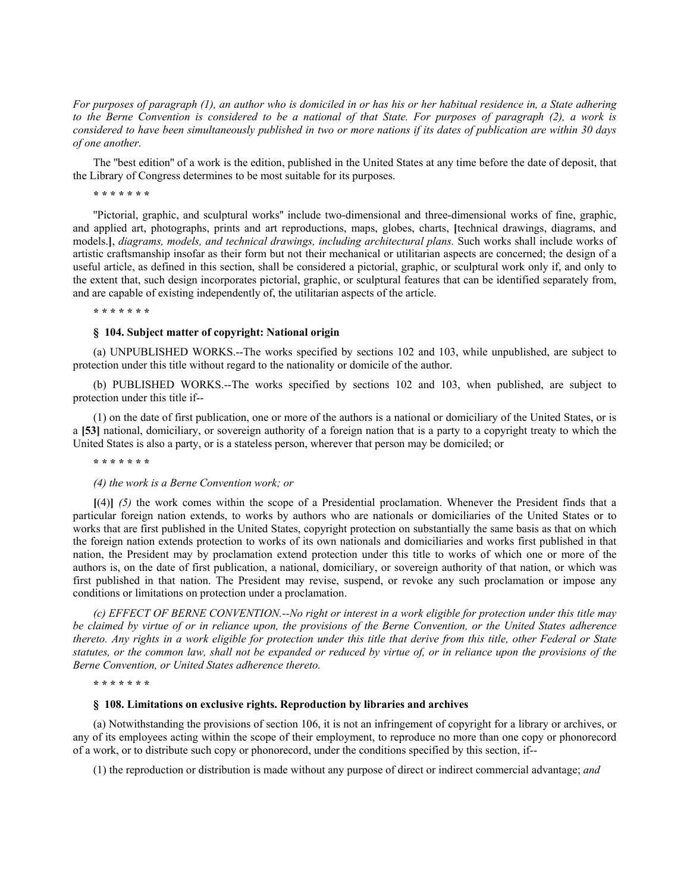*For purposes of paragraph (1), an author who is domiciled in or has his or her habitual residence in, a State adhering to the Berne Convention is considered to be a national of that State. For purposes of paragraph (2), a work is considered to have been simultaneously published in two or more nations if its dates of publication are within 30 days of one another.*

The ''best edition'' of a work is the edition, published in the United States at any time before the date of deposit, that the Library of Congress determines to be most suitable for its purposes.

**\* \* \* \* \* \* \***

''Pictorial, graphic, and sculptural works'' include two-dimensional and three-dimensional works of fine, graphic, and applied art, photographs, prints and art reproductions, maps, globes, charts, **[**technical drawings, diagrams, and models.**]**, *diagrams, models, and technical drawings, including architectural plans.* Such works shall include works of artistic craftsmanship insofar as their form but not their mechanical or utilitarian aspects are concerned; the design of a useful article, as defined in this section, shall be considered a pictorial, graphic, or sculptural work only if, and only to the extent that, such design incorporates pictorial, graphic, or sculptural features that can be identified separately from, and are capable of existing independently of, the utilitarian aspects of the article.

**\* \* \* \* \* \* \***

# **§ 104. Subject matter of copyright: National origin**

(a) UNPUBLISHED WORKS.--The works specified by sections 102 and 103, while unpublished, are subject to protection under this title without regard to the nationality or domicile of the author.

(b) PUBLISHED WORKS.--The works specified by sections 102 and 103, when published, are subject to protection under this title if--

(1) on the date of first publication, one or more of the authors is a national or domiciliary of the United States, or is a **[53]** national, domiciliary, or sovereign authority of a foreign nation that is a party to a copyright treaty to which the United States is also a party, or is a stateless person, wherever that person may be domiciled; or

**\* \* \* \* \* \* \***

## *(4) the work is a Berne Convention work; or*

**[**(4)**]** *(5)* the work comes within the scope of a Presidential proclamation. Whenever the President finds that a particular foreign nation extends, to works by authors who are nationals or domiciliaries of the United States or to works that are first published in the United States, copyright protection on substantially the same basis as that on which the foreign nation extends protection to works of its own nationals and domiciliaries and works first published in that nation, the President may by proclamation extend protection under this title to works of which one or more of the authors is, on the date of first publication, a national, domiciliary, or sovereign authority of that nation, or which was first published in that nation. The President may revise, suspend, or revoke any such proclamation or impose any conditions or limitations on protection under a proclamation.

*(c) EFFECT OF BERNE CONVENTION.--No right or interest in a work eligible for protection under this title may be claimed by virtue of or in reliance upon, the provisions of the Berne Convention, or the United States adherence thereto. Any rights in a work eligible for protection under this title that derive from this title, other Federal or State statutes, or the common law, shall not be expanded or reduced by virtue of, or in reliance upon the provisions of the Berne Convention, or United States adherence thereto.*

**\* \* \* \* \* \* \***

#### **§ 108. Limitations on exclusive rights. Reproduction by libraries and archives**

(a) Notwithstanding the provisions of section 106, it is not an infringement of copyright for a library or archives, or any of its employees acting within the scope of their employment, to reproduce no more than one copy or phonorecord of a work, or to distribute such copy or phonorecord, under the conditions specified by this section, if--

(1) the reproduction or distribution is made without any purpose of direct or indirect commercial advantage; *and*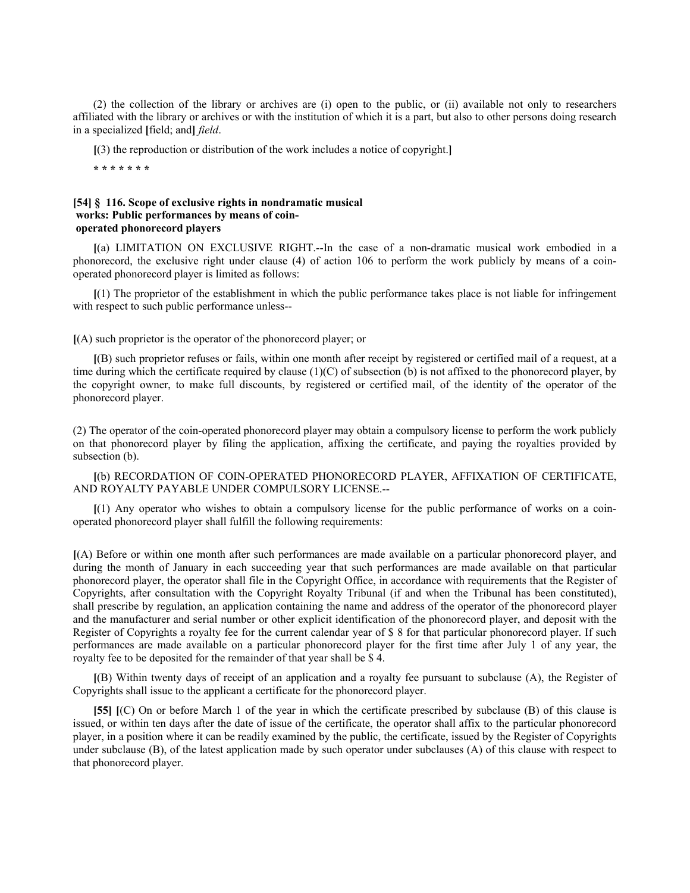(2) the collection of the library or archives are (i) open to the public, or (ii) available not only to researchers affiliated with the library or archives or with the institution of which it is a part, but also to other persons doing research in a specialized **[**field; and**]** *field*.

**[**(3) the reproduction or distribution of the work includes a notice of copyright.**]**

**\* \* \* \* \* \* \***

## **[54] § 116. Scope of exclusive rights in nondramatic musical works: Public performances by means of coin operated phonorecord players**

**[**(a) LIMITATION ON EXCLUSIVE RIGHT.--In the case of a non-dramatic musical work embodied in a phonorecord, the exclusive right under clause (4) of action 106 to perform the work publicly by means of a coinoperated phonorecord player is limited as follows:

**[**(1) The proprietor of the establishment in which the public performance takes place is not liable for infringement with respect to such public performance unless--

**[**(A) such proprietor is the operator of the phonorecord player; or

**[**(B) such proprietor refuses or fails, within one month after receipt by registered or certified mail of a request, at a time during which the certificate required by clause  $(1)(C)$  of subsection (b) is not affixed to the phonorecord player, by the copyright owner, to make full discounts, by registered or certified mail, of the identity of the operator of the phonorecord player.

(2) The operator of the coin-operated phonorecord player may obtain a compulsory license to perform the work publicly on that phonorecord player by filing the application, affixing the certificate, and paying the royalties provided by subsection (b).

**[**(b) RECORDATION OF COIN-OPERATED PHONORECORD PLAYER, AFFIXATION OF CERTIFICATE, AND ROYALTY PAYABLE UNDER COMPULSORY LICENSE.--

**[**(1) Any operator who wishes to obtain a compulsory license for the public performance of works on a coinoperated phonorecord player shall fulfill the following requirements:

**[**(A) Before or within one month after such performances are made available on a particular phonorecord player, and during the month of January in each succeeding year that such performances are made available on that particular phonorecord player, the operator shall file in the Copyright Office, in accordance with requirements that the Register of Copyrights, after consultation with the Copyright Royalty Tribunal (if and when the Tribunal has been constituted), shall prescribe by regulation, an application containing the name and address of the operator of the phonorecord player and the manufacturer and serial number or other explicit identification of the phonorecord player, and deposit with the Register of Copyrights a royalty fee for the current calendar year of \$ 8 for that particular phonorecord player. If such performances are made available on a particular phonorecord player for the first time after July 1 of any year, the royalty fee to be deposited for the remainder of that year shall be \$ 4.

**[**(B) Within twenty days of receipt of an application and a royalty fee pursuant to subclause (A), the Register of Copyrights shall issue to the applicant a certificate for the phonorecord player.

**[55] [**(C) On or before March 1 of the year in which the certificate prescribed by subclause (B) of this clause is issued, or within ten days after the date of issue of the certificate, the operator shall affix to the particular phonorecord player, in a position where it can be readily examined by the public, the certificate, issued by the Register of Copyrights under subclause (B), of the latest application made by such operator under subclauses (A) of this clause with respect to that phonorecord player.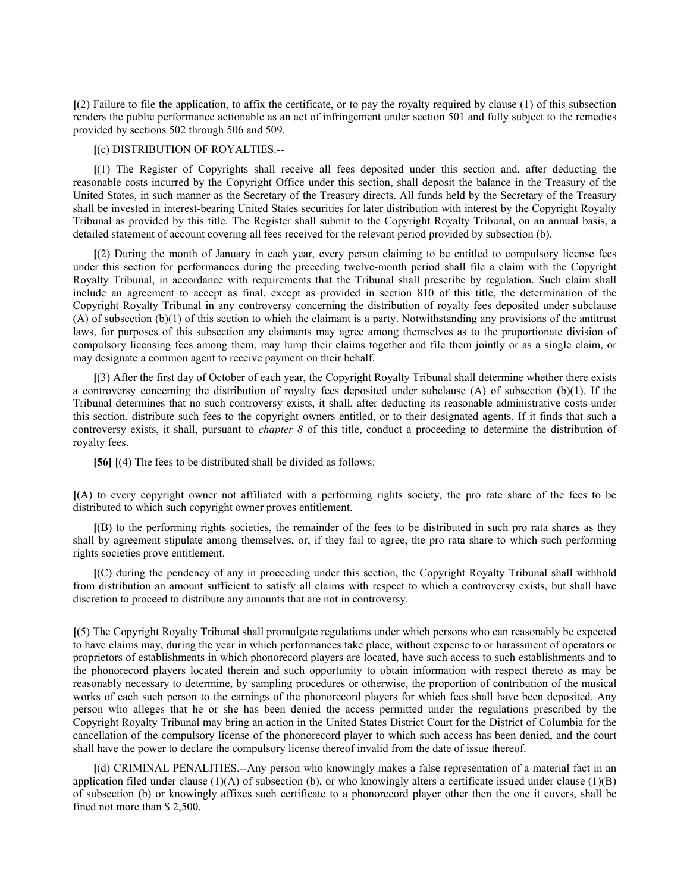**[**(2) Failure to file the application, to affix the certificate, or to pay the royalty required by clause (1) of this subsection renders the public performance actionable as an act of infringement under section 501 and fully subject to the remedies provided by sections 502 through 506 and 509.

**[**(c) DISTRIBUTION OF ROYALTIES.--

**[**(1) The Register of Copyrights shall receive all fees deposited under this section and, after deducting the reasonable costs incurred by the Copyright Office under this section, shall deposit the balance in the Treasury of the United States, in such manner as the Secretary of the Treasury directs. All funds held by the Secretary of the Treasury shall be invested in interest-bearing United States securities for later distribution with interest by the Copyright Royalty Tribunal as provided by this title. The Register shall submit to the Copyright Royalty Tribunal, on an annual basis, a detailed statement of account covering all fees received for the relevant period provided by subsection (b).

**[**(2) During the month of January in each year, every person claiming to be entitled to compulsory license fees under this section for performances during the preceding twelve-month period shall file a claim with the Copyright Royalty Tribunal, in accordance with requirements that the Tribunal shall prescribe by regulation. Such claim shall include an agreement to accept as final, except as provided in section 810 of this title, the determination of the Copyright Royalty Tribunal in any controversy concerning the distribution of royalty fees deposited under subclause (A) of subsection (b)(1) of this section to which the claimant is a party. Notwithstanding any provisions of the antitrust laws, for purposes of this subsection any claimants may agree among themselves as to the proportionate division of compulsory licensing fees among them, may lump their claims together and file them jointly or as a single claim, or may designate a common agent to receive payment on their behalf.

**[**(3) After the first day of October of each year, the Copyright Royalty Tribunal shall determine whether there exists a controversy concerning the distribution of royalty fees deposited under subclause (A) of subsection (b)(1). If the Tribunal determines that no such controversy exists, it shall, after deducting its reasonable administrative costs under this section, distribute such fees to the copyright owners entitled, or to their designated agents. If it finds that such a controversy exists, it shall, pursuant to *chapter 8* of this title, conduct a proceeding to determine the distribution of royalty fees.

**[56] [**(4) The fees to be distributed shall be divided as follows:

**[**(A) to every copyright owner not affiliated with a performing rights society, the pro rate share of the fees to be distributed to which such copyright owner proves entitlement.

**[**(B) to the performing rights societies, the remainder of the fees to be distributed in such pro rata shares as they shall by agreement stipulate among themselves, or, if they fail to agree, the pro rata share to which such performing rights societies prove entitlement.

**[**(C) during the pendency of any in proceeding under this section, the Copyright Royalty Tribunal shall withhold from distribution an amount sufficient to satisfy all claims with respect to which a controversy exists, but shall have discretion to proceed to distribute any amounts that are not in controversy.

**[**(5) The Copyright Royalty Tribunal shall promulgate regulations under which persons who can reasonably be expected to have claims may, during the year in which performances take place, without expense to or harassment of operators or proprietors of establishments in which phonorecord players are located, have such access to such establishments and to the phonorecord players located therein and such opportunity to obtain information with respect thereto as may be reasonably necessary to determine, by sampling procedures or otherwise, the proportion of contribution of the musical works of each such person to the earnings of the phonorecord players for which fees shall have been deposited. Any person who alleges that he or she has been denied the access permitted under the regulations prescribed by the Copyright Royalty Tribunal may bring an action in the United States District Court for the District of Columbia for the cancellation of the compulsory license of the phonorecord player to which such access has been denied, and the court shall have the power to declare the compulsory license thereof invalid from the date of issue thereof.

**[**(d) CRIMINAL PENALITIES.--Any person who knowingly makes a false representation of a material fact in an application filed under clause  $(1)(A)$  of subsection (b), or who knowingly alters a certificate issued under clause  $(1)(B)$ of subsection (b) or knowingly affixes such certificate to a phonorecord player other then the one it covers, shall be fined not more than \$ 2,500.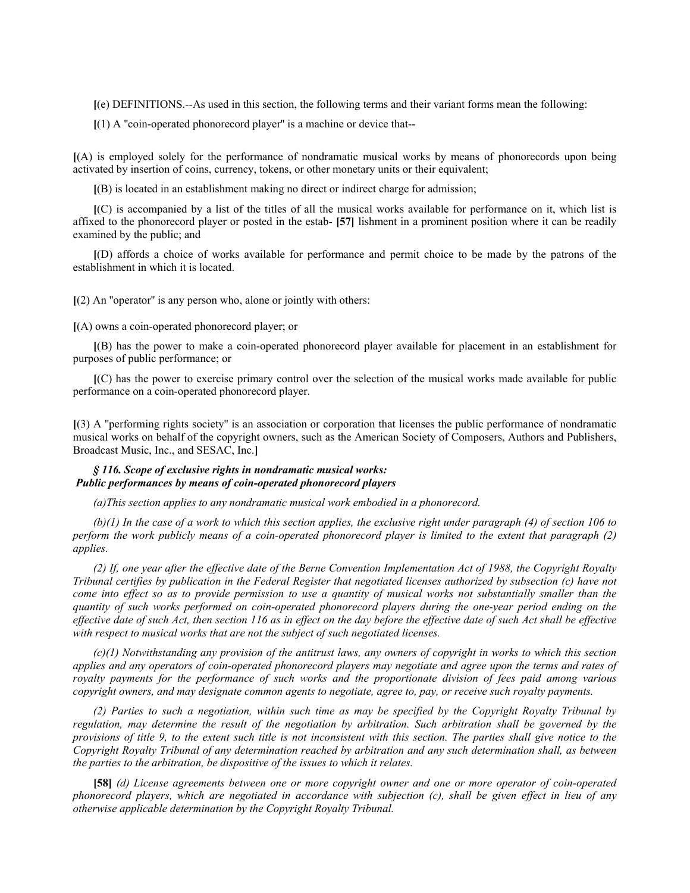**[**(e) DEFINITIONS.--As used in this section, the following terms and their variant forms mean the following:

**[**(1) A ''coin-operated phonorecord player'' is a machine or device that--

**[**(A) is employed solely for the performance of nondramatic musical works by means of phonorecords upon being activated by insertion of coins, currency, tokens, or other monetary units or their equivalent;

**[**(B) is located in an establishment making no direct or indirect charge for admission;

**[**(C) is accompanied by a list of the titles of all the musical works available for performance on it, which list is affixed to the phonorecord player or posted in the estab- **[57]** lishment in a prominent position where it can be readily examined by the public; and

**[**(D) affords a choice of works available for performance and permit choice to be made by the patrons of the establishment in which it is located.

**[**(2) An ''operator'' is any person who, alone or jointly with others:

**[**(A) owns a coin-operated phonorecord player; or

**[**(B) has the power to make a coin-operated phonorecord player available for placement in an establishment for purposes of public performance; or

**[**(C) has the power to exercise primary control over the selection of the musical works made available for public performance on a coin-operated phonorecord player.

**[**(3) A ''performing rights society'' is an association or corporation that licenses the public performance of nondramatic musical works on behalf of the copyright owners, such as the American Society of Composers, Authors and Publishers, Broadcast Music, Inc., and SESAC, Inc.**]**

# *§ 116. Scope of exclusive rights in nondramatic musical works: Public performances by means of coin-operated phonorecord players*

*(a)This section applies to any nondramatic musical work embodied in a phonorecord.*

*(b)(1) In the case of a work to which this section applies, the exclusive right under paragraph (4) of section 106 to perform the work publicly means of a coin-operated phonorecord player is limited to the extent that paragraph (2) applies.*

*(2) If, one year after the effective date of the Berne Convention Implementation Act of 1988, the Copyright Royalty Tribunal certifies by publication in the Federal Register that negotiated licenses authorized by subsection (c) have not come into effect so as to provide permission to use a quantity of musical works not substantially smaller than the quantity of such works performed on coin-operated phonorecord players during the one-year period ending on the effective date of such Act, then section 116 as in effect on the day before the effective date of such Act shall be effective with respect to musical works that are not the subject of such negotiated licenses.*

*(c)(1) Notwithstanding any provision of the antitrust laws, any owners of copyright in works to which this section applies and any operators of coin-operated phonorecord players may negotiate and agree upon the terms and rates of royalty payments for the performance of such works and the proportionate division of fees paid among various copyright owners, and may designate common agents to negotiate, agree to, pay, or receive such royalty payments.*

*(2) Parties to such a negotiation, within such time as may be specified by the Copyright Royalty Tribunal by*  regulation, may determine the result of the negotiation by arbitration. Such arbitration shall be governed by the *provisions of title 9, to the extent such title is not inconsistent with this section. The parties shall give notice to the Copyright Royalty Tribunal of any determination reached by arbitration and any such determination shall, as between the parties to the arbitration, be dispositive of the issues to which it relates.*

**[58]** *(d) License agreements between one or more copyright owner and one or more operator of coin-operated phonorecord players, which are negotiated in accordance with subjection (c), shall be given effect in lieu of any otherwise applicable determination by the Copyright Royalty Tribunal.*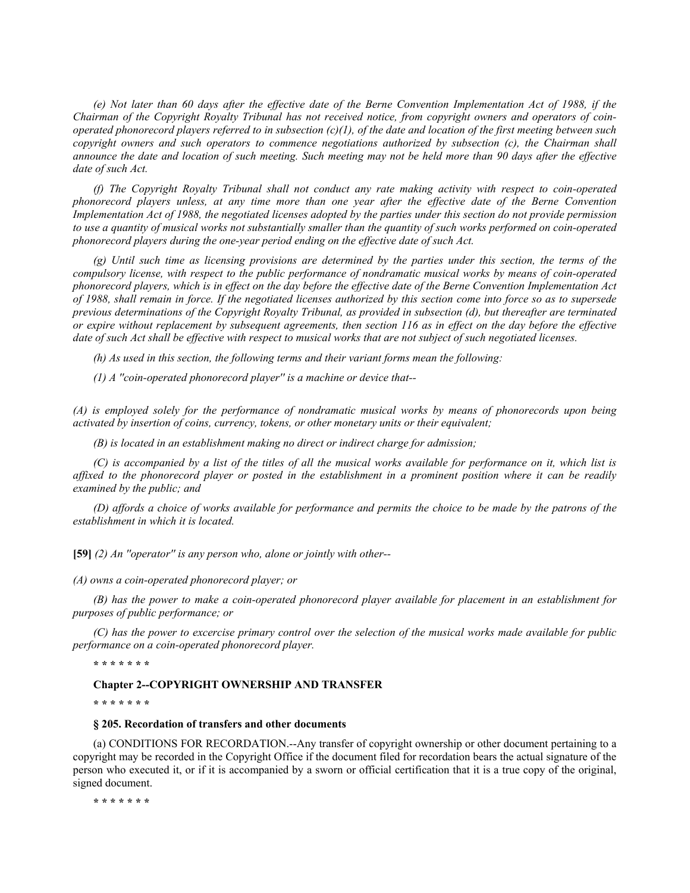*(e) Not later than 60 days after the effective date of the Berne Convention Implementation Act of 1988, if the Chairman of the Copyright Royalty Tribunal has not received notice, from copyright owners and operators of coinoperated phonorecord players referred to in subsection (c)(1), of the date and location of the first meeting between such copyright owners and such operators to commence negotiations authorized by subsection (c), the Chairman shall announce the date and location of such meeting. Such meeting may not be held more than 90 days after the effective date of such Act.*

*(f) The Copyright Royalty Tribunal shall not conduct any rate making activity with respect to coin-operated phonorecord players unless, at any time more than one year after the effective date of the Berne Convention Implementation Act of 1988, the negotiated licenses adopted by the parties under this section do not provide permission to use a quantity of musical works not substantially smaller than the quantity of such works performed on coin-operated phonorecord players during the one-year period ending on the effective date of such Act.*

*(g) Until such time as licensing provisions are determined by the parties under this section, the terms of the compulsory license, with respect to the public performance of nondramatic musical works by means of coin-operated phonorecord players, which is in effect on the day before the effective date of the Berne Convention Implementation Act of 1988, shall remain in force. If the negotiated licenses authorized by this section come into force so as to supersede previous determinations of the Copyright Royalty Tribunal, as provided in subsection (d), but thereafter are terminated or expire without replacement by subsequent agreements, then section 116 as in effect on the day before the effective date of such Act shall be effective with respect to musical works that are not subject of such negotiated licenses.*

*(h) As used in this section, the following terms and their variant forms mean the following:*

*(1) A ''coin-operated phonorecord player'' is a machine or device that--*

*(A) is employed solely for the performance of nondramatic musical works by means of phonorecords upon being activated by insertion of coins, currency, tokens, or other monetary units or their equivalent;*

*(B) is located in an establishment making no direct or indirect charge for admission;*

*(C) is accompanied by a list of the titles of all the musical works available for performance on it, which list is affixed to the phonorecord player or posted in the establishment in a prominent position where it can be readily examined by the public; and*

*(D) affords a choice of works available for performance and permits the choice to be made by the patrons of the establishment in which it is located.*

**[59]** *(2) An ''operator'' is any person who, alone or jointly with other--*

*(A) owns a coin-operated phonorecord player; or*

*(B) has the power to make a coin-operated phonorecord player available for placement in an establishment for purposes of public performance; or*

*(C) has the power to excercise primary control over the selection of the musical works made available for public performance on a coin-operated phonorecord player.*

**\* \* \* \* \* \* \*** 

## **Chapter 2--COPYRIGHT OWNERSHIP AND TRANSFER**

**\* \* \* \* \* \* \*** 

# **§ 205. Recordation of transfers and other documents**

(a) CONDITIONS FOR RECORDATION.--Any transfer of copyright ownership or other document pertaining to a copyright may be recorded in the Copyright Office if the document filed for recordation bears the actual signature of the person who executed it, or if it is accompanied by a sworn or official certification that it is a true copy of the original, signed document.

**\* \* \* \* \* \* \***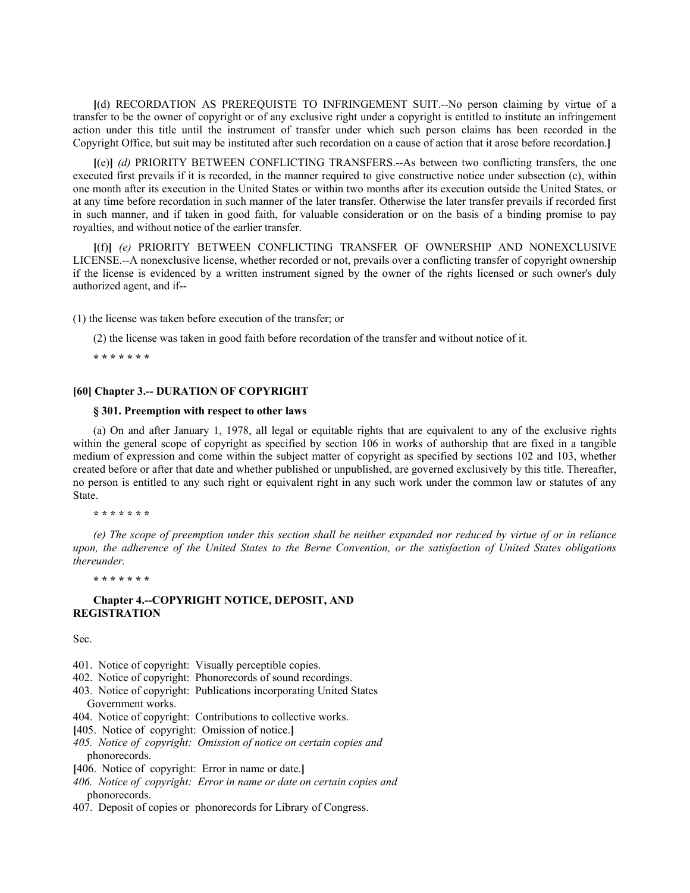**[**(d) RECORDATION AS PREREQUISTE TO INFRINGEMENT SUIT.--No person claiming by virtue of a transfer to be the owner of copyright or of any exclusive right under a copyright is entitled to institute an infringement action under this title until the instrument of transfer under which such person claims has been recorded in the Copyright Office, but suit may be instituted after such recordation on a cause of action that it arose before recordation.**]**

**[**(e)**]** *(d)* PRIORITY BETWEEN CONFLICTING TRANSFERS.--As between two conflicting transfers, the one executed first prevails if it is recorded, in the manner required to give constructive notice under subsection (c), within one month after its execution in the United States or within two months after its execution outside the United States, or at any time before recordation in such manner of the later transfer. Otherwise the later transfer prevails if recorded first in such manner, and if taken in good faith, for valuable consideration or on the basis of a binding promise to pay royalties, and without notice of the earlier transfer.

**[**(f)**]** *(e)* PRIORITY BETWEEN CONFLICTING TRANSFER OF OWNERSHIP AND NONEXCLUSIVE LICENSE.--A nonexclusive license, whether recorded or not, prevails over a conflicting transfer of copyright ownership if the license is evidenced by a written instrument signed by the owner of the rights licensed or such owner's duly authorized agent, and if--

(1) the license was taken before execution of the transfer; or

(2) the license was taken in good faith before recordation of the transfer and without notice of it.

**\* \* \* \* \* \* \*** 

# **[60] Chapter 3.-- DURATION OF COPYRIGHT**

## **§ 301. Preemption with respect to other laws**

(a) On and after January 1, 1978, all legal or equitable rights that are equivalent to any of the exclusive rights within the general scope of copyright as specified by section 106 in works of authorship that are fixed in a tangible medium of expression and come within the subject matter of copyright as specified by sections 102 and 103, whether created before or after that date and whether published or unpublished, are governed exclusively by this title. Thereafter, no person is entitled to any such right or equivalent right in any such work under the common law or statutes of any **State** 

**\* \* \* \* \* \* \***

*(e) The scope of preemption under this section shall be neither expanded nor reduced by virtue of or in reliance upon, the adherence of the United States to the Berne Convention, or the satisfaction of United States obligations thereunder.*

**\* \* \* \* \* \* \***

## **Chapter 4.--COPYRIGHT NOTICE, DEPOSIT, AND REGISTRATION**

Sec.

- 401. Notice of copyright: Visually perceptible copies.
- 402. Notice of copyright: Phonorecords of sound recordings.
- 403. Notice of copyright: Publications incorporating United States Government works.
- 404. Notice of copyright: Contributions to collective works.
- **[**405. Notice of copyright: Omission of notice.**]**
- *405. Notice of copyright: Omission of notice on certain copies and* phonorecords.
- **[**406. Notice of copyright: Error in name or date.**]**
- *406. Notice of copyright: Error in name or date on certain copies and* phonorecords.
- 407. Deposit of copies or phonorecords for Library of Congress.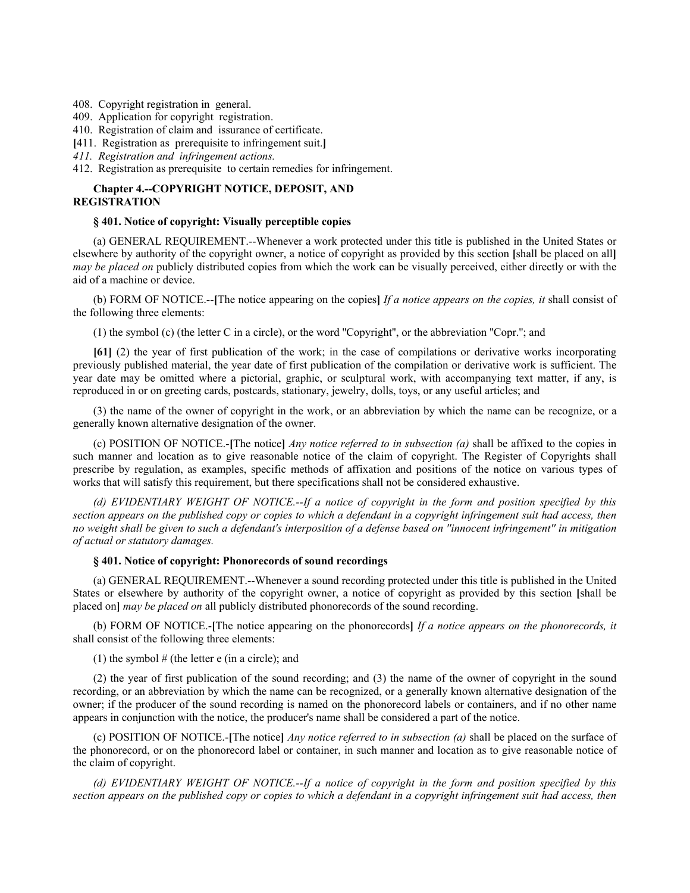- 408. Copyright registration in general.
- 409. Application for copyright registration.
- 410. Registration of claim and issurance of certificate.
- **[**411. Registration as prerequisite to infringement suit.**]**
- *411. Registration and infringement actions.*
- 412. Registration as prerequisite to certain remedies for infringement.

## **Chapter 4.--COPYRIGHT NOTICE, DEPOSIT, AND REGISTRATION**

### **§ 401. Notice of copyright: Visually perceptible copies**

(a) GENERAL REQUIREMENT.--Whenever a work protected under this title is published in the United States or elsewhere by authority of the copyright owner, a notice of copyright as provided by this section **[**shall be placed on all**]** *may be placed on* publicly distributed copies from which the work can be visually perceived, either directly or with the aid of a machine or device.

(b) FORM OF NOTICE.--**[**The notice appearing on the copies**]** *If a notice appears on the copies, it* shall consist of the following three elements:

(1) the symbol (c) (the letter C in a circle), or the word ''Copyright'', or the abbreviation ''Copr.''; and

**[61]** (2) the year of first publication of the work; in the case of compilations or derivative works incorporating previously published material, the year date of first publication of the compilation or derivative work is sufficient. The year date may be omitted where a pictorial, graphic, or sculptural work, with accompanying text matter, if any, is reproduced in or on greeting cards, postcards, stationary, jewelry, dolls, toys, or any useful articles; and

(3) the name of the owner of copyright in the work, or an abbreviation by which the name can be recognize, or a generally known alternative designation of the owner.

(c) POSITION OF NOTICE.-**[**The notice**]** *Any notice referred to in subsection (a)* shall be affixed to the copies in such manner and location as to give reasonable notice of the claim of copyright. The Register of Copyrights shall prescribe by regulation, as examples, specific methods of affixation and positions of the notice on various types of works that will satisfy this requirement, but there specifications shall not be considered exhaustive.

*(d) EVIDENTIARY WEIGHT OF NOTICE.--If a notice of copyright in the form and position specified by this section appears on the published copy or copies to which a defendant in a copyright infringement suit had access, then no weight shall be given to such a defendant's interposition of a defense based on ''innocent infringement'' in mitigation of actual or statutory damages.*

### **§ 401. Notice of copyright: Phonorecords of sound recordings**

(a) GENERAL REQUIREMENT.--Whenever a sound recording protected under this title is published in the United States or elsewhere by authority of the copyright owner, a notice of copyright as provided by this section **[**shall be placed on**]** *may be placed on* all publicly distributed phonorecords of the sound recording.

(b) FORM OF NOTICE.-**[**The notice appearing on the phonorecords**]** *If a notice appears on the phonorecords, it* shall consist of the following three elements:

(1) the symbol  $#$  (the letter e (in a circle); and

(2) the year of first publication of the sound recording; and (3) the name of the owner of copyright in the sound recording, or an abbreviation by which the name can be recognized, or a generally known alternative designation of the owner; if the producer of the sound recording is named on the phonorecord labels or containers, and if no other name appears in conjunction with the notice, the producer's name shall be considered a part of the notice.

(c) POSITION OF NOTICE.-**[**The notice**]** *Any notice referred to in subsection (a)* shall be placed on the surface of the phonorecord, or on the phonorecord label or container, in such manner and location as to give reasonable notice of the claim of copyright.

*(d) EVIDENTIARY WEIGHT OF NOTICE.--If a notice of copyright in the form and position specified by this section appears on the published copy or copies to which a defendant in a copyright infringement suit had access, then*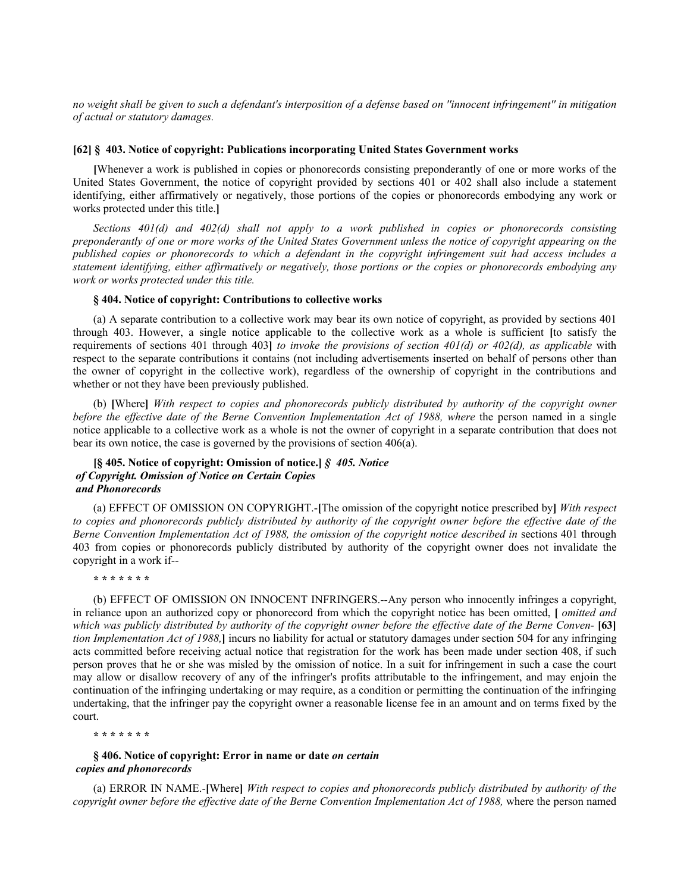*no weight shall be given to such a defendant's interposition of a defense based on ''innocent infringement'' in mitigation of actual or statutory damages.*

## **[62] § 403. Notice of copyright: Publications incorporating United States Government works**

**[**Whenever a work is published in copies or phonorecords consisting preponderantly of one or more works of the United States Government, the notice of copyright provided by sections 401 or 402 shall also include a statement identifying, either affirmatively or negatively, those portions of the copies or phonorecords embodying any work or works protected under this title.**]**

*Sections 401(d) and 402(d) shall not apply to a work published in copies or phonorecords consisting preponderantly of one or more works of the United States Government unless the notice of copyright appearing on the published copies or phonorecords to which a defendant in the copyright infringement suit had access includes a statement identifying, either affirmatively or negatively, those portions or the copies or phonorecords embodying any work or works protected under this title.*

### **§ 404. Notice of copyright: Contributions to collective works**

(a) A separate contribution to a collective work may bear its own notice of copyright, as provided by sections 401 through 403. However, a single notice applicable to the collective work as a whole is sufficient **[**to satisfy the requirements of sections 401 through 403**]** *to invoke the provisions of section 401(d) or 402(d), as applicable* with respect to the separate contributions it contains (not including advertisements inserted on behalf of persons other than the owner of copyright in the collective work), regardless of the ownership of copyright in the contributions and whether or not they have been previously published.

(b) **[**Where**]** *With respect to copies and phonorecords publicly distributed by authority of the copyright owner before the effective date of the Berne Convention Implementation Act of 1988, where* the person named in a single notice applicable to a collective work as a whole is not the owner of copyright in a separate contribution that does not bear its own notice, the case is governed by the provisions of section 406(a).

## **[§ 405. Notice of copyright: Omission of notice.]** *§ 405. Notice of Copyright. Omission of Notice on Certain Copies and Phonorecords*

(a) EFFECT OF OMISSION ON COPYRIGHT.-**[**The omission of the copyright notice prescribed by**]** *With respect*  to copies and phonorecords publicly distributed by authority of the copyright owner before the effective date of the *Berne Convention Implementation Act of 1988, the omission of the copyright notice described in* sections 401 through 403 from copies or phonorecords publicly distributed by authority of the copyright owner does not invalidate the copyright in a work if--

**\* \* \* \* \* \* \***

(b) EFFECT OF OMISSION ON INNOCENT INFRINGERS.--Any person who innocently infringes a copyright, in reliance upon an authorized copy or phonorecord from which the copyright notice has been omitted, **[** *omitted and which was publicly distributed by authority of the copyright owner before the effective date of the Berne Conven*- **[63]** *tion Implementation Act of 1988,***]** incurs no liability for actual or statutory damages under section 504 for any infringing acts committed before receiving actual notice that registration for the work has been made under section 408, if such person proves that he or she was misled by the omission of notice. In a suit for infringement in such a case the court may allow or disallow recovery of any of the infringer's profits attributable to the infringement, and may enjoin the continuation of the infringing undertaking or may require, as a condition or permitting the continuation of the infringing undertaking, that the infringer pay the copyright owner a reasonable license fee in an amount and on terms fixed by the court.

**\* \* \* \* \* \* \*** 

# **§ 406. Notice of copyright: Error in name or date** *on certain copies and phonorecords*

(a) ERROR IN NAME.-**[**Where**]** *With respect to copies and phonorecords publicly distributed by authority of the copyright owner before the effective date of the Berne Convention Implementation Act of 1988,* where the person named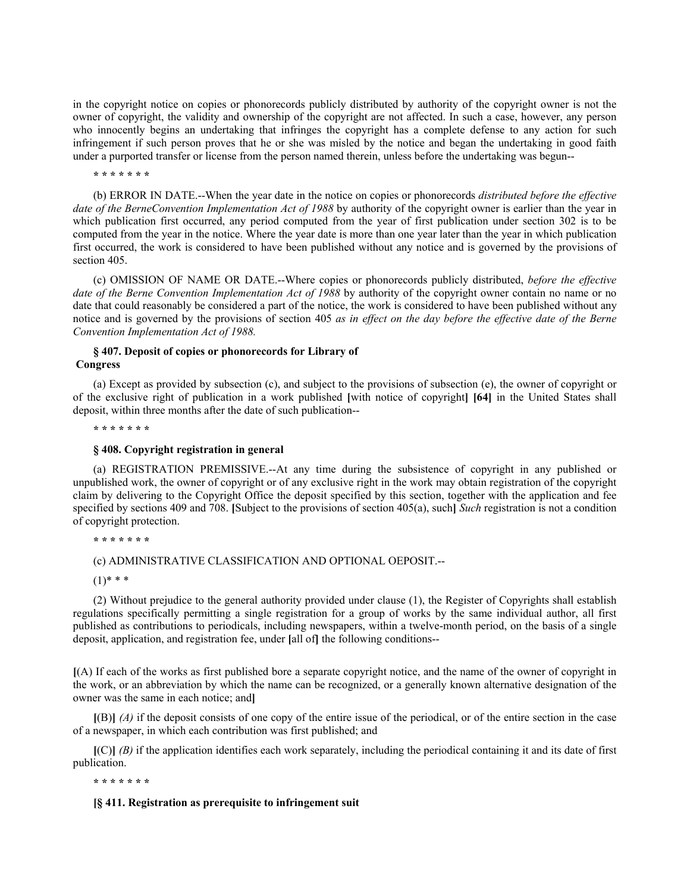in the copyright notice on copies or phonorecords publicly distributed by authority of the copyright owner is not the owner of copyright, the validity and ownership of the copyright are not affected. In such a case, however, any person who innocently begins an undertaking that infringes the copyright has a complete defense to any action for such infringement if such person proves that he or she was misled by the notice and began the undertaking in good faith under a purported transfer or license from the person named therein, unless before the undertaking was begun--

**\* \* \* \* \* \* \***

(b) ERROR IN DATE.--When the year date in the notice on copies or phonorecords *distributed before the effective date of the BerneConvention Implementation Act of 1988* by authority of the copyright owner is earlier than the year in which publication first occurred, any period computed from the year of first publication under section 302 is to be computed from the year in the notice. Where the year date is more than one year later than the year in which publication first occurred, the work is considered to have been published without any notice and is governed by the provisions of section 405.

(c) OMISSION OF NAME OR DATE.--Where copies or phonorecords publicly distributed, *before the effective date of the Berne Convention Implementation Act of 1988* by authority of the copyright owner contain no name or no date that could reasonably be considered a part of the notice, the work is considered to have been published without any notice and is governed by the provisions of section 405 *as in effect on the day before the effective date of the Berne Convention Implementation Act of 1988.*

## **§ 407. Deposit of copies or phonorecords for Library of Congress**

(a) Except as provided by subsection (c), and subject to the provisions of subsection (e), the owner of copyright or of the exclusive right of publication in a work published **[**with notice of copyright**] [64]** in the United States shall deposit, within three months after the date of such publication--

**\* \* \* \* \* \* \*** 

#### **§ 408. Copyright registration in general**

(a) REGISTRATION PREMISSIVE.--At any time during the subsistence of copyright in any published or unpublished work, the owner of copyright or of any exclusive right in the work may obtain registration of the copyright claim by delivering to the Copyright Office the deposit specified by this section, together with the application and fee specified by sections 409 and 708. **[**Subject to the provisions of section 405(a), such**]** *Such* registration is not a condition of copyright protection.

**\* \* \* \* \* \* \***

(c) ADMINISTRATIVE CLASSIFICATION AND OPTIONAL OEPOSIT.--

 $(1)$ \* \* \*

(2) Without prejudice to the general authority provided under clause (1), the Register of Copyrights shall establish regulations specifically permitting a single registration for a group of works by the same individual author, all first published as contributions to periodicals, including newspapers, within a twelve-month period, on the basis of a single deposit, application, and registration fee, under **[**all of**]** the following conditions--

**[**(A) If each of the works as first published bore a separate copyright notice, and the name of the owner of copyright in the work, or an abbreviation by which the name can be recognized, or a generally known alternative designation of the owner was the same in each notice; and**]**

**[**(B)**]** *(A)* if the deposit consists of one copy of the entire issue of the periodical, or of the entire section in the case of a newspaper, in which each contribution was first published; and

**[**(C)**]** *(B)* if the application identifies each work separately, including the periodical containing it and its date of first publication.

**\* \* \* \* \* \* \*** 

#### **[§ 411. Registration as prerequisite to infringement suit**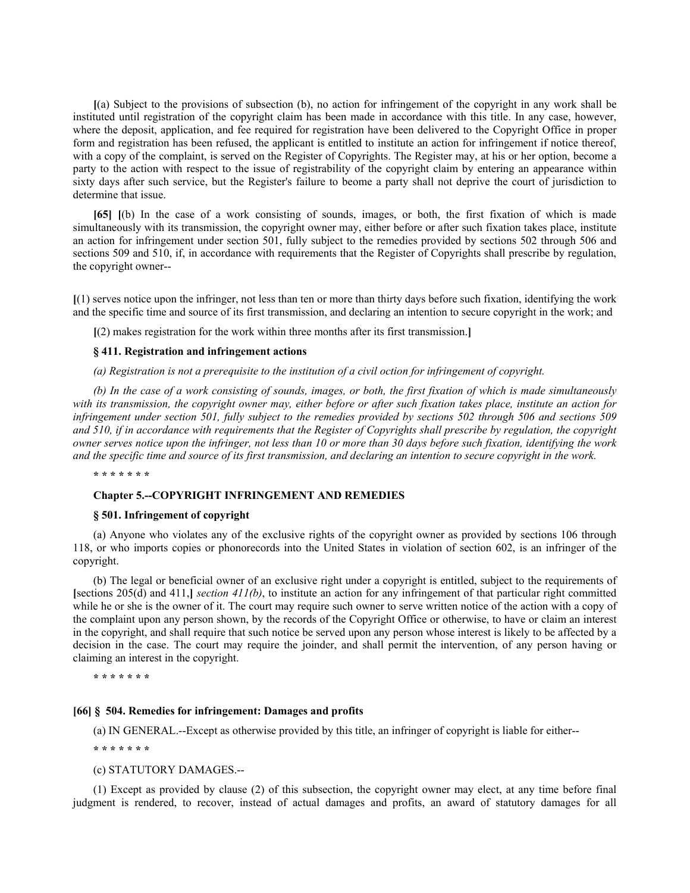**[**(a) Subject to the provisions of subsection (b), no action for infringement of the copyright in any work shall be instituted until registration of the copyright claim has been made in accordance with this title. In any case, however, where the deposit, application, and fee required for registration have been delivered to the Copyright Office in proper form and registration has been refused, the applicant is entitled to institute an action for infringement if notice thereof, with a copy of the complaint, is served on the Register of Copyrights. The Register may, at his or her option, become a party to the action with respect to the issue of registrability of the copyright claim by entering an appearance within sixty days after such service, but the Register's failure to beome a party shall not deprive the court of jurisdiction to determine that issue.

**[65] [**(b) In the case of a work consisting of sounds, images, or both, the first fixation of which is made simultaneously with its transmission, the copyright owner may, either before or after such fixation takes place, institute an action for infringement under section 501, fully subject to the remedies provided by sections 502 through 506 and sections 509 and 510, if, in accordance with requirements that the Register of Copyrights shall prescribe by regulation, the copyright owner--

**[**(1) serves notice upon the infringer, not less than ten or more than thirty days before such fixation, identifying the work and the specific time and source of its first transmission, and declaring an intention to secure copyright in the work; and

**[**(2) makes registration for the work within three months after its first transmission.**]**

### **§ 411. Registration and infringement actions**

*(a) Registration is not a prerequisite to the institution of a civil oction for infringement of copyright.*

*(b) In the case of a work consisting of sounds, images, or both, the first fixation of which is made simultaneously with its transmission, the copyright owner may, either before or after such fixation takes place, institute an action for infringement under section 501, fully subject to the remedies provided by sections 502 through 506 and sections 509 and 510, if in accordance with requirements that the Register of Copyrights shall prescribe by regulation, the copyright owner serves notice upon the infringer, not less than 10 or more than 30 days before such fixation, identifying the work and the specific time and source of its first transmission, and declaring an intention to secure copyright in the work.*

**\* \* \* \* \* \* \*** 

## **Chapter 5.--COPYRIGHT INFRINGEMENT AND REMEDIES**

### **§ 501. Infringement of copyright**

(a) Anyone who violates any of the exclusive rights of the copyright owner as provided by sections 106 through 118, or who imports copies or phonorecords into the United States in violation of section 602, is an infringer of the copyright.

(b) The legal or beneficial owner of an exclusive right under a copyright is entitled, subject to the requirements of **[**sections 205(d) and 411,**]** *section 411(b)*, to institute an action for any infringement of that particular right committed while he or she is the owner of it. The court may require such owner to serve written notice of the action with a copy of the complaint upon any person shown, by the records of the Copyright Office or otherwise, to have or claim an interest in the copyright, and shall require that such notice be served upon any person whose interest is likely to be affected by a decision in the case. The court may require the joinder, and shall permit the intervention, of any person having or claiming an interest in the copyright.

**\* \* \* \* \* \* \***

#### **[66] § 504. Remedies for infringement: Damages and profits**

(a) IN GENERAL.--Except as otherwise provided by this title, an infringer of copyright is liable for either--

**\* \* \* \* \* \* \***

(c) STATUTORY DAMAGES.--

(1) Except as provided by clause (2) of this subsection, the copyright owner may elect, at any time before final judgment is rendered, to recover, instead of actual damages and profits, an award of statutory damages for all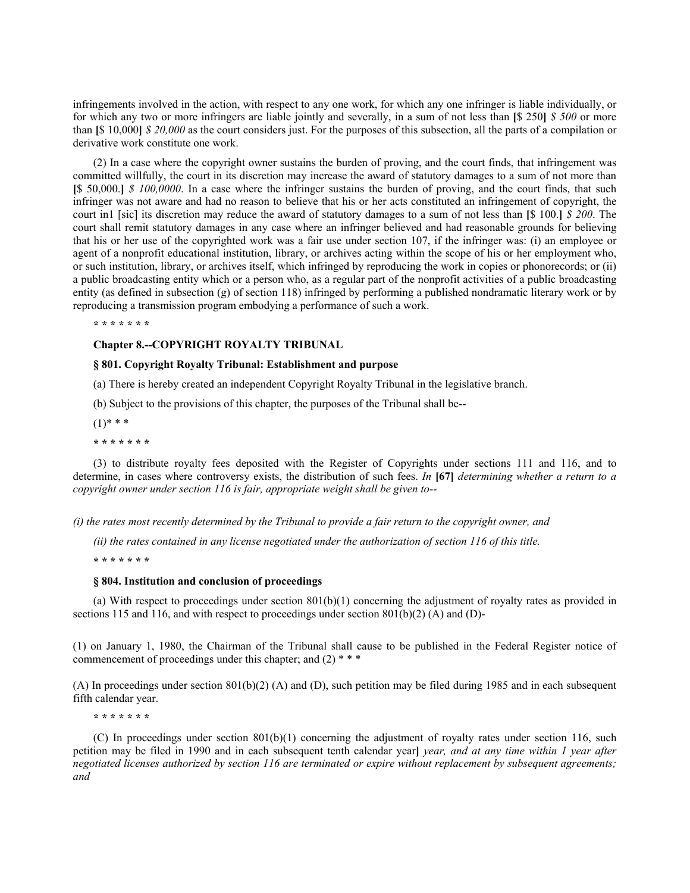infringements involved in the action, with respect to any one work, for which any one infringer is liable individually, or for which any two or more infringers are liable jointly and severally, in a sum of not less than **[**\$ 250**]** *\$ 500* or more than **[**\$ 10,000**]** *\$ 20,000* as the court considers just. For the purposes of this subsection, all the parts of a compilation or derivative work constitute one work.

(2) In a case where the copyright owner sustains the burden of proving, and the court finds, that infringement was committed willfully, the court in its discretion may increase the award of statutory damages to a sum of not more than **[**\$ 50,000.**]** *\$ 100,0000*. In a case where the infringer sustains the burden of proving, and the court finds, that such infringer was not aware and had no reason to believe that his or her acts constituted an infringement of copyright, the court in1 [sic] its discretion may reduce the award of statutory damages to a sum of not less than **[**\$ 100.**]** *\$ 200*. The court shall remit statutory damages in any case where an infringer believed and had reasonable grounds for believing that his or her use of the copyrighted work was a fair use under section 107, if the infringer was: (i) an employee or agent of a nonprofit educational institution, library, or archives acting within the scope of his or her employment who, or such institution, library, or archives itself, which infringed by reproducing the work in copies or phonorecords; or (ii) a public broadcasting entity which or a person who, as a regular part of the nonprofit activities of a public broadcasting entity (as defined in subsection (g) of section 118) infringed by performing a published nondramatic literary work or by reproducing a transmission program embodying a performance of such a work.

**\* \* \* \* \* \* \*** 

#### **Chapter 8.--COPYRIGHT ROYALTY TRIBUNAL**

#### **§ 801. Copyright Royalty Tribunal: Establishment and purpose**

(a) There is hereby created an independent Copyright Royalty Tribunal in the legislative branch.

(b) Subject to the provisions of this chapter, the purposes of the Tribunal shall be--

 $(1)$ \* \* \*

**\* \* \* \* \* \* \***

(3) to distribute royalty fees deposited with the Register of Copyrights under sections 111 and 116, and to determine, in cases where controversy exists, the distribution of such fees. *In* **[67]** *determining whether a return to a copyright owner under section 116 is fair, appropriate weight shall be given to--*

*(i) the rates most recently determined by the Tribunal to provide a fair return to the copyright owner, and*

*(ii) the rates contained in any license negotiated under the authorization of section 116 of this title.*

**\* \* \* \* \* \* \*** 

### **§ 804. Institution and conclusion of proceedings**

(a) With respect to proceedings under section  $801(b)(1)$  concerning the adjustment of royalty rates as provided in sections 115 and 116, and with respect to proceedings under section 801(b)(2) (A) and (D)-

(1) on January 1, 1980, the Chairman of the Tribunal shall cause to be published in the Federal Register notice of commencement of proceedings under this chapter; and  $(2)$ <sup>\*\*\*</sup>

(A) In proceedings under section  $801(b)(2)$  (A) and (D), such petition may be filed during 1985 and in each subsequent fifth calendar year.

**\* \* \* \* \* \* \***

(C) In proceedings under section 801(b)(1) concerning the adjustment of royalty rates under section 116, such petition may be filed in 1990 and in each subsequent tenth calendar year**]** *year, and at any time within 1 year after negotiated licenses authorized by section 116 are terminated or expire without replacement by subsequent agreements; and*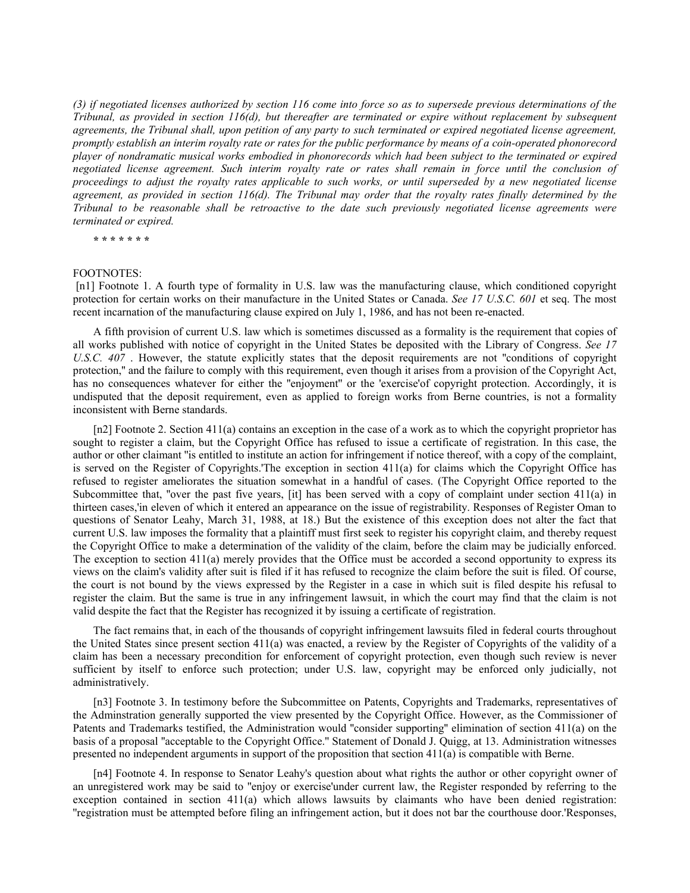*(3) if negotiated licenses authorized by section 116 come into force so as to supersede previous determinations of the Tribunal, as provided in section 116(d), but thereafter are terminated or expire without replacement by subsequent agreements, the Tribunal shall, upon petition of any party to such terminated or expired negotiated license agreement, promptly establish an interim royalty rate or rates for the public performance by means of a coin-operated phonorecord player of nondramatic musical works embodied in phonorecords which had been subject to the terminated or expired negotiated license agreement. Such interim royalty rate or rates shall remain in force until the conclusion of proceedings to adjust the royalty rates applicable to such works, or until superseded by a new negotiated license agreement, as provided in section 116(d). The Tribunal may order that the royalty rates finally determined by the Tribunal to be reasonable shall be retroactive to the date such previously negotiated license agreements were terminated or expired.*

**\* \* \* \* \* \* \***

## FOOTNOTES:

[n1] Footnote 1. A fourth type of formality in U.S. law was the manufacturing clause, which conditioned copyright protection for certain works on their manufacture in the United States or Canada. *See 17 U.S.C. 601* et seq. The most recent incarnation of the manufacturing clause expired on July 1, 1986, and has not been re-enacted.

A fifth provision of current U.S. law which is sometimes discussed as a formality is the requirement that copies of all works published with notice of copyright in the United States be deposited with the Library of Congress. *See 17 U.S.C. 407* . However, the statute explicitly states that the deposit requirements are not ''conditions of copyright protection,'' and the failure to comply with this requirement, even though it arises from a provision of the Copyright Act, has no consequences whatever for either the "enjoyment" or the 'exercise'of copyright protection. Accordingly, it is undisputed that the deposit requirement, even as applied to foreign works from Berne countries, is not a formality inconsistent with Berne standards.

[n2] Footnote 2. Section 411(a) contains an exception in the case of a work as to which the copyright proprietor has sought to register a claim, but the Copyright Office has refused to issue a certificate of registration. In this case, the author or other claimant ''is entitled to institute an action for infringement if notice thereof, with a copy of the complaint, is served on the Register of Copyrights.'The exception in section 411(a) for claims which the Copyright Office has refused to register ameliorates the situation somewhat in a handful of cases. (The Copyright Office reported to the Subcommittee that, "over the past five years, [it] has been served with a copy of complaint under section 411(a) in thirteen cases,'in eleven of which it entered an appearance on the issue of registrability. Responses of Register Oman to questions of Senator Leahy, March 31, 1988, at 18.) But the existence of this exception does not alter the fact that current U.S. law imposes the formality that a plaintiff must first seek to register his copyright claim, and thereby request the Copyright Office to make a determination of the validity of the claim, before the claim may be judicially enforced. The exception to section 411(a) merely provides that the Office must be accorded a second opportunity to express its views on the claim's validity after suit is filed if it has refused to recognize the claim before the suit is filed. Of course, the court is not bound by the views expressed by the Register in a case in which suit is filed despite his refusal to register the claim. But the same is true in any infringement lawsuit, in which the court may find that the claim is not valid despite the fact that the Register has recognized it by issuing a certificate of registration.

The fact remains that, in each of the thousands of copyright infringement lawsuits filed in federal courts throughout the United States since present section 411(a) was enacted, a review by the Register of Copyrights of the validity of a claim has been a necessary precondition for enforcement of copyright protection, even though such review is never sufficient by itself to enforce such protection; under U.S. law, copyright may be enforced only judicially, not administratively.

[n3] Footnote 3. In testimony before the Subcommittee on Patents, Copyrights and Trademarks, representatives of the Adminstration generally supported the view presented by the Copyright Office. However, as the Commissioner of Patents and Trademarks testified, the Administration would ''consider supporting'' elimination of section 411(a) on the basis of a proposal ''acceptable to the Copyright Office.'' Statement of Donald J. Quigg, at 13. Administration witnesses presented no independent arguments in support of the proposition that section 411(a) is compatible with Berne.

[n4] Footnote 4. In response to Senator Leahy's question about what rights the author or other copyright owner of an unregistered work may be said to ''enjoy or exercise'under current law, the Register responded by referring to the exception contained in section 411(a) which allows lawsuits by claimants who have been denied registration: ''registration must be attempted before filing an infringement action, but it does not bar the courthouse door.'Responses,